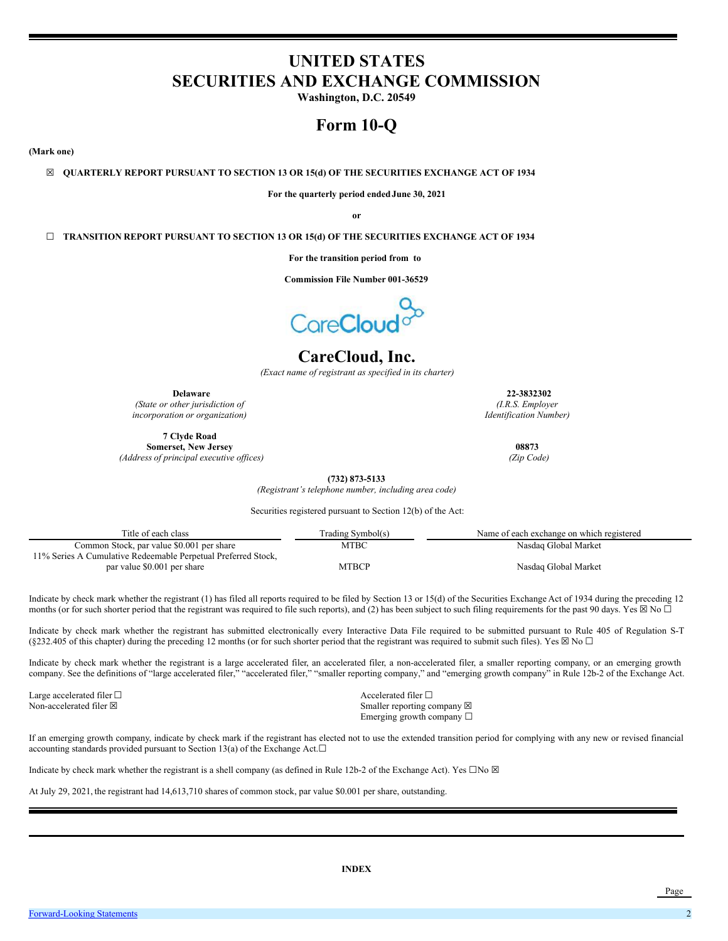## **UNITED STATES SECURITIES AND EXCHANGE COMMISSION**

**Washington, D.C. 20549**

## **Form 10-Q**

<span id="page-0-0"></span>**(Mark one)**

☒ **QUARTERLY REPORT PURSUANT TO SECTION 13 OR 15(d) OF THE SECURITIES EXCHANGE ACT OF 1934**

**For the quarterly period endedJune 30, 2021**

**or**

☐ **TRANSITION REPORT PURSUANT TO SECTION 13 OR 15(d) OF THE SECURITIES EXCHANGE ACT OF 1934**

**For the transition period from to**

**Commission File Number 001-36529**

Core**Cloud**<sup>c</sup>

## **CareCloud, Inc.**

*(Exact name of registrant as specified in its charter)*

*(State or other jurisdiction of incorporation or organization)*

**7 Clyde Road Somerset, New Jersey 08873** *(Address of principal executive of ices) (Zip Code)*

**Delaware 22-3832302** *(I.R.S. Employer Identification Number)*

**(732) 873-5133**

*(Registrant's telephone number, including area code)*

Securities registered pursuant to Section 12(b) of the Act:

| Title of each class                                           | Trading Symbol(s) | Name of each exchange on which registered |
|---------------------------------------------------------------|-------------------|-------------------------------------------|
| Common Stock, par value \$0.001 per share                     | МТВС              | Nasdaq Global Market                      |
| 11% Series A Cumulative Redeemable Perpetual Preferred Stock, |                   |                                           |
| par value \$0.001 per share                                   | МТВСР             | Nasdaq Global Market                      |
|                                                               |                   |                                           |

Indicate by check mark whether the registrant (1) has filed all reports required to be filed by Section 13 or 15(d) of the Securities Exchange Act of 1934 during the preceding 12 months (or for such shorter period that the registrant was required to file such reports), and (2) has been subject to such filing requirements for the past 90 days. Yes  $\boxtimes$  No  $\Box$ 

Indicate by check mark whether the registrant has submitted electronically every Interactive Data File required to be submitted pursuant to Rule 405 of Regulation S-T (§232.405 of this chapter) during the preceding 12 months (or for such shorter period that the registrant was required to submit such files). Yes  $\boxtimes$  No  $\Box$ 

Indicate by check mark whether the registrant is a large accelerated filer, an accelerated filer, a non-accelerated filer, a smaller reporting company, or an emerging growth company. See the definitions of "large accelerated filer," "accelerated filer," "smaller reporting company," and "emerging growth company" in Rule 12b-2 of the Exchange Act.

Large accelerated filer □ accelerated filer □ accelerated filer □

Non-accelerated filer ⊠ interval in the set of the Smaller reporting company ⊠ Emerging growth company ☐

If an emerging growth company, indicate by check mark if the registrant has elected not to use the extended transition period for complying with any new or revised financial accounting standards provided pursuant to Section 13(a) of the Exchange Act. $□$ 

Indicate by check mark whether the registrant is a shell company (as defined in Rule 12b-2 of the Exchange Act). Yes  $\Box$ No  $\boxtimes$ 

At July 29, 2021, the registrant had 14,613,710 shares of common stock, par value \$0.001 per share, outstanding.

**INDEX**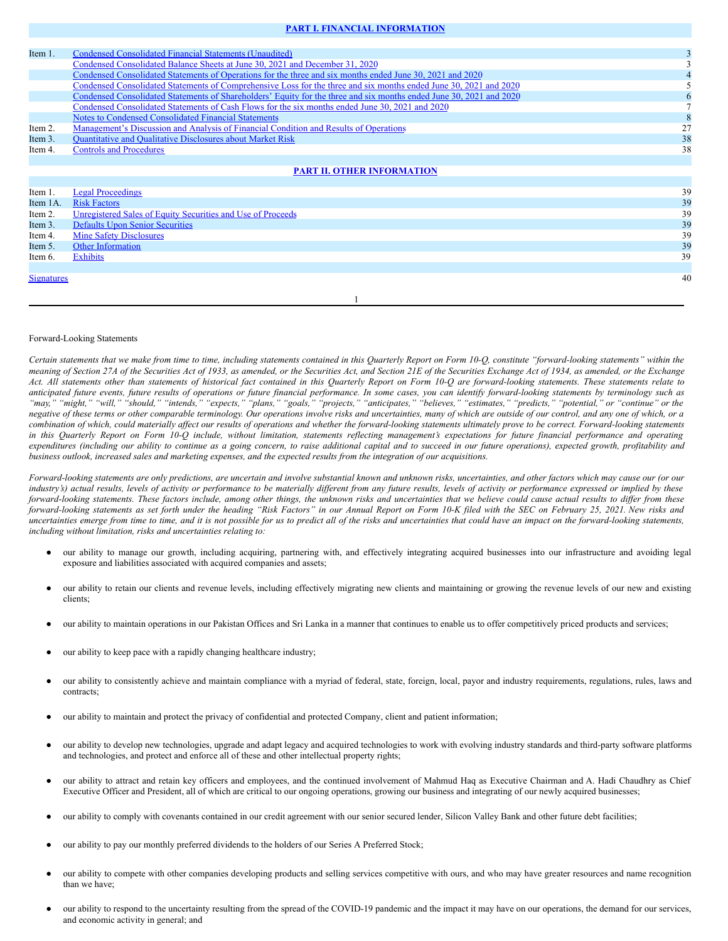## **PART I. FINANCIAL [INFORMATION](#page-0-0)**

| Item 1.  | Condensed Consolidated Financial Statements (Unaudited)                                                             |    |
|----------|---------------------------------------------------------------------------------------------------------------------|----|
|          | Condensed Consolidated Balance Sheets at June 30, 2021 and December 31, 2020                                        |    |
|          | Condensed Consolidated Statements of Operations for the three and six months ended June 30, 2021 and 2020           |    |
|          | Condensed Consolidated Statements of Comprehensive Loss for the three and six months ended June 30, 2021 and 2020   |    |
|          | Condensed Consolidated Statements of Shareholders' Equity for the three and six months ended June 30, 2021 and 2020 |    |
|          | Condensed Consolidated Statements of Cash Flows for the six months ended June 30, 2021 and 2020                     |    |
|          | Notes to Condensed Consolidated Financial Statements                                                                |    |
| Item 2.  | Management's Discussion and Analysis of Financial Condition and Results of Operations                               | 27 |
| Item 3.  | <b>Quantitative and Qualitative Disclosures about Market Risk</b>                                                   | 38 |
| Item 4.  | <b>Controls and Procedures</b>                                                                                      | 38 |
|          |                                                                                                                     |    |
|          | <b>PART II. OTHER INFORMATION</b>                                                                                   |    |
|          |                                                                                                                     |    |
| Item 1.  | <b>Legal Proceedings</b>                                                                                            | 39 |
| Item 1A. | <b>Risk Factors</b>                                                                                                 | 39 |
| Item 2.  | Unregistered Sales of Equity Securities and Use of Proceeds                                                         | 39 |
| Item 3.  | <b>Defaults Upon Senior Securities</b>                                                                              | 39 |

**[Signatures](#page-0-0)** 40

1

Item 4. Mine Safety [Disclosures](#page-0-0) 39 **Item 5.** Other [Information](#page-0-0) 39 Item 6. [Exhibits](#page-0-0) 39

#### Forward-Looking Statements

Certain statements that we make from time to time, including statements contained in this Quarterly Report on Form 10-Q, constitute "forward-looking statements" within the meaning of Section 27A of the Securities Act of 1933, as amended, or the Securities Act, and Section 21E of the Securities Exchange Act of 1934, as amended, or the Exchange Act. All statements other than statements of historical fact contained in this Quarterly Report on Form 10-Q are forward-looking statements. These statements relate to anticipated future events, future results of operations or future financial performance. In some cases, you can identify forward-looking statements by terminology such as "may," "might," "will," "should," "intends," "expects," "plans," "goals," "projects," "anticipates," "believes," "estimates," "predicts," "potential," or "continue" or the negative of these terms or other comparable terminology. Our operations involve risks and uncertainties, many of which are outside of our control, and any one of which, or a combination of which, could materially affect our results of operations and whether the forward-looking statements ultimately prove to be correct. Forward-looking statements in this Quarterly Report on Form 10-Q include, without limitation, statements reflecting management's expectations for future financial performance and operating expenditures (including our ability to continue as a going concern, to raise additional capital and to succeed in our future operations), expected growth, profitability and business outlook, increased sales and marketing expenses, and the expected results from the integration of our acquisitions.

Forward-looking statements are only predictions, are uncertain and involve substantial known and unknown risks, uncertainties, and other factors which may cause our (or our industry's) actual results, levels of activity or performance to be materially different from any future results, levels of activity or performance expressed or implied by these forward-looking statements. These factors include, among other things, the unknown risks and uncertainties that we believe could cause actual results to differ from these forward-looking statements as set forth under the heading "Risk Factors" in our Annual Report on Form 10-K filed with the SEC on February 25, 2021. New risks and uncertainties emerge from time to time, and it is not possible for us to predict all of the risks and uncertainties that could have an impact on the forward-looking statements, *including without limitation, risks and uncertainties relating to:*

- our ability to manage our growth, including acquiring, partnering with, and effectively integrating acquired businesses into our infrastructure and avoiding legal exposure and liabilities associated with acquired companies and assets;
- our ability to retain our clients and revenue levels, including effectively migrating new clients and maintaining or growing the revenue levels of our new and existing clients;
- our ability to maintain operations in our Pakistan Offices and Sri Lanka in a manner that continues to enable us to offer competitively priced products and services;
- our ability to keep pace with a rapidly changing healthcare industry;
- our ability to consistently achieve and maintain compliance with a myriad of federal, state, foreign, local, payor and industry requirements, regulations, rules, laws and contracts;
- our ability to maintain and protect the privacy of confidential and protected Company, client and patient information;
- our ability to develop new technologies, upgrade and adapt legacy and acquired technologies to work with evolving industry standards and third-party software platforms and technologies, and protect and enforce all of these and other intellectual property rights;
- our ability to attract and retain key officers and employees, and the continued involvement of Mahmud Haq as Executive Chairman and A. Hadi Chaudhry as Chief Executive Officer and President, all of which are critical to our ongoing operations, growing our business and integrating of our newly acquired businesses;
- our ability to comply with covenants contained in our credit agreement with our senior secured lender, Silicon Valley Bank and other future debt facilities;
- our ability to pay our monthly preferred dividends to the holders of our Series A Preferred Stock;
- our ability to compete with other companies developing products and selling services competitive with ours, and who may have greater resources and name recognition than we have;
- our ability to respond to the uncertainty resulting from the spread of the COVID-19 pandemic and the impact it may have on our operations, the demand for our services, and economic activity in general; and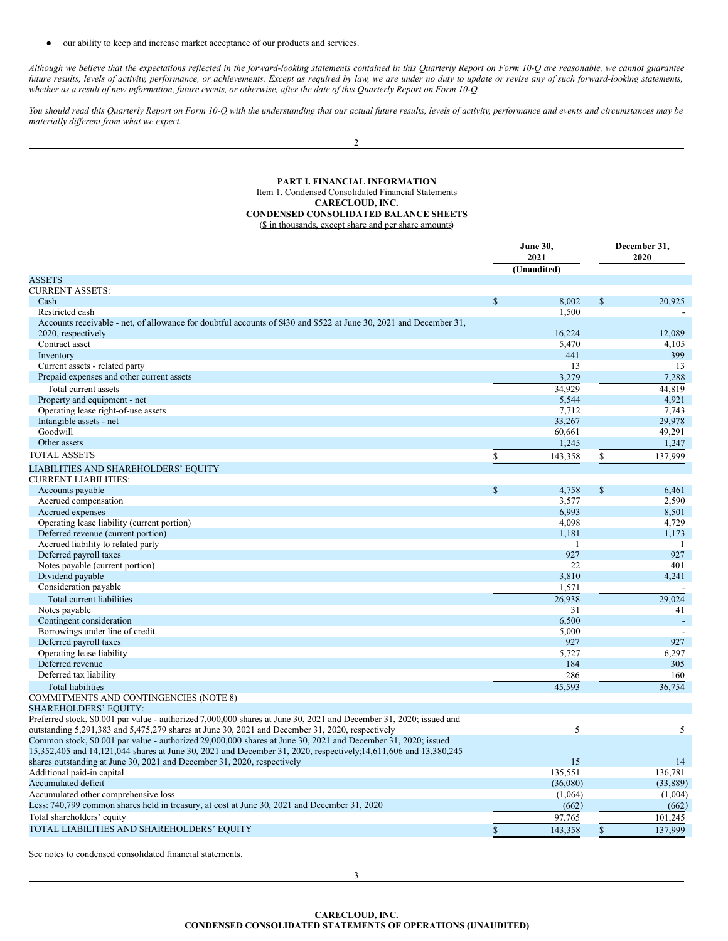● our ability to keep and increase market acceptance of our products and services.

Although we believe that the expectations reflected in the forward-looking statements contained in this Quarterly Report on Form 10-Q are reasonable, we cannot guarantee future results, levels of activity, performance, or achievements. Except as required by law, we are under no duty to update or revise any of such forward-looking statements, whether as a result of new information, future events, or otherwise, after the date of this Quarterly Report on Form 10-Q.

You should read this Quarterly Report on Form 10-Q with the understanding that our actual future results, levels of activity, performance and events and circumstances may be *materially dif erent from what we expect.*

## **PART I. FINANCIAL INFORMATION** Item 1. Condensed Consolidated Financial Statements **CARECLOUD, INC. CONDENSED CONSOLIDATED BALANCE SHEETS** (\$ in thousands, except share and per share amounts)

|                                                                                                                                                     | <b>June 30,</b><br>2021 |             |               | December 31,<br>2020     |  |  |
|-----------------------------------------------------------------------------------------------------------------------------------------------------|-------------------------|-------------|---------------|--------------------------|--|--|
|                                                                                                                                                     |                         | (Unaudited) |               |                          |  |  |
| <b>ASSETS</b>                                                                                                                                       |                         |             |               |                          |  |  |
| <b>CURRENT ASSETS:</b>                                                                                                                              |                         |             |               |                          |  |  |
| Cash                                                                                                                                                | $\mathbf S$             | 8.002       | <sup>\$</sup> | 20.925                   |  |  |
| Restricted cash                                                                                                                                     |                         | 1,500       |               |                          |  |  |
| Accounts receivable - net, of allowance for doubtful accounts of \$430 and \$522 at June 30, 2021 and December 31,                                  |                         |             |               |                          |  |  |
| 2020, respectively                                                                                                                                  |                         | 16,224      |               | 12,089                   |  |  |
| Contract asset                                                                                                                                      |                         | 5,470       |               | 4,105                    |  |  |
| Inventory                                                                                                                                           |                         | 441         |               | 399                      |  |  |
| Current assets - related party                                                                                                                      |                         | 13          |               | 13                       |  |  |
| Prepaid expenses and other current assets                                                                                                           |                         | 3,279       |               | 7,288                    |  |  |
| Total current assets                                                                                                                                |                         | 34.929      |               | 44,819                   |  |  |
| Property and equipment - net                                                                                                                        |                         | 5,544       |               | 4,921                    |  |  |
| Operating lease right-of-use assets                                                                                                                 |                         | 7,712       |               | 7,743                    |  |  |
| Intangible assets - net                                                                                                                             |                         | 33,267      |               | 29,978                   |  |  |
| Goodwill                                                                                                                                            |                         | 60,661      |               | 49,291                   |  |  |
| Other assets                                                                                                                                        |                         | 1,245       |               | 1,247                    |  |  |
| <b>TOTAL ASSETS</b>                                                                                                                                 | $\mathbf S$             | 143,358     | \$            | 137,999                  |  |  |
| LIABILITIES AND SHAREHOLDERS' EQUITY                                                                                                                |                         |             |               |                          |  |  |
| <b>CURRENT LIABILITIES:</b>                                                                                                                         |                         |             |               |                          |  |  |
| Accounts payable                                                                                                                                    | $\mathbb{S}$            | 4,758       | $\mathbb{S}$  | 6,461                    |  |  |
| Accrued compensation                                                                                                                                |                         | 3,577       |               | 2,590                    |  |  |
| Accrued expenses                                                                                                                                    |                         | 6,993       |               | 8,501                    |  |  |
| Operating lease liability (current portion)                                                                                                         |                         | 4,098       |               | 4,729                    |  |  |
| Deferred revenue (current portion)                                                                                                                  |                         | 1,181       |               | 1,173                    |  |  |
| Accrued liability to related party                                                                                                                  |                         | 1           |               | -1                       |  |  |
| Deferred payroll taxes                                                                                                                              |                         | 927         |               | 927                      |  |  |
| Notes payable (current portion)                                                                                                                     |                         | 22          |               | 401                      |  |  |
| Dividend payable                                                                                                                                    |                         | 3,810       |               | 4,241                    |  |  |
| Consideration payable                                                                                                                               |                         | 1,571       |               |                          |  |  |
| Total current liabilities                                                                                                                           |                         | 26.938      |               | 29.024                   |  |  |
| Notes payable                                                                                                                                       |                         | 31          |               | 41                       |  |  |
| Contingent consideration                                                                                                                            |                         | 6,500       |               | $\mathcal{L}$            |  |  |
| Borrowings under line of credit                                                                                                                     |                         | 5,000       |               | $\overline{\phantom{a}}$ |  |  |
| Deferred payroll taxes                                                                                                                              |                         | 927         |               | 927                      |  |  |
| Operating lease liability                                                                                                                           |                         | 5,727       |               | 6,297                    |  |  |
| Deferred revenue                                                                                                                                    |                         | 184         |               | 305                      |  |  |
| Deferred tax liability                                                                                                                              |                         | 286         |               | 160                      |  |  |
|                                                                                                                                                     |                         | 45.593      |               | 36.754                   |  |  |
| <b>Total liabilities</b>                                                                                                                            |                         |             |               |                          |  |  |
| COMMITMENTS AND CONTINGENCIES (NOTE 8)                                                                                                              |                         |             |               |                          |  |  |
| <b>SHAREHOLDERS' EQUITY:</b><br>Preferred stock, \$0.001 par value - authorized 7,000,000 shares at June 30, 2021 and December 31, 2020; issued and |                         |             |               |                          |  |  |
| outstanding 5,291,383 and 5,475,279 shares at June 30, 2021 and December 31, 2020, respectively                                                     |                         | 5           |               | 5                        |  |  |
| Common stock, \$0.001 par value - authorized 29,000,000 shares at June 30, 2021 and December 31, 2020; issued                                       |                         |             |               |                          |  |  |
| 15,352,405 and 14,121,044 shares at June 30, 2021 and December 31, 2020, respectively;14,611,606 and 13,380,245                                     |                         |             |               |                          |  |  |
| shares outstanding at June 30, 2021 and December 31, 2020, respectively                                                                             |                         | 15          |               | 14                       |  |  |
| Additional paid-in capital                                                                                                                          |                         | 135,551     |               | 136,781                  |  |  |
| Accumulated deficit                                                                                                                                 |                         | (36,080)    |               | (33, 889)                |  |  |
| Accumulated other comprehensive loss                                                                                                                |                         | (1,064)     |               | (1,004)                  |  |  |
| Less: 740,799 common shares held in treasury, at cost at June 30, 2021 and December 31, 2020                                                        |                         | (662)       |               | (662)                    |  |  |
|                                                                                                                                                     |                         |             |               |                          |  |  |
| Total shareholders' equity                                                                                                                          |                         | 97,765      |               | 101,245                  |  |  |
| TOTAL LIABILITIES AND SHAREHOLDERS' EQUITY                                                                                                          | \$                      | 143,358     | \$            | 137,999                  |  |  |

See notes to condensed consolidated financial statements.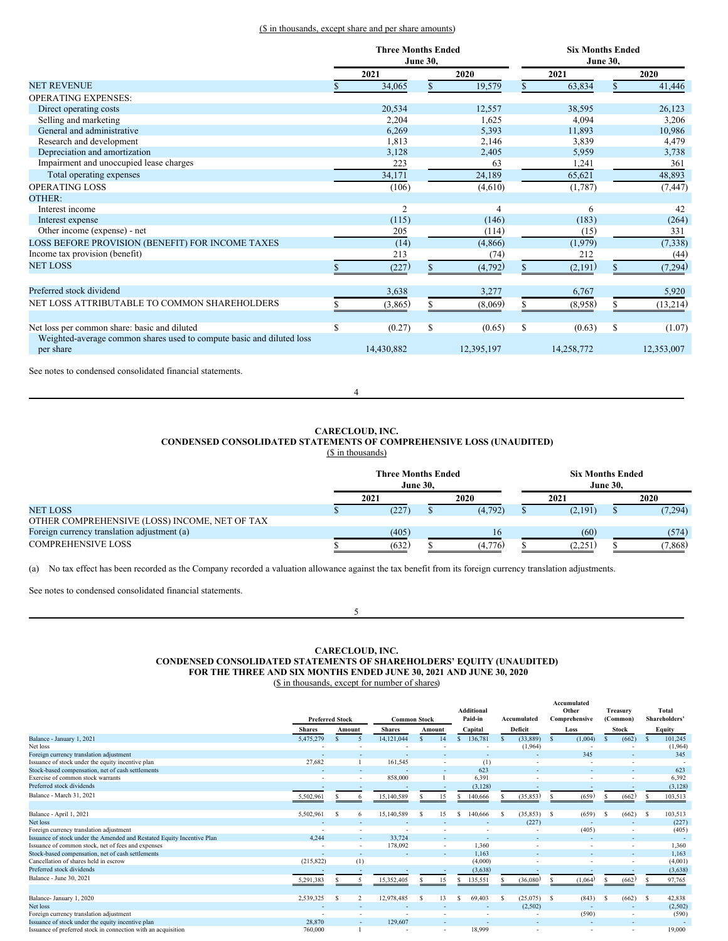## (\$ in thousands, except share and per share amounts)

|                                                                                    | <b>Three Months Ended</b><br><b>June 30.</b> |                | <b>Six Months Ended</b><br><b>June 30,</b> |            |               |              |            |
|------------------------------------------------------------------------------------|----------------------------------------------|----------------|--------------------------------------------|------------|---------------|--------------|------------|
|                                                                                    |                                              | 2021           |                                            | 2020       | 2021          |              | 2020       |
| <b>NET REVENUE</b>                                                                 |                                              | 34,065         |                                            | 19,579     | 63,834        |              | 41,446     |
| <b>OPERATING EXPENSES:</b>                                                         |                                              |                |                                            |            |               |              |            |
| Direct operating costs                                                             |                                              | 20,534         |                                            | 12,557     | 38,595        |              | 26,123     |
| Selling and marketing                                                              |                                              | 2,204          |                                            | 1,625      | 4,094         |              | 3,206      |
| General and administrative                                                         |                                              | 6,269          |                                            | 5,393      | 11,893        |              | 10,986     |
| Research and development                                                           |                                              | 1,813          |                                            | 2,146      | 3,839         |              | 4,479      |
| Depreciation and amortization                                                      |                                              | 3,128          |                                            | 2,405      | 5,959         |              | 3,738      |
| Impairment and unoccupied lease charges                                            |                                              | 223            |                                            | 63         | 1,241         |              | 361        |
| Total operating expenses                                                           |                                              | 34,171         |                                            | 24,189     | 65,621        |              | 48,893     |
| <b>OPERATING LOSS</b>                                                              |                                              | (106)          |                                            | (4,610)    | (1,787)       |              | (7, 447)   |
| OTHER:                                                                             |                                              |                |                                            |            |               |              |            |
| Interest income                                                                    |                                              | $\overline{2}$ |                                            | 4          | 6             |              | 42         |
| Interest expense                                                                   |                                              | (115)          |                                            | (146)      | (183)         |              | (264)      |
| Other income (expense) - net                                                       |                                              | 205            |                                            | (114)      | (15)          |              | 331        |
| LOSS BEFORE PROVISION (BENEFIT) FOR INCOME TAXES                                   |                                              | (14)           |                                            | (4, 866)   | (1,979)       |              | (7, 338)   |
| Income tax provision (benefit)                                                     |                                              | 213            |                                            | (74)       | 212           |              | (44)       |
| <b>NET LOSS</b>                                                                    |                                              | (227)          | \$                                         | (4,792)    | \$<br>(2,191) | $\mathbb{S}$ | (7,294)    |
| Preferred stock dividend                                                           |                                              | 3,638          |                                            | 3,277      | 6,767         |              | 5,920      |
| NET LOSS ATTRIBUTABLE TO COMMON SHAREHOLDERS                                       |                                              | (3,865)        | \$                                         | (8,069)    | \$<br>(8,958) | S            | (13,214)   |
|                                                                                    |                                              |                |                                            |            |               |              |            |
| Net loss per common share: basic and diluted                                       | \$                                           | (0.27)         | <sup>\$</sup>                              | (0.65)     | \$<br>(0.63)  | S            | (1.07)     |
| Weighted-average common shares used to compute basic and diluted loss<br>per share |                                              | 14,430,882     |                                            | 12,395,197 | 14,258,772    |              | 12,353,007 |
|                                                                                    |                                              |                |                                            |            |               |              |            |

See notes to condensed consolidated financial statements.

**CARECLOUD, INC. CONDENSED CONSOLIDATED STATEMENTS OF COMPREHENSIVE LOSS (UNAUDITED)** (\$ in thousands)

4

|                                               | <b>Three Months Ended</b><br><b>June 30.</b> |         | <b>Six Months Ended</b> | <b>June 30.</b> |          |
|-----------------------------------------------|----------------------------------------------|---------|-------------------------|-----------------|----------|
|                                               | 2021                                         | 2020    | 2021                    |                 | 2020     |
| <b>NET LOSS</b>                               | (227)                                        | (4,792) | (2,191)                 |                 | (7, 294) |
| OTHER COMPREHENSIVE (LOSS) INCOME, NET OF TAX |                                              |         |                         |                 |          |
| Foreign currency translation adjustment (a)   | (405)                                        | Iб      | (60)                    |                 | (574)    |
| <b>COMPREHENSIVE LOSS</b>                     | (632)                                        | (4.776) | (2, 251)                |                 | (7,868)  |

(a) No tax effect has been recorded as the Company recorded a valuation allowance against the tax benefit from its foreign currency translation adjustments.

See notes to condensed consolidated financial statements.

### **CARECLOUD, INC. CONDENSED CONSOLIDATED STATEMENTS OF SHAREHOLDERS' EQUITY (UNAUDITED) FOR THE THREE AND SIX MONTHS ENDED JUNE 30, 2021 AND JUNE 30, 2020** (\$ in thousands, except for number of shares)

5

|                                                                        | <b>Preferred Stock</b> |        |     | <b>Common Stock</b> |        | <b>Additional</b><br>Paid-in |    | Accumulated |    | Accumulated<br>Other<br>Comprehensive |   | <b>Treasury</b><br>(Common) |              | Total<br>Shareholders' |
|------------------------------------------------------------------------|------------------------|--------|-----|---------------------|--------|------------------------------|----|-------------|----|---------------------------------------|---|-----------------------------|--------------|------------------------|
|                                                                        | <b>Shares</b>          | Amount |     | <b>Shares</b>       | Amount | Capital                      |    | Deficit     |    | Loss                                  |   | <b>Stock</b>                |              | Equity                 |
| Balance - January 1, 2021                                              | 5,475,279              |        |     | 14, 121, 044        |        | 136,781                      |    | (33,889)    | -S | (1,004)                               |   | (662)                       |              | 101,245                |
| Net loss                                                               |                        |        |     |                     |        |                              |    | (1,964)     |    |                                       |   |                             |              | (1,964)                |
| Foreign currency translation adjustment                                |                        |        |     |                     |        |                              |    |             |    | 345                                   |   |                             |              | 345                    |
| Issuance of stock under the equity incentive plan                      | 27,682                 |        |     | 161,545             |        | (1)                          |    |             |    |                                       |   |                             |              |                        |
| Stock-based compensation, net of cash settlements                      |                        |        |     |                     |        | 623                          |    |             |    |                                       |   |                             |              | 623                    |
| Exercise of common stock warrants                                      |                        |        |     | 858,000             |        | 6,391                        |    |             |    |                                       |   | ٠                           |              | 6,392                  |
| Preferred stock dividends                                              |                        |        |     |                     |        | (3,128)                      |    |             |    |                                       |   |                             |              | (3,128)                |
| Balance - March 31, 2021                                               | 5,502,961              |        |     | 15,140,589          |        | 140,666                      |    | (35, 853)   |    | (659)                                 |   | (662)                       |              | 103,513                |
|                                                                        |                        |        |     |                     |        |                              |    |             |    |                                       |   |                             |              |                        |
| Balance - April 1, 2021                                                | 5,502,961              |        | 6   | 15,140,589          | 15     | 140,666                      | -8 | (35.853)    | -S | (659)                                 |   | (662)                       | - S          | 103,513                |
| Net loss                                                               |                        |        |     |                     |        |                              |    | (227)       |    |                                       |   | $\overline{\phantom{a}}$    |              | (227)                  |
| Foreign currency translation adjustment                                |                        |        |     |                     |        |                              |    |             |    | (405)                                 |   |                             |              | (405)                  |
| Issuance of stock under the Amended and Restated Equity Incentive Plan | 4.244                  |        |     | 33,724              |        |                              |    |             |    |                                       |   |                             |              |                        |
| Issuance of common stock, net of fees and expenses                     |                        |        |     | 178,092             |        | 1.360                        |    |             |    |                                       |   |                             |              | 1,360                  |
| Stock-based compensation, net of cash settlements                      |                        |        |     |                     |        | 1.163                        |    |             |    |                                       |   |                             |              | 1.163                  |
| Cancellation of shares held in escrow                                  | (215, 822)             |        | (1) |                     |        | (4,000)                      |    |             |    |                                       |   | $\overline{\phantom{a}}$    |              | (4,001)                |
| Preferred stock dividends                                              |                        |        |     |                     |        | (3,638)                      |    |             |    |                                       |   |                             |              | (3,638)                |
| Balance - June 30, 2021                                                | 5,291,383              |        |     | 15,352,405          |        | 135,551                      |    | (36,080)    |    | (1,064)                               |   | (662)                       |              | 97,765                 |
|                                                                        |                        |        |     |                     |        |                              |    |             |    |                                       |   |                             |              |                        |
| Balance-January 1, 2020                                                | 2,539,325              |        | 2   | 12,978,485          | 13     | 69,403                       | -S | (25,075)    | -S | (843)                                 | S | (662)                       | $\mathbf{s}$ | 42,838                 |
| Net loss                                                               |                        |        |     |                     |        |                              |    | (2,502)     |    |                                       |   | ٠                           |              | (2,502)                |
| Foreign currency translation adjustment                                |                        |        |     |                     |        |                              |    |             |    | (590)                                 |   | $\overline{\phantom{a}}$    |              | (590)                  |
| Issuance of stock under the equity incentive plan                      | 28,870                 |        |     | 129,607             |        |                              |    |             |    |                                       |   | $\overline{\phantom{a}}$    |              |                        |
| Issuance of preferred stock in connection with an acquisition          | 760,000                |        |     |                     |        | 18,999                       |    |             |    |                                       |   | $\overline{\phantom{a}}$    |              | 19,000                 |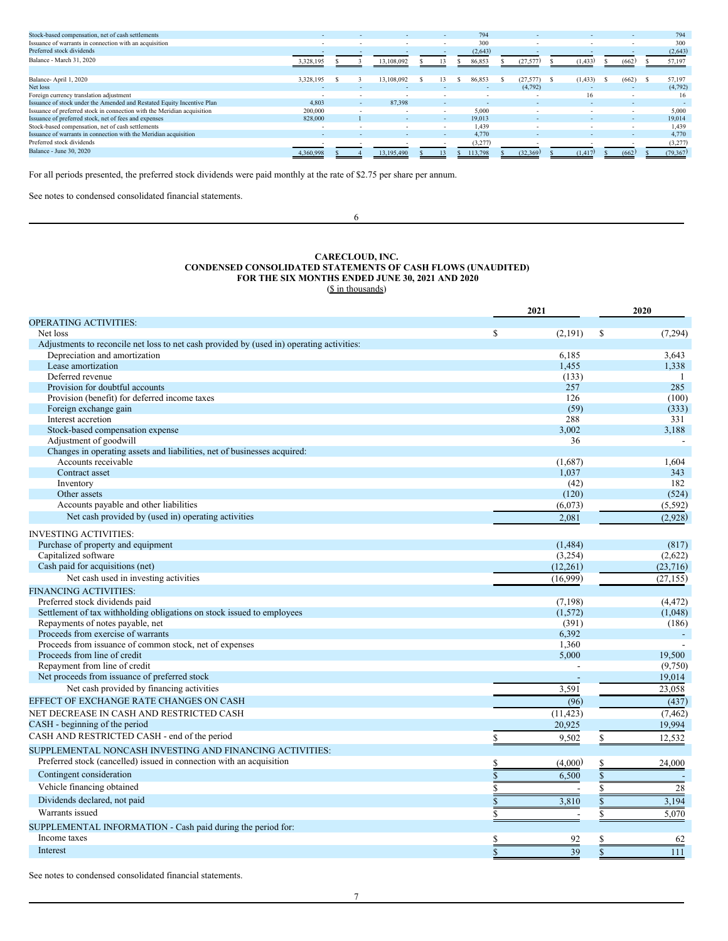| Stock-based compensation, net of cash settlements                       | $\sim$                   |                          | $\sim$                   | $\sim$         | 794                      | $\sim$    | $\sim$                   | $\overline{\phantom{a}}$ | 794       |
|-------------------------------------------------------------------------|--------------------------|--------------------------|--------------------------|----------------|--------------------------|-----------|--------------------------|--------------------------|-----------|
| Issuance of warrants in connection with an acquisition                  | $\overline{\phantom{0}}$ |                          | $\sim$                   |                | 300                      |           |                          | -                        | 300       |
| Preferred stock dividends                                               |                          |                          |                          |                | (2,643)                  |           |                          |                          | (2,643)   |
| Balance - March 31, 2020                                                | 3.328.195                |                          | 13,108,092               |                | 86,853                   | (27, 577) | (1.433)                  | (662)                    | 57,197    |
|                                                                         |                          |                          |                          |                |                          |           |                          |                          |           |
| Balance-April 1, 2020                                                   | 3,328,195                |                          | 13,108,092               |                | 86.853                   | (27, 577) | (1, 433)                 | (662)                    | 57,197    |
| Net loss                                                                |                          |                          |                          |                |                          | (4,792)   |                          | $\overline{\phantom{a}}$ | (4,792)   |
| Foreign currency translation adjustment                                 |                          | $\overline{\phantom{a}}$ |                          |                | ۰                        | . .       | 16                       | $\overline{\phantom{a}}$ | 16        |
| Issuance of stock under the Amended and Restated Equity Incentive Plan  | 4,803                    | $\overline{\phantom{a}}$ | 87,398                   | $\sim$         | $\overline{\phantom{a}}$ | ۰.        | $\overline{\phantom{a}}$ | $\overline{\phantom{a}}$ | $\sim$    |
| Issuance of preferred stock in connection with the Meridian acquisition | 200,000                  | $\overline{\phantom{a}}$ | $\overline{\phantom{a}}$ | $\sim$         | 5.000                    |           |                          | $\overline{a}$           | 5,000     |
| Issuance of preferred stock, net of fees and expenses                   | 828,000                  |                          | $\sim$                   |                | 19.013                   | . .       | -                        | $\overline{\phantom{a}}$ | 19,014    |
| Stock-based compensation, net of cash settlements                       | $\overline{\phantom{0}}$ |                          |                          |                | 1.439                    |           |                          | $\overline{a}$           | 1.439     |
| Issuance of warrants in connection with the Meridian acquisition        | $\sim$                   |                          | $\sim$                   | $\overline{a}$ | 4.770                    | $\sim$    | $\overline{\phantom{a}}$ | $\overline{\phantom{a}}$ | 4,770     |
| Preferred stock dividends                                               |                          |                          |                          |                | (3,277)                  |           |                          |                          | (3,277)   |
| Balance - June 30, 2020                                                 | 360.998                  |                          | 13.195.490               |                | 113,798                  | (32,369)  | (1, 417)                 | (662)                    | (79, 367) |
|                                                                         |                          |                          |                          |                |                          |           |                          |                          |           |

For all periods presented, the preferred stock dividends were paid monthly at the rate of \$2.75 per share per annum.

See notes to condensed consolidated financial statements.

# 6

## **CARECLOUD, INC. CONDENSED CONSOLIDATED STATEMENTS OF CASH FLOWS (UNAUDITED) FOR THE SIX MONTHS ENDED JUNE 30, 2021 AND 2020** (\$ in thousands)

| Net loss<br>(2,191)<br>S<br>(7, 294)<br>\$.<br>Adjustments to reconcile net loss to net cash provided by (used in) operating activities:<br>Depreciation and amortization<br>6,185<br>3,643<br>1,338<br>Lease amortization<br>1,455<br>Deferred revenue<br>(133)<br>-1<br>Provision for doubtful accounts<br>257<br>285<br>Provision (benefit) for deferred income taxes<br>(100)<br>126<br>(59)<br>(333)<br>Foreign exchange gain<br>Interest accretion<br>288<br>331<br>Stock-based compensation expense<br>3.002<br>3.188<br>Adjustment of goodwill<br>36<br>Changes in operating assets and liabilities, net of businesses acquired:<br>Accounts receivable<br>(1,687)<br>1,604<br>Contract asset<br>1,037<br>343<br>182<br>Inventory<br>(42)<br>(524)<br>Other assets<br>(120)<br>Accounts payable and other liabilities<br>(5, 592)<br>(6,073)<br>Net cash provided by (used in) operating activities<br>2.081<br>(2.928)<br><b>INVESTING ACTIVITIES:</b><br>Purchase of property and equipment<br>(1, 484)<br>(817)<br>Capitalized software<br>(3,254)<br>(2,622)<br>Cash paid for acquisitions (net)<br>(12,261)<br>(23,716)<br>Net cash used in investing activities<br>(16,999)<br>(27, 155)<br><b>FINANCING ACTIVITIES:</b><br>Preferred stock dividends paid<br>(7, 198)<br>(4, 472)<br>Settlement of tax withholding obligations on stock issued to employees<br>(1,572)<br>(1,048)<br>Repayments of notes payable, net<br>(391)<br>(186)<br>Proceeds from exercise of warrants<br>6,392<br>Proceeds from issuance of common stock, net of expenses<br>1,360<br>Proceeds from line of credit<br>5,000<br>19,500<br>Repayment from line of credit<br>(9,750)<br>Net proceeds from issuance of preferred stock<br>19,014<br>Net cash provided by financing activities<br>3,591<br>23,058<br>(96)<br>(437)<br>(11, 423)<br>NET DECREASE IN CASH AND RESTRICTED CASH<br>(7, 462)<br>CASH - beginning of the period<br>20,925<br>19,994<br>CASH AND RESTRICTED CASH - end of the period<br>\$<br>9,502<br>\$<br>12,532<br>SUPPLEMENTAL NONCASH INVESTING AND FINANCING ACTIVITIES:<br>Preferred stock (cancelled) issued in connection with an acquisition<br>(4,000)<br>\$<br>24,000<br>S<br>Contingent consideration<br>$\mathbb{S}$<br>6,500<br>\$<br>Vehicle financing obtained<br>\$<br>28<br>S<br>Dividends declared, not paid<br>\$<br>$\overline{\mathbf{S}}$<br>3,810<br>3,194<br>Warrants issued<br>\$<br>5,070<br>\$<br>SUPPLEMENTAL INFORMATION - Cash paid during the period for:<br>Income taxes<br>\$<br>92<br>62<br>Interest<br>$\mathbb{S}$<br>39<br>\$<br>111 |                                         | 2021 |  | 2020 |
|-----------------------------------------------------------------------------------------------------------------------------------------------------------------------------------------------------------------------------------------------------------------------------------------------------------------------------------------------------------------------------------------------------------------------------------------------------------------------------------------------------------------------------------------------------------------------------------------------------------------------------------------------------------------------------------------------------------------------------------------------------------------------------------------------------------------------------------------------------------------------------------------------------------------------------------------------------------------------------------------------------------------------------------------------------------------------------------------------------------------------------------------------------------------------------------------------------------------------------------------------------------------------------------------------------------------------------------------------------------------------------------------------------------------------------------------------------------------------------------------------------------------------------------------------------------------------------------------------------------------------------------------------------------------------------------------------------------------------------------------------------------------------------------------------------------------------------------------------------------------------------------------------------------------------------------------------------------------------------------------------------------------------------------------------------------------------------------------------------------------------------------------------------------------------------------------------------------------------------------------------------------------------------------------------------------------------------------------------------------------------------------------------------------------------------------------------------------------------------------------------------------------------------------------------------------------------------------------|-----------------------------------------|------|--|------|
|                                                                                                                                                                                                                                                                                                                                                                                                                                                                                                                                                                                                                                                                                                                                                                                                                                                                                                                                                                                                                                                                                                                                                                                                                                                                                                                                                                                                                                                                                                                                                                                                                                                                                                                                                                                                                                                                                                                                                                                                                                                                                                                                                                                                                                                                                                                                                                                                                                                                                                                                                                                         | <b>OPERATING ACTIVITIES:</b>            |      |  |      |
|                                                                                                                                                                                                                                                                                                                                                                                                                                                                                                                                                                                                                                                                                                                                                                                                                                                                                                                                                                                                                                                                                                                                                                                                                                                                                                                                                                                                                                                                                                                                                                                                                                                                                                                                                                                                                                                                                                                                                                                                                                                                                                                                                                                                                                                                                                                                                                                                                                                                                                                                                                                         |                                         |      |  |      |
|                                                                                                                                                                                                                                                                                                                                                                                                                                                                                                                                                                                                                                                                                                                                                                                                                                                                                                                                                                                                                                                                                                                                                                                                                                                                                                                                                                                                                                                                                                                                                                                                                                                                                                                                                                                                                                                                                                                                                                                                                                                                                                                                                                                                                                                                                                                                                                                                                                                                                                                                                                                         |                                         |      |  |      |
|                                                                                                                                                                                                                                                                                                                                                                                                                                                                                                                                                                                                                                                                                                                                                                                                                                                                                                                                                                                                                                                                                                                                                                                                                                                                                                                                                                                                                                                                                                                                                                                                                                                                                                                                                                                                                                                                                                                                                                                                                                                                                                                                                                                                                                                                                                                                                                                                                                                                                                                                                                                         |                                         |      |  |      |
|                                                                                                                                                                                                                                                                                                                                                                                                                                                                                                                                                                                                                                                                                                                                                                                                                                                                                                                                                                                                                                                                                                                                                                                                                                                                                                                                                                                                                                                                                                                                                                                                                                                                                                                                                                                                                                                                                                                                                                                                                                                                                                                                                                                                                                                                                                                                                                                                                                                                                                                                                                                         |                                         |      |  |      |
|                                                                                                                                                                                                                                                                                                                                                                                                                                                                                                                                                                                                                                                                                                                                                                                                                                                                                                                                                                                                                                                                                                                                                                                                                                                                                                                                                                                                                                                                                                                                                                                                                                                                                                                                                                                                                                                                                                                                                                                                                                                                                                                                                                                                                                                                                                                                                                                                                                                                                                                                                                                         |                                         |      |  |      |
|                                                                                                                                                                                                                                                                                                                                                                                                                                                                                                                                                                                                                                                                                                                                                                                                                                                                                                                                                                                                                                                                                                                                                                                                                                                                                                                                                                                                                                                                                                                                                                                                                                                                                                                                                                                                                                                                                                                                                                                                                                                                                                                                                                                                                                                                                                                                                                                                                                                                                                                                                                                         |                                         |      |  |      |
|                                                                                                                                                                                                                                                                                                                                                                                                                                                                                                                                                                                                                                                                                                                                                                                                                                                                                                                                                                                                                                                                                                                                                                                                                                                                                                                                                                                                                                                                                                                                                                                                                                                                                                                                                                                                                                                                                                                                                                                                                                                                                                                                                                                                                                                                                                                                                                                                                                                                                                                                                                                         |                                         |      |  |      |
|                                                                                                                                                                                                                                                                                                                                                                                                                                                                                                                                                                                                                                                                                                                                                                                                                                                                                                                                                                                                                                                                                                                                                                                                                                                                                                                                                                                                                                                                                                                                                                                                                                                                                                                                                                                                                                                                                                                                                                                                                                                                                                                                                                                                                                                                                                                                                                                                                                                                                                                                                                                         |                                         |      |  |      |
|                                                                                                                                                                                                                                                                                                                                                                                                                                                                                                                                                                                                                                                                                                                                                                                                                                                                                                                                                                                                                                                                                                                                                                                                                                                                                                                                                                                                                                                                                                                                                                                                                                                                                                                                                                                                                                                                                                                                                                                                                                                                                                                                                                                                                                                                                                                                                                                                                                                                                                                                                                                         |                                         |      |  |      |
|                                                                                                                                                                                                                                                                                                                                                                                                                                                                                                                                                                                                                                                                                                                                                                                                                                                                                                                                                                                                                                                                                                                                                                                                                                                                                                                                                                                                                                                                                                                                                                                                                                                                                                                                                                                                                                                                                                                                                                                                                                                                                                                                                                                                                                                                                                                                                                                                                                                                                                                                                                                         |                                         |      |  |      |
|                                                                                                                                                                                                                                                                                                                                                                                                                                                                                                                                                                                                                                                                                                                                                                                                                                                                                                                                                                                                                                                                                                                                                                                                                                                                                                                                                                                                                                                                                                                                                                                                                                                                                                                                                                                                                                                                                                                                                                                                                                                                                                                                                                                                                                                                                                                                                                                                                                                                                                                                                                                         |                                         |      |  |      |
|                                                                                                                                                                                                                                                                                                                                                                                                                                                                                                                                                                                                                                                                                                                                                                                                                                                                                                                                                                                                                                                                                                                                                                                                                                                                                                                                                                                                                                                                                                                                                                                                                                                                                                                                                                                                                                                                                                                                                                                                                                                                                                                                                                                                                                                                                                                                                                                                                                                                                                                                                                                         |                                         |      |  |      |
|                                                                                                                                                                                                                                                                                                                                                                                                                                                                                                                                                                                                                                                                                                                                                                                                                                                                                                                                                                                                                                                                                                                                                                                                                                                                                                                                                                                                                                                                                                                                                                                                                                                                                                                                                                                                                                                                                                                                                                                                                                                                                                                                                                                                                                                                                                                                                                                                                                                                                                                                                                                         |                                         |      |  |      |
|                                                                                                                                                                                                                                                                                                                                                                                                                                                                                                                                                                                                                                                                                                                                                                                                                                                                                                                                                                                                                                                                                                                                                                                                                                                                                                                                                                                                                                                                                                                                                                                                                                                                                                                                                                                                                                                                                                                                                                                                                                                                                                                                                                                                                                                                                                                                                                                                                                                                                                                                                                                         |                                         |      |  |      |
|                                                                                                                                                                                                                                                                                                                                                                                                                                                                                                                                                                                                                                                                                                                                                                                                                                                                                                                                                                                                                                                                                                                                                                                                                                                                                                                                                                                                                                                                                                                                                                                                                                                                                                                                                                                                                                                                                                                                                                                                                                                                                                                                                                                                                                                                                                                                                                                                                                                                                                                                                                                         |                                         |      |  |      |
|                                                                                                                                                                                                                                                                                                                                                                                                                                                                                                                                                                                                                                                                                                                                                                                                                                                                                                                                                                                                                                                                                                                                                                                                                                                                                                                                                                                                                                                                                                                                                                                                                                                                                                                                                                                                                                                                                                                                                                                                                                                                                                                                                                                                                                                                                                                                                                                                                                                                                                                                                                                         |                                         |      |  |      |
|                                                                                                                                                                                                                                                                                                                                                                                                                                                                                                                                                                                                                                                                                                                                                                                                                                                                                                                                                                                                                                                                                                                                                                                                                                                                                                                                                                                                                                                                                                                                                                                                                                                                                                                                                                                                                                                                                                                                                                                                                                                                                                                                                                                                                                                                                                                                                                                                                                                                                                                                                                                         |                                         |      |  |      |
|                                                                                                                                                                                                                                                                                                                                                                                                                                                                                                                                                                                                                                                                                                                                                                                                                                                                                                                                                                                                                                                                                                                                                                                                                                                                                                                                                                                                                                                                                                                                                                                                                                                                                                                                                                                                                                                                                                                                                                                                                                                                                                                                                                                                                                                                                                                                                                                                                                                                                                                                                                                         |                                         |      |  |      |
|                                                                                                                                                                                                                                                                                                                                                                                                                                                                                                                                                                                                                                                                                                                                                                                                                                                                                                                                                                                                                                                                                                                                                                                                                                                                                                                                                                                                                                                                                                                                                                                                                                                                                                                                                                                                                                                                                                                                                                                                                                                                                                                                                                                                                                                                                                                                                                                                                                                                                                                                                                                         |                                         |      |  |      |
|                                                                                                                                                                                                                                                                                                                                                                                                                                                                                                                                                                                                                                                                                                                                                                                                                                                                                                                                                                                                                                                                                                                                                                                                                                                                                                                                                                                                                                                                                                                                                                                                                                                                                                                                                                                                                                                                                                                                                                                                                                                                                                                                                                                                                                                                                                                                                                                                                                                                                                                                                                                         |                                         |      |  |      |
|                                                                                                                                                                                                                                                                                                                                                                                                                                                                                                                                                                                                                                                                                                                                                                                                                                                                                                                                                                                                                                                                                                                                                                                                                                                                                                                                                                                                                                                                                                                                                                                                                                                                                                                                                                                                                                                                                                                                                                                                                                                                                                                                                                                                                                                                                                                                                                                                                                                                                                                                                                                         |                                         |      |  |      |
|                                                                                                                                                                                                                                                                                                                                                                                                                                                                                                                                                                                                                                                                                                                                                                                                                                                                                                                                                                                                                                                                                                                                                                                                                                                                                                                                                                                                                                                                                                                                                                                                                                                                                                                                                                                                                                                                                                                                                                                                                                                                                                                                                                                                                                                                                                                                                                                                                                                                                                                                                                                         |                                         |      |  |      |
|                                                                                                                                                                                                                                                                                                                                                                                                                                                                                                                                                                                                                                                                                                                                                                                                                                                                                                                                                                                                                                                                                                                                                                                                                                                                                                                                                                                                                                                                                                                                                                                                                                                                                                                                                                                                                                                                                                                                                                                                                                                                                                                                                                                                                                                                                                                                                                                                                                                                                                                                                                                         |                                         |      |  |      |
|                                                                                                                                                                                                                                                                                                                                                                                                                                                                                                                                                                                                                                                                                                                                                                                                                                                                                                                                                                                                                                                                                                                                                                                                                                                                                                                                                                                                                                                                                                                                                                                                                                                                                                                                                                                                                                                                                                                                                                                                                                                                                                                                                                                                                                                                                                                                                                                                                                                                                                                                                                                         |                                         |      |  |      |
|                                                                                                                                                                                                                                                                                                                                                                                                                                                                                                                                                                                                                                                                                                                                                                                                                                                                                                                                                                                                                                                                                                                                                                                                                                                                                                                                                                                                                                                                                                                                                                                                                                                                                                                                                                                                                                                                                                                                                                                                                                                                                                                                                                                                                                                                                                                                                                                                                                                                                                                                                                                         |                                         |      |  |      |
|                                                                                                                                                                                                                                                                                                                                                                                                                                                                                                                                                                                                                                                                                                                                                                                                                                                                                                                                                                                                                                                                                                                                                                                                                                                                                                                                                                                                                                                                                                                                                                                                                                                                                                                                                                                                                                                                                                                                                                                                                                                                                                                                                                                                                                                                                                                                                                                                                                                                                                                                                                                         |                                         |      |  |      |
|                                                                                                                                                                                                                                                                                                                                                                                                                                                                                                                                                                                                                                                                                                                                                                                                                                                                                                                                                                                                                                                                                                                                                                                                                                                                                                                                                                                                                                                                                                                                                                                                                                                                                                                                                                                                                                                                                                                                                                                                                                                                                                                                                                                                                                                                                                                                                                                                                                                                                                                                                                                         |                                         |      |  |      |
|                                                                                                                                                                                                                                                                                                                                                                                                                                                                                                                                                                                                                                                                                                                                                                                                                                                                                                                                                                                                                                                                                                                                                                                                                                                                                                                                                                                                                                                                                                                                                                                                                                                                                                                                                                                                                                                                                                                                                                                                                                                                                                                                                                                                                                                                                                                                                                                                                                                                                                                                                                                         |                                         |      |  |      |
|                                                                                                                                                                                                                                                                                                                                                                                                                                                                                                                                                                                                                                                                                                                                                                                                                                                                                                                                                                                                                                                                                                                                                                                                                                                                                                                                                                                                                                                                                                                                                                                                                                                                                                                                                                                                                                                                                                                                                                                                                                                                                                                                                                                                                                                                                                                                                                                                                                                                                                                                                                                         |                                         |      |  |      |
|                                                                                                                                                                                                                                                                                                                                                                                                                                                                                                                                                                                                                                                                                                                                                                                                                                                                                                                                                                                                                                                                                                                                                                                                                                                                                                                                                                                                                                                                                                                                                                                                                                                                                                                                                                                                                                                                                                                                                                                                                                                                                                                                                                                                                                                                                                                                                                                                                                                                                                                                                                                         |                                         |      |  |      |
|                                                                                                                                                                                                                                                                                                                                                                                                                                                                                                                                                                                                                                                                                                                                                                                                                                                                                                                                                                                                                                                                                                                                                                                                                                                                                                                                                                                                                                                                                                                                                                                                                                                                                                                                                                                                                                                                                                                                                                                                                                                                                                                                                                                                                                                                                                                                                                                                                                                                                                                                                                                         |                                         |      |  |      |
|                                                                                                                                                                                                                                                                                                                                                                                                                                                                                                                                                                                                                                                                                                                                                                                                                                                                                                                                                                                                                                                                                                                                                                                                                                                                                                                                                                                                                                                                                                                                                                                                                                                                                                                                                                                                                                                                                                                                                                                                                                                                                                                                                                                                                                                                                                                                                                                                                                                                                                                                                                                         |                                         |      |  |      |
|                                                                                                                                                                                                                                                                                                                                                                                                                                                                                                                                                                                                                                                                                                                                                                                                                                                                                                                                                                                                                                                                                                                                                                                                                                                                                                                                                                                                                                                                                                                                                                                                                                                                                                                                                                                                                                                                                                                                                                                                                                                                                                                                                                                                                                                                                                                                                                                                                                                                                                                                                                                         | EFFECT OF EXCHANGE RATE CHANGES ON CASH |      |  |      |
|                                                                                                                                                                                                                                                                                                                                                                                                                                                                                                                                                                                                                                                                                                                                                                                                                                                                                                                                                                                                                                                                                                                                                                                                                                                                                                                                                                                                                                                                                                                                                                                                                                                                                                                                                                                                                                                                                                                                                                                                                                                                                                                                                                                                                                                                                                                                                                                                                                                                                                                                                                                         |                                         |      |  |      |
|                                                                                                                                                                                                                                                                                                                                                                                                                                                                                                                                                                                                                                                                                                                                                                                                                                                                                                                                                                                                                                                                                                                                                                                                                                                                                                                                                                                                                                                                                                                                                                                                                                                                                                                                                                                                                                                                                                                                                                                                                                                                                                                                                                                                                                                                                                                                                                                                                                                                                                                                                                                         |                                         |      |  |      |
|                                                                                                                                                                                                                                                                                                                                                                                                                                                                                                                                                                                                                                                                                                                                                                                                                                                                                                                                                                                                                                                                                                                                                                                                                                                                                                                                                                                                                                                                                                                                                                                                                                                                                                                                                                                                                                                                                                                                                                                                                                                                                                                                                                                                                                                                                                                                                                                                                                                                                                                                                                                         |                                         |      |  |      |
|                                                                                                                                                                                                                                                                                                                                                                                                                                                                                                                                                                                                                                                                                                                                                                                                                                                                                                                                                                                                                                                                                                                                                                                                                                                                                                                                                                                                                                                                                                                                                                                                                                                                                                                                                                                                                                                                                                                                                                                                                                                                                                                                                                                                                                                                                                                                                                                                                                                                                                                                                                                         |                                         |      |  |      |
|                                                                                                                                                                                                                                                                                                                                                                                                                                                                                                                                                                                                                                                                                                                                                                                                                                                                                                                                                                                                                                                                                                                                                                                                                                                                                                                                                                                                                                                                                                                                                                                                                                                                                                                                                                                                                                                                                                                                                                                                                                                                                                                                                                                                                                                                                                                                                                                                                                                                                                                                                                                         |                                         |      |  |      |
|                                                                                                                                                                                                                                                                                                                                                                                                                                                                                                                                                                                                                                                                                                                                                                                                                                                                                                                                                                                                                                                                                                                                                                                                                                                                                                                                                                                                                                                                                                                                                                                                                                                                                                                                                                                                                                                                                                                                                                                                                                                                                                                                                                                                                                                                                                                                                                                                                                                                                                                                                                                         |                                         |      |  |      |
|                                                                                                                                                                                                                                                                                                                                                                                                                                                                                                                                                                                                                                                                                                                                                                                                                                                                                                                                                                                                                                                                                                                                                                                                                                                                                                                                                                                                                                                                                                                                                                                                                                                                                                                                                                                                                                                                                                                                                                                                                                                                                                                                                                                                                                                                                                                                                                                                                                                                                                                                                                                         |                                         |      |  |      |
|                                                                                                                                                                                                                                                                                                                                                                                                                                                                                                                                                                                                                                                                                                                                                                                                                                                                                                                                                                                                                                                                                                                                                                                                                                                                                                                                                                                                                                                                                                                                                                                                                                                                                                                                                                                                                                                                                                                                                                                                                                                                                                                                                                                                                                                                                                                                                                                                                                                                                                                                                                                         |                                         |      |  |      |
|                                                                                                                                                                                                                                                                                                                                                                                                                                                                                                                                                                                                                                                                                                                                                                                                                                                                                                                                                                                                                                                                                                                                                                                                                                                                                                                                                                                                                                                                                                                                                                                                                                                                                                                                                                                                                                                                                                                                                                                                                                                                                                                                                                                                                                                                                                                                                                                                                                                                                                                                                                                         |                                         |      |  |      |
|                                                                                                                                                                                                                                                                                                                                                                                                                                                                                                                                                                                                                                                                                                                                                                                                                                                                                                                                                                                                                                                                                                                                                                                                                                                                                                                                                                                                                                                                                                                                                                                                                                                                                                                                                                                                                                                                                                                                                                                                                                                                                                                                                                                                                                                                                                                                                                                                                                                                                                                                                                                         |                                         |      |  |      |
|                                                                                                                                                                                                                                                                                                                                                                                                                                                                                                                                                                                                                                                                                                                                                                                                                                                                                                                                                                                                                                                                                                                                                                                                                                                                                                                                                                                                                                                                                                                                                                                                                                                                                                                                                                                                                                                                                                                                                                                                                                                                                                                                                                                                                                                                                                                                                                                                                                                                                                                                                                                         |                                         |      |  |      |
|                                                                                                                                                                                                                                                                                                                                                                                                                                                                                                                                                                                                                                                                                                                                                                                                                                                                                                                                                                                                                                                                                                                                                                                                                                                                                                                                                                                                                                                                                                                                                                                                                                                                                                                                                                                                                                                                                                                                                                                                                                                                                                                                                                                                                                                                                                                                                                                                                                                                                                                                                                                         |                                         |      |  |      |
|                                                                                                                                                                                                                                                                                                                                                                                                                                                                                                                                                                                                                                                                                                                                                                                                                                                                                                                                                                                                                                                                                                                                                                                                                                                                                                                                                                                                                                                                                                                                                                                                                                                                                                                                                                                                                                                                                                                                                                                                                                                                                                                                                                                                                                                                                                                                                                                                                                                                                                                                                                                         |                                         |      |  |      |

See notes to condensed consolidated financial statements.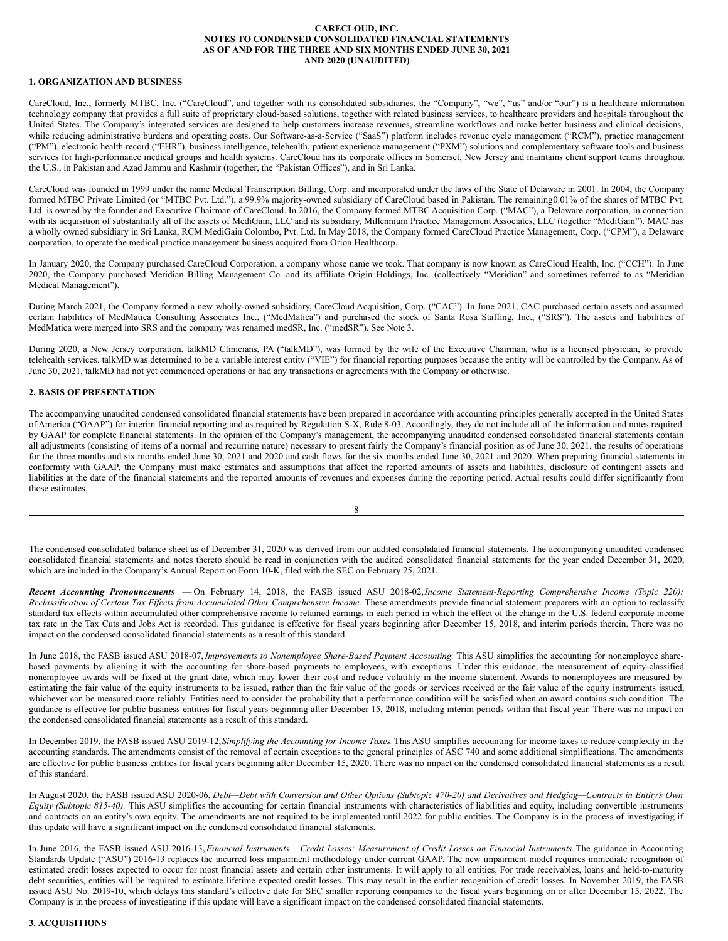## **CARECLOUD, INC. NOTES TO CONDENSED CONSOLIDATED FINANCIAL STATEMENTS AS OF AND FOR THE THREE AND SIX MONTHS ENDED JUNE 30, 2021 AND 2020 (UNAUDITED)**

## **1. ORGANIZATION AND BUSINESS**

CareCloud, Inc., formerly MTBC, Inc. ("CareCloud", and together with its consolidated subsidiaries, the "Company", "we", "us" and/or "our") is a healthcare information technology company that provides a full suite of proprietary cloud-based solutions, together with related business services, to healthcare providers and hospitals throughout the United States. The Company's integrated services are designed to help customers increase revenues, streamline workflows and make better business and clinical decisions, while reducing administrative burdens and operating costs. Our Software-as-a-Service ("SaaS") platform includes revenue cycle management ("RCM"), practice management ("PM"), electronic health record ("EHR"), business intelligence, telehealth, patient experience management ("PXM") solutions and complementary software tools and business services for high-performance medical groups and health systems. CareCloud has its corporate offices in Somerset, New Jersey and maintains client support teams throughout the U.S., in Pakistan and Azad Jammu and Kashmir (together, the "Pakistan Offices"), and in Sri Lanka.

CareCloud was founded in 1999 under the name Medical Transcription Billing, Corp. and incorporated under the laws of the State of Delaware in 2001. In 2004, the Company formed MTBC Private Limited (or "MTBC Pvt. Ltd."), a 99.9% majority-owned subsidiary of CareCloud based in Pakistan. The remaining0.01% of the shares of MTBC Pvt. Ltd. is owned by the founder and Executive Chairman of CareCloud. In 2016, the Company formed MTBC Acquisition Corp. ("MAC"), a Delaware corporation, in connection with its acquisition of substantially all of the assets of MediGain, LLC and its subsidiary, Millennium Practice Management Associates, LLC (together "MediGain"). MAC has a wholly owned subsidiary in Sri Lanka, RCM MediGain Colombo, Pvt. Ltd. In May 2018, the Company formed CareCloud Practice Management, Corp. ("CPM"), a Delaware corporation, to operate the medical practice management business acquired from Orion Healthcorp.

In January 2020, the Company purchased CareCloud Corporation, a company whose name we took. That company is now known as CareCloud Health, Inc. ("CCH"). In June 2020, the Company purchased Meridian Billing Management Co. and its affiliate Origin Holdings, Inc. (collectively "Meridian" and sometimes referred to as "Meridian Medical Management").

During March 2021, the Company formed a new wholly-owned subsidiary, CareCloud Acquisition, Corp. ("CAC"). In June 2021, CAC purchased certain assets and assumed certain liabilities of MedMatica Consulting Associates Inc., ("MedMatica") and purchased the stock of Santa Rosa Staffing, Inc., ("SRS"). The assets and liabilities of MedMatica were merged into SRS and the company was renamed medSR, Inc. ("medSR"). See Note 3.

During 2020, a New Jersey corporation, talkMD Clinicians, PA ("talkMD"), was formed by the wife of the Executive Chairman, who is a licensed physician, to provide telehealth services. talkMD was determined to be a variable interest entity ("VIE") for financial reporting purposes because the entity will be controlled by the Company. As of June 30, 2021, talkMD had not yet commenced operations or had any transactions or agreements with the Company or otherwise.

## **2. BASIS OF PRESENTATION**

The accompanying unaudited condensed consolidated financial statements have been prepared in accordance with accounting principles generally accepted in the United States of America ("GAAP") for interim financial reporting and as required by Regulation S-X, Rule 8-03. Accordingly, they do not include all of the information and notes required by GAAP for complete financial statements. In the opinion of the Company's management, the accompanying unaudited condensed consolidated financial statements contain all adjustments (consisting of items of a normal and recurring nature) necessary to present fairly the Company's financial position as of June 30, 2021, the results of operations for the three months and six months ended June 30, 2021 and 2020 and cash flows for the six months ended June 30, 2021 and 2020. When preparing financial statements in conformity with GAAP, the Company must make estimates and assumptions that affect the reported amounts of assets and liabilities, disclosure of contingent assets and liabilities at the date of the financial statements and the reported amounts of revenues and expenses during the reporting period. Actual results could differ significantly from those estimates.

8

The condensed consolidated balance sheet as of December 31, 2020 was derived from our audited consolidated financial statements. The accompanying unaudited condensed consolidated financial statements and notes thereto should be read in conjunction with the audited consolidated financial statements for the year ended December 31, 2020, which are included in the Company's Annual Report on Form 10-K, filed with the SEC on February 25, 2021.

*Recent Accounting Pronouncements* — On February 14, 2018, the FASB issued ASU 2018-02,*Income Statement-Reporting Comprehensive Income (Topic 220):* Reclassification of Certain Tax Effects from Accumulated Other Comprehensive Income. These amendments provide financial statement preparers with an option to reclassify standard tax effects within accumulated other comprehensive income to retained earnings in each period in which the effect of the change in the U.S. federal corporate income tax rate in the Tax Cuts and Jobs Act is recorded. This guidance is effective for fiscal years beginning after December 15, 2018, and interim periods therein. There was no impact on the condensed consolidated financial statements as a result of this standard.

In June 2018, the FASB issued ASU 2018-07,*Improvements to Nonemployee Share-Based Payment Accounting*. This ASU simplifies the accounting for nonemployee sharebased payments by aligning it with the accounting for share-based payments to employees, with exceptions. Under this guidance, the measurement of equity-classified nonemployee awards will be fixed at the grant date, which may lower their cost and reduce volatility in the income statement. Awards to nonemployees are measured by estimating the fair value of the equity instruments to be issued, rather than the fair value of the goods or services received or the fair value of the equity instruments issued, whichever can be measured more reliably. Entities need to consider the probability that a performance condition will be satisfied when an award contains such condition. The guidance is effective for public business entities for fiscal years beginning after December 15, 2018, including interim periods within that fiscal year. There was no impact on the condensed consolidated financial statements as a result of this standard.

In December 2019, the FASB issued ASU 2019-12,*Simplifying the Accounting for Income Taxes*. This ASU simplifies accounting for income taxes to reduce complexity in the accounting standards. The amendments consist of the removal of certain exceptions to the general principles of ASC 740 and some additional simplifications. The amendments are effective for public business entities for fiscal years beginning after December 15, 2020. There was no impact on the condensed consolidated financial statements as a result of this standard.

In August 2020, the FASB issued ASU 2020-06, Debt-Debt with Conversion and Other Options (Subtopic 470-20) and Derivatives and Hedging-Contracts in Entity's Own *Equity (Subtopic 815-40).* This ASU simplifies the accounting for certain financial instruments with characteristics of liabilities and equity, including convertible instruments and contracts on an entity's own equity. The amendments are not required to be implemented until 2022 for public entities. The Company is in the process of investigating if this update will have a significant impact on the condensed consolidated financial statements.

In June 2016, the FASB issued ASU 2016-13, Financial Instruments - Credit Losses: Measurement of Credit Losses on Financial Instruments. The guidance in Accounting Standards Update ("ASU") 2016-13 replaces the incurred loss impairment methodology under current GAAP. The new impairment model requires immediate recognition of estimated credit losses expected to occur for most financial assets and certain other instruments. It will apply to all entities. For trade receivables, loans and held-to-maturity debt securities, entities will be required to estimate lifetime expected credit losses. This may result in the earlier recognition of credit losses. In November 2019, the FASB issued ASU No. 2019-10, which delays this standard's effective date for SEC smaller reporting companies to the fiscal years beginning on or after December 15, 2022. The Company is in the process of investigating if this update will have a significant impact on the condensed consolidated financial statements.

## **3. ACQUISITIONS**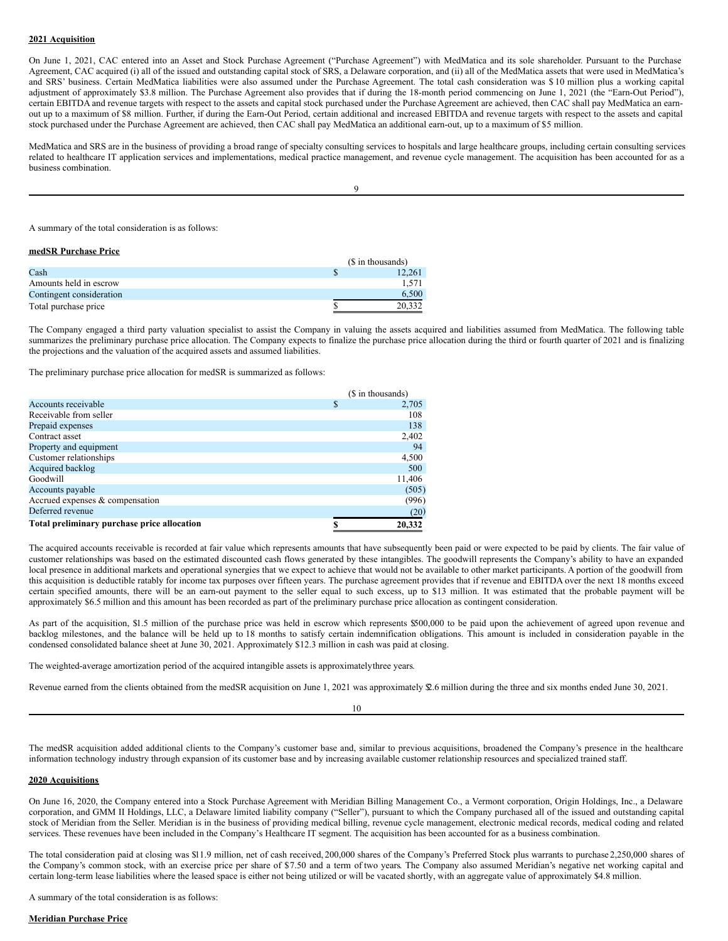### **2021 Acquisition**

On June 1, 2021, CAC entered into an Asset and Stock Purchase Agreement ("Purchase Agreement") with MedMatica and its sole shareholder. Pursuant to the Purchase Agreement, CAC acquired (i) all of the issued and outstanding capital stock of SRS, a Delaware corporation, and (ii) all of the MedMatica assets that were used in MedMatica's and SRS' business. Certain MedMatica liabilities were also assumed under the Purchase Agreement. The total cash consideration was \$ 10 million plus a working capital adjustment of approximately \$3.8 million. The Purchase Agreement also provides that if during the 18-month period commencing on June 1, 2021 (the "Earn-Out Period"), certain EBITDA and revenue targets with respect to the assets and capital stock purchased under the Purchase Agreement are achieved, then CAC shall pay MedMatica an earnout up to a maximum of \$8 million. Further, if during the Earn-Out Period, certain additional and increased EBITDA and revenue targets with respect to the assets and capital stock purchased under the Purchase Agreement are achieved, then CAC shall pay MedMatica an additional earn-out, up to a maximum of \$5 million.

MedMatica and SRS are in the business of providing a broad range of specialty consulting services to hospitals and large healthcare groups, including certain consulting services related to healthcare IT application services and implementations, medical practice management, and revenue cycle management. The acquisition has been accounted for as a business combination.

9

A summary of the total consideration is as follows:

#### **medSR Purchase Price**

|                          | (\$ in thousands) |
|--------------------------|-------------------|
| Cash                     | 12.261            |
| Amounts held in escrow   | 1.571             |
| Contingent consideration | 6.500             |
| Total purchase price     | 20.332            |

The Company engaged a third party valuation specialist to assist the Company in valuing the assets acquired and liabilities assumed from MedMatica. The following table summarizes the preliminary purchase price allocation. The Company expects to finalize the purchase price allocation during the third or fourth quarter of 2021 and is finalizing the projections and the valuation of the acquired assets and assumed liabilities.

The preliminary purchase price allocation for medSR is summarized as follows:

|                                             |   | (\$ in thousands) |
|---------------------------------------------|---|-------------------|
| Accounts receivable                         | S | 2,705             |
| Receivable from seller                      |   | 108               |
| Prepaid expenses                            |   | 138               |
| Contract asset                              |   | 2,402             |
| Property and equipment                      |   | 94                |
| Customer relationships                      |   | 4,500             |
| Acquired backlog                            |   | 500               |
| Goodwill                                    |   | 11,406            |
| Accounts payable                            |   | (505)             |
| Accrued expenses & compensation             |   | (996)             |
| Deferred revenue                            |   | (20)              |
| Total preliminary purchase price allocation |   | 20,332            |

The acquired accounts receivable is recorded at fair value which represents amounts that have subsequently been paid or were expected to be paid by clients. The fair value of customer relationships was based on the estimated discounted cash flows generated by these intangibles. The goodwill represents the Company's ability to have an expanded local presence in additional markets and operational synergies that we expect to achieve that would not be available to other market participants. A portion of the goodwill from this acquisition is deductible ratably for income tax purposes over fifteen years. The purchase agreement provides that if revenue and EBITDA over the next 18 months exceed certain specified amounts, there will be an earn-out payment to the seller equal to such excess, up to \$13 million. It was estimated that the probable payment will be approximately \$6.5 million and this amount has been recorded as part of the preliminary purchase price allocation as contingent consideration.

As part of the acquisition, \$1.5 million of the purchase price was held in escrow which represents \$500,000 to be paid upon the achievement of agreed upon revenue and backlog milestones, and the balance will be held up to 18 months to satisfy certain indemnification obligations. This amount is included in consideration payable in the condensed consolidated balance sheet at June 30, 2021. Approximately \$12.3 million in cash was paid at closing.

The weighted-average amortization period of the acquired intangible assets is approximatelythree years.

Revenue earned from the clients obtained from the medSR acquisition on June 1, 2021 was approximately \$2.6 million during the three and six months ended June 30, 2021.

10

The medSR acquisition added additional clients to the Company's customer base and, similar to previous acquisitions, broadened the Company's presence in the healthcare information technology industry through expansion of its customer base and by increasing available customer relationship resources and specialized trained staff.

#### **2020 Acquisitions**

On June 16, 2020, the Company entered into a Stock Purchase Agreement with Meridian Billing Management Co., a Vermont corporation, Origin Holdings, Inc., a Delaware corporation, and GMM II Holdings, LLC, a Delaware limited liability company ("Seller"), pursuant to which the Company purchased all of the issued and outstanding capital stock of Meridian from the Seller. Meridian is in the business of providing medical billing, revenue cycle management, electronic medical records, medical coding and related services. These revenues have been included in the Company's Healthcare IT segment. The acquisition has been accounted for as a business combination.

The total consideration paid at closing was \$11.9 million, net of cash received, 200,000 shares of the Company's Preferred Stock plus warrants to purchase 2,250,000 shares of the Company's common stock, with an exercise price per share of \$7.50 and a term of two years. The Company also assumed Meridian's negative net working capital and certain long-term lease liabilities where the leased space is either not being utilized or will be vacated shortly, with an aggregate value of approximately \$4.8 million.

A summary of the total consideration is as follows:

## **Meridian Purchase Price**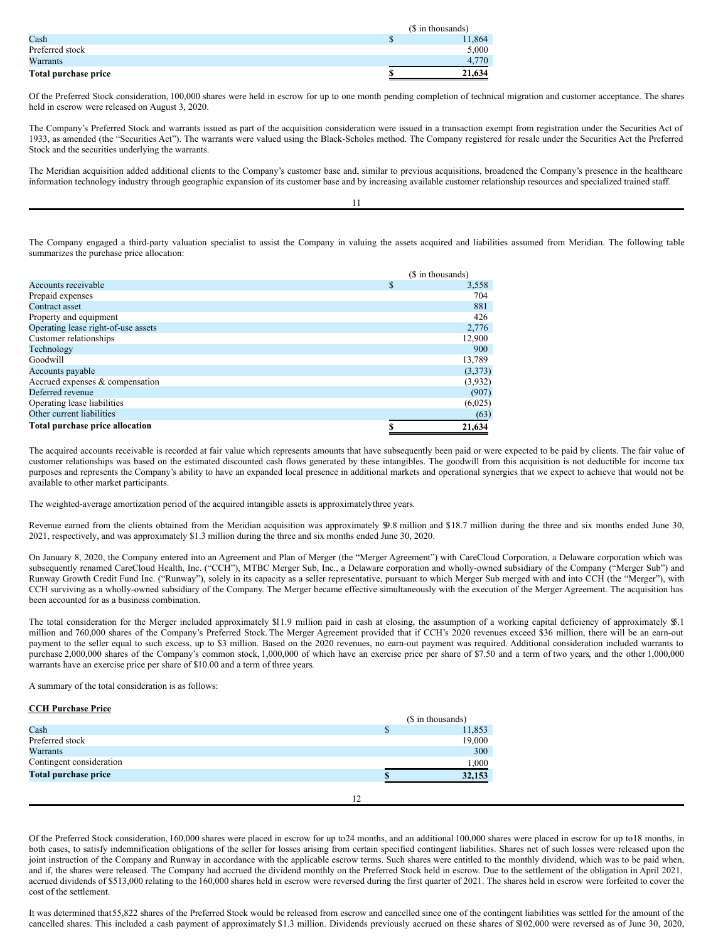|                      | (\$ in thousands) |
|----------------------|-------------------|
| Cash                 | 1.864             |
| Preferred stock      | 5.000             |
| Warrants             | 4.770             |
| Total purchase price | 21,634            |

Of the Preferred Stock consideration, 100,000 shares were held in escrow for up to one month pending completion of technical migration and customer acceptance. The shares held in escrow were released on August 3, 2020.

The Company's Preferred Stock and warrants issued as part of the acquisition consideration were issued in a transaction exempt from registration under the Securities Act of 1933, as amended (the "Securities Act"). The warrants were valued using the Black-Scholes method. The Company registered for resale under the Securities Act the Preferred Stock and the securities underlying the warrants.

The Meridian acquisition added additional clients to the Company's customer base and, similar to previous acquisitions, broadened the Company's presence in the healthcare information technology industry through geographic expansion of its customer base and by increasing available customer relationship resources and specialized trained staff.

11

The Company engaged a third-party valuation specialist to assist the Company in valuing the assets acquired and liabilities assumed from Meridian. The following table summarizes the purchase price allocation:

|                                     | (\$ in thousands) |
|-------------------------------------|-------------------|
| Accounts receivable                 | \$<br>3,558       |
| Prepaid expenses                    | 704               |
| Contract asset                      | 881               |
| Property and equipment              | 426               |
| Operating lease right-of-use assets | 2,776             |
| Customer relationships              | 12,900            |
| Technology                          | 900               |
| Goodwill                            | 13,789            |
| Accounts payable                    | (3,373)           |
| Accrued expenses & compensation     | (3,932)           |
| Deferred revenue                    | (907)             |
| Operating lease liabilities         | (6,025)           |
| Other current liabilities           | (63)              |
| Total purchase price allocation     | 21.634            |

The acquired accounts receivable is recorded at fair value which represents amounts that have subsequently been paid or were expected to be paid by clients. The fair value of customer relationships was based on the estimated discounted cash flows generated by these intangibles. The goodwill from this acquisition is not deductible for income tax purposes and represents the Company's ability to have an expanded local presence in additional markets and operational synergies that we expect to achieve that would not be available to other market participants.

The weighted-average amortization period of the acquired intangible assets is approximatelythree years.

Revenue earned from the clients obtained from the Meridian acquisition was approximately \$9.8 million and \$18.7 million during the three and six months ended June 30, 2021, respectively, and was approximately \$1.3 million during the three and six months ended June 30, 2020.

On January 8, 2020, the Company entered into an Agreement and Plan of Merger (the "Merger Agreement") with CareCloud Corporation, a Delaware corporation which was subsequently renamed CareCloud Health, Inc. ("CCH"), MTBC Merger Sub, Inc., a Delaware corporation and wholly-owned subsidiary of the Company ("Merger Sub") and Runway Growth Credit Fund Inc. ("Runway"), solely in its capacity as a seller representative, pursuant to which Merger Sub merged with and into CCH (the "Merger"), with CCH surviving as a wholly-owned subsidiary of the Company. The Merger became effective simultaneously with the execution of the Merger Agreement. The acquisition has been accounted for as a business combination.

The total consideration for the Merger included approximately \$11.9 million paid in cash at closing, the assumption of a working capital deficiency of approximately \$.1 million and 760,000 shares of the Company's Preferred Stock. The Merger Agreement provided that if CCH's 2020 revenues exceed \$36 million, there will be an earn-out payment to the seller equal to such excess, up to \$3 million. Based on the 2020 revenues, no earn-out payment was required. Additional consideration included warrants to purchase 2,000,000 shares of the Company's common stock, 1,000,000 of which have an exercise price per share of \$7.50 and a term of two years, and the other 1,000,000 warrants have an exercise price per share of \$10.00 and a term of three years.

A summary of the total consideration is as follows:

## **CCH Purchase Price**

|                             |    |   | (\$ in thousands) |
|-----------------------------|----|---|-------------------|
| Cash                        |    | S | 11,853            |
| Preferred stock             |    |   | 19,000            |
| Warrants                    |    |   | 300               |
| Contingent consideration    |    |   | 1,000             |
| <b>Total purchase price</b> |    |   | 32,153            |
|                             |    |   |                   |
|                             | 12 |   |                   |

Of the Preferred Stock consideration, 160,000 shares were placed in escrow for up to24 months, and an additional 100,000 shares were placed in escrow for up to18 months, in both cases, to satisfy indemnification obligations of the seller for losses arising from certain specified contingent liabilities. Shares net of such losses were released upon the joint instruction of the Company and Runway in accordance with the applicable escrow terms. Such shares were entitled to the monthly dividend, which was to be paid when, and if, the shares were released. The Company had accrued the dividend monthly on the Preferred Stock held in escrow. Due to the settlement of the obligation in April 2021, accrued dividends of \$513,000 relating to the 160,000 shares held in escrow were reversed during the first quarter of 2021. The shares held in escrow were forfeited to cover the cost of the settlement.

It was determined that55,822 shares of the Preferred Stock would be released from escrow and cancelled since one of the contingent liabilities was settled for the amount of the cancelled shares. This included a cash payment of approximately \$1.3 million. Dividends previously accrued on these shares of \$102,000 were reversed as of June 30, 2020,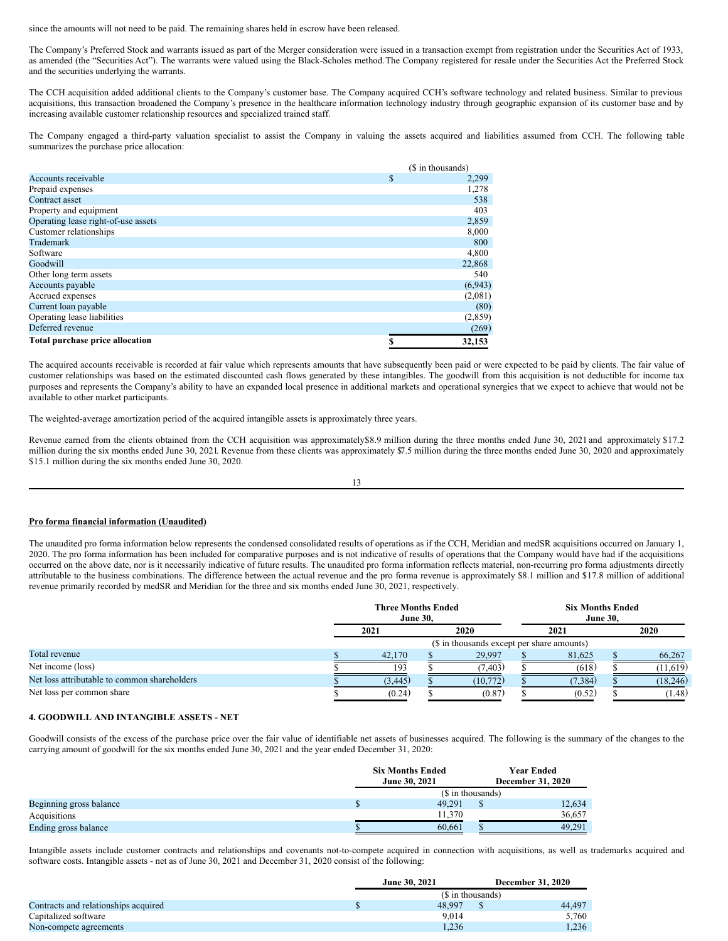since the amounts will not need to be paid. The remaining shares held in escrow have been released.

The Company's Preferred Stock and warrants issued as part of the Merger consideration were issued in a transaction exempt from registration under the Securities Act of 1933, as amended (the "Securities Act"). The warrants were valued using the Black-Scholes method.The Company registered for resale under the Securities Act the Preferred Stock and the securities underlying the warrants.

The CCH acquisition added additional clients to the Company's customer base. The Company acquired CCH's software technology and related business. Similar to previous acquisitions, this transaction broadened the Company's presence in the healthcare information technology industry through geographic expansion of its customer base and by increasing available customer relationship resources and specialized trained staff.

The Company engaged a third-party valuation specialist to assist the Company in valuing the assets acquired and liabilities assumed from CCH. The following table summarizes the purchase price allocation:

|                                     |    | (\$ in thousands) |
|-------------------------------------|----|-------------------|
| Accounts receivable                 | \$ | 2,299             |
| Prepaid expenses                    |    | 1,278             |
| Contract asset                      |    | 538               |
| Property and equipment              |    | 403               |
| Operating lease right-of-use assets |    | 2,859             |
| Customer relationships              |    | 8,000             |
| Trademark                           |    | 800               |
| Software                            |    | 4,800             |
| Goodwill                            |    | 22,868            |
| Other long term assets              |    | 540               |
| Accounts payable                    |    | (6, 943)          |
| Accrued expenses                    |    | (2,081)           |
| Current loan payable                |    | (80)              |
| Operating lease liabilities         |    | (2,859)           |
| Deferred revenue                    |    | (269)             |
| Total purchase price allocation     | S  | 32,153            |

The acquired accounts receivable is recorded at fair value which represents amounts that have subsequently been paid or were expected to be paid by clients. The fair value of customer relationships was based on the estimated discounted cash flows generated by these intangibles. The goodwill from this acquisition is not deductible for income tax purposes and represents the Company's ability to have an expanded local presence in additional markets and operational synergies that we expect to achieve that would not be available to other market participants.

The weighted-average amortization period of the acquired intangible assets is approximately three years.

Revenue earned from the clients obtained from the CCH acquisition was approximately \$8.9 million during the three months ended June 30, 2021 and approximately \$17.2 million during the six months ended June 30, 2021. Revenue from these clients was approximately \$7.5 million during the three months ended June 30, 2020 and approximately \$15.1 million during the six months ended June 30, 2020.

13

## **Pro forma financial information (Unaudited)**

The unaudited pro forma information below represents the condensed consolidated results of operations as if the CCH, Meridian and medSR acquisitions occurred on January 1, 2020. The pro forma information has been included for comparative purposes and is not indicative of results of operations that the Company would have had if the acquisitions occurred on the above date, nor is it necessarily indicative of future results. The unaudited pro forma information reflects material, non-recurring pro forma adjustments directly attributable to the business combinations. The difference between the actual revenue and the pro forma revenue is approximately \$8.1 million and \$17.8 million of additional revenue primarily recorded by medSR and Meridian for the three and six months ended June 30, 2021, respectively.

|                                              | <b>Three Months Ended</b><br><b>June 30,</b> |  |                                            | <b>Six Months Ended</b><br><b>June 30.</b> |         |  |          |
|----------------------------------------------|----------------------------------------------|--|--------------------------------------------|--------------------------------------------|---------|--|----------|
|                                              | 2021                                         |  | 2020                                       |                                            | 2021    |  | 2020     |
|                                              |                                              |  | (\$ in thousands except per share amounts) |                                            |         |  |          |
| Total revenue                                | 42,170                                       |  | 29,997                                     |                                            | 81.625  |  | 66,267   |
| Net income (loss)                            | 193                                          |  | (7, 403)                                   |                                            | (618)   |  | (11,619) |
| Net loss attributable to common shareholders | (3, 445)                                     |  | (10, 772)                                  |                                            | (7,384) |  | (18,246) |
| Net loss per common share                    | (0.24)                                       |  | (0.87)                                     |                                            | (0.52)  |  | (1.48)   |

## **4. GOODWILL AND INTANGIBLE ASSETS - NET**

Goodwill consists of the excess of the purchase price over the fair value of identifiable net assets of businesses acquired. The following is the summary of the changes to the carrying amount of goodwill for the six months ended June 30, 2021 and the year ended December 31, 2020:

|                         | <b>Six Months Ended</b><br>June 30, 2021 | <b>Year Ended</b><br><b>December 31, 2020</b> |        |  |
|-------------------------|------------------------------------------|-----------------------------------------------|--------|--|
|                         |                                          | (\$ in thousands)                             |        |  |
| Beginning gross balance | 49.291                                   |                                               | 12,634 |  |
| Acquisitions            | 11.370                                   |                                               | 36,657 |  |
| Ending gross balance    | 60.661                                   |                                               | 49.291 |  |

Intangible assets include customer contracts and relationships and covenants not-to-compete acquired in connection with acquisitions, as well as trademarks acquired and software costs. Intangible assets - net as of June 30, 2021 and December 31, 2020 consist of the following:

|                                      | <b>June 30, 2021</b> |  | <b>December 31, 2020</b> |  |
|--------------------------------------|----------------------|--|--------------------------|--|
|                                      | (\$ in thousands)    |  |                          |  |
| Contracts and relationships acquired | 48.997               |  | 44,497                   |  |
| Capitalized software                 | 9.014                |  | 5.760                    |  |
| Non-compete agreements               | 1.236                |  | .236                     |  |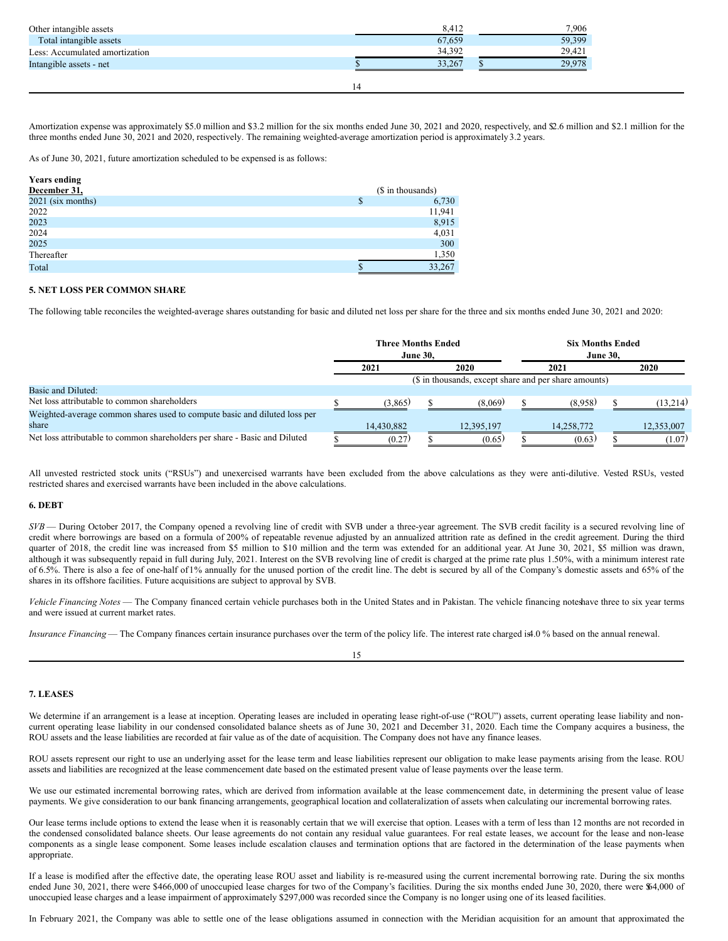| Other intangible assets        |                | 8.412  | 7.906  |
|--------------------------------|----------------|--------|--------|
| Total intangible assets        |                | 67,659 | 59,399 |
| Less: Accumulated amortization |                | 34,392 | 29,421 |
| Intangible assets - net        |                | 33.267 | 29.978 |
|                                |                |        |        |
|                                | $\overline{4}$ |        |        |

Amortization expense was approximately \$5.0 million and \$3.2 million for the six months ended June 30, 2021 and 2020, respectively, and \$2.6 million and \$2.1 million for the three months ended June 30, 2021 and 2020, respectively. The remaining weighted-average amortization period is approximately 3.2 years.

As of June 30, 2021, future amortization scheduled to be expensed is as follows:

|  | Years ending |
|--|--------------|
|--|--------------|

| December 31,      |   | (\$ in thousands) |  |  |  |  |
|-------------------|---|-------------------|--|--|--|--|
| 2021 (six months) | S | 6,730             |  |  |  |  |
| 2022              |   | 11,941            |  |  |  |  |
| 2023              |   | 8,915             |  |  |  |  |
| 2024              |   | 4,031             |  |  |  |  |
| 2025              |   | 300               |  |  |  |  |
| Thereafter        |   | 1,350             |  |  |  |  |
| Total             |   | 33,267            |  |  |  |  |

## **5. NET LOSS PER COMMON SHARE**

The following table reconciles the weighted-average shares outstanding for basic and diluted net loss per share for the three and six months ended June 30, 2021 and 2020:

|                                                                            | <b>Three Months Ended</b><br><b>June 30,</b> |            |      | <b>Six Months Ended</b><br><b>June 30,</b>            |      |            |  |            |
|----------------------------------------------------------------------------|----------------------------------------------|------------|------|-------------------------------------------------------|------|------------|--|------------|
|                                                                            | 2020<br>2021                                 |            | 2021 |                                                       | 2020 |            |  |            |
|                                                                            |                                              |            |      | (\$ in thousands, except share and per share amounts) |      |            |  |            |
| Basic and Diluted:                                                         |                                              |            |      |                                                       |      |            |  |            |
| Net loss attributable to common shareholders                               |                                              | (3,865)    |      | (8.069)                                               |      | (8.958)    |  | (13.214)   |
| Weighted-average common shares used to compute basic and diluted loss per  |                                              |            |      |                                                       |      |            |  |            |
| share                                                                      |                                              | 14,430,882 |      | 12,395,197                                            |      | 14.258.772 |  | 12,353,007 |
| Net loss attributable to common shareholders per share - Basic and Diluted |                                              | (0.27)     |      | (0.65)                                                |      | (0.63)     |  | 1.07)      |

All unvested restricted stock units ("RSUs") and unexercised warrants have been excluded from the above calculations as they were anti-dilutive. Vested RSUs, vested restricted shares and exercised warrants have been included in the above calculations.

## **6. DEBT**

*SVB* — During October 2017, the Company opened a revolving line of credit with SVB under a three-year agreement. The SVB credit facility is a secured revolving line of credit where borrowings are based on a formula of 200% of repeatable revenue adjusted by an annualized attrition rate as defined in the credit agreement. During the third quarter of 2018, the credit line was increased from \$5 million to \$10 million and the term was extended for an additional year. At June 30, 2021, \$5 million was drawn, although it was subsequently repaid in full during July, 2021. Interest on the SVB revolving line of credit is charged at the prime rate plus 1.50%, with a minimum interest rate of 6.5%. There is also a fee of one-half of1% annually for the unused portion of the credit line. The debt is secured by all of the Company's domestic assets and 65% of the shares in its offshore facilities. Future acquisitions are subject to approval by SVB.

*Vehicle Financing Notes* — The Company financed certain vehicle purchases both in the United States and in Pakistan. The vehicle financing noteshave three to six year terms and were issued at current market rates.

*Insurance Financing* — The Company finances certain insurance purchases over the term of the policy life. The interest rate charged is 4.0 % based on the annual renewal.

## 15

#### **7. LEASES**

We determine if an arrangement is a lease at inception. Operating leases are included in operating lease right-of-use ("ROU") assets, current operating lease liability and noncurrent operating lease liability in our condensed consolidated balance sheets as of June 30, 2021 and December 31, 2020. Each time the Company acquires a business, the ROU assets and the lease liabilities are recorded at fair value as of the date of acquisition. The Company does not have any finance leases.

ROU assets represent our right to use an underlying asset for the lease term and lease liabilities represent our obligation to make lease payments arising from the lease. ROU assets and liabilities are recognized at the lease commencement date based on the estimated present value of lease payments over the lease term.

We use our estimated incremental borrowing rates, which are derived from information available at the lease commencement date, in determining the present value of lease payments. We give consideration to our bank financing arrangements, geographical location and collateralization of assets when calculating our incremental borrowing rates.

Our lease terms include options to extend the lease when it is reasonably certain that we will exercise that option. Leases with a term of less than 12 months are not recorded in the condensed consolidated balance sheets. Our lease agreements do not contain any residual value guarantees. For real estate leases, we account for the lease and non-lease components as a single lease component. Some leases include escalation clauses and termination options that are factored in the determination of the lease payments when appropriate.

If a lease is modified after the effective date, the operating lease ROU asset and liability is re-measured using the current incremental borrowing rate. During the six months ended June 30, 2021, there were \$466,000 of unoccupied lease charges for two of the Company's facilities. During the six months ended June 30, 2020, there were \$4,000 of unoccupied lease charges and a lease impairment of approximately \$297,000 was recorded since the Company is no longer using one of its leased facilities.

In February 2021, the Company was able to settle one of the lease obligations assumed in connection with the Meridian acquisition for an amount that approximated the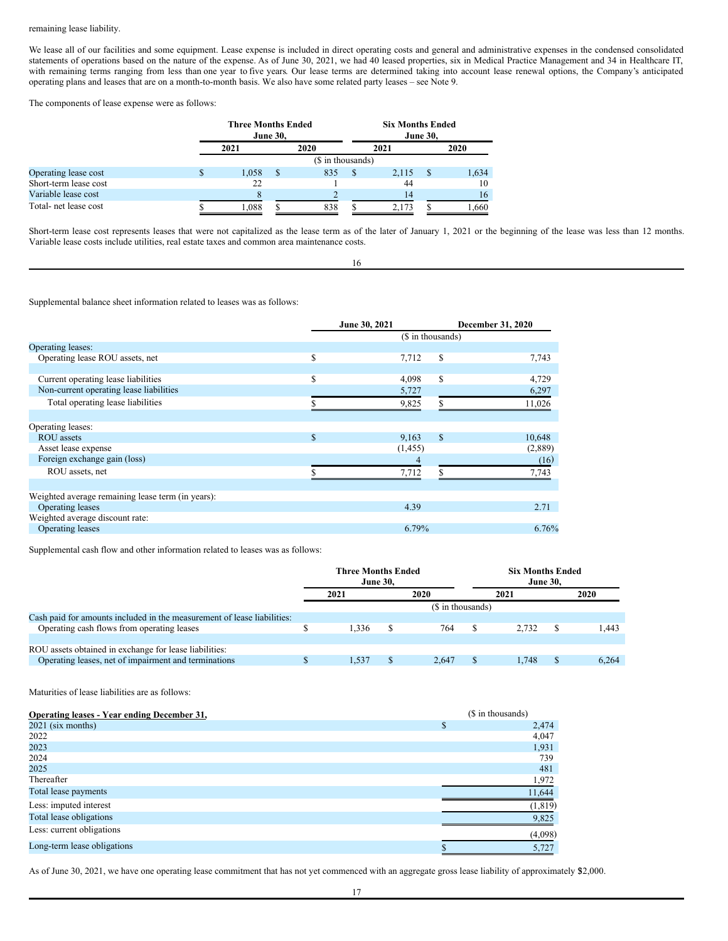## remaining lease liability.

We lease all of our facilities and some equipment. Lease expense is included in direct operating costs and general and administrative expenses in the condensed consolidated statements of operations based on the nature of the expense. As of June 30, 2021, we had 40 leased properties, six in Medical Practice Management and 34 in Healthcare IT, with remaining terms ranging from less than one year to five years. Our lease terms are determined taking into account lease renewal options, the Company's anticipated operating plans and leases that are on a month-to-month basis. We also have some related party leases – see Note 9.

The components of lease expense were as follows:

|                       | <b>Three Months Ended</b><br><b>June 30,</b> |    |                   |       | <b>Six Months Ended</b><br><b>June 30,</b> |       |  |
|-----------------------|----------------------------------------------|----|-------------------|-------|--------------------------------------------|-------|--|
|                       | 2021                                         |    | 2020              | 2021  |                                            | 2020  |  |
|                       |                                              |    | (\$ in thousands) |       |                                            |       |  |
| Operating lease cost  | 1.058                                        | -S | 835               | 2.115 |                                            | 1,634 |  |
| Short-term lease cost | 22                                           |    |                   | 44    |                                            | 10    |  |
| Variable lease cost   |                                              |    |                   | 14    |                                            | 16    |  |
| Total-net lease cost  | 1,088                                        |    | 838               | 2,173 |                                            | 1,660 |  |

Short-term lease cost represents leases that were not capitalized as the lease term as of the later of January 1, 2021 or the beginning of the lease was less than 12 months. Variable lease costs include utilities, real estate taxes and common area maintenance costs.

Supplemental balance sheet information related to leases was as follows:

|                                                   |               | June 30, 2021     | <b>December 31, 2020</b> |         |  |
|---------------------------------------------------|---------------|-------------------|--------------------------|---------|--|
|                                                   |               | (\$ in thousands) |                          |         |  |
| Operating leases:                                 |               |                   |                          |         |  |
| Operating lease ROU assets, net                   | \$            | 7,712             | S                        | 7,743   |  |
|                                                   |               |                   |                          |         |  |
| Current operating lease liabilities               | S             | 4,098             | \$                       | 4,729   |  |
| Non-current operating lease liabilities           |               | 5,727             |                          | 6,297   |  |
| Total operating lease liabilities                 |               | 9,825             |                          | 11,026  |  |
|                                                   |               |                   |                          |         |  |
| Operating leases:                                 |               |                   |                          |         |  |
| <b>ROU</b> assets                                 | $\mathcal{S}$ | 9,163             | $\mathbf{s}$             | 10,648  |  |
| Asset lease expense                               |               | (1, 455)          |                          | (2,889) |  |
| Foreign exchange gain (loss)                      |               | 4                 |                          | (16)    |  |
| ROU assets, net                                   |               | 7,712             | \$                       | 7,743   |  |
|                                                   |               |                   |                          |         |  |
| Weighted average remaining lease term (in years): |               |                   |                          |         |  |
| Operating leases                                  |               | 4.39              |                          | 2.71    |  |
| Weighted average discount rate:                   |               |                   |                          |         |  |
| Operating leases                                  |               | 6.79%             |                          | 6.76%   |  |

Supplemental cash flow and other information related to leases was as follows:

|                                                                         | <b>Three Months Ended</b><br><b>June 30.</b> |       |  | <b>Six Months Ended</b><br><b>June 30.</b> |      |       |  |       |
|-------------------------------------------------------------------------|----------------------------------------------|-------|--|--------------------------------------------|------|-------|--|-------|
|                                                                         | 2021                                         |       |  | 2020                                       | 2021 |       |  | 2020  |
|                                                                         |                                              |       |  | (\$ in thousands)                          |      |       |  |       |
| Cash paid for amounts included in the measurement of lease liabilities: |                                              |       |  |                                            |      |       |  |       |
| Operating cash flows from operating leases                              |                                              | 1.336 |  | 764                                        |      | 2.732 |  | 1.443 |
|                                                                         |                                              |       |  |                                            |      |       |  |       |
| ROU assets obtained in exchange for lease liabilities:                  |                                              |       |  |                                            |      |       |  |       |
| Operating leases, net of impairment and terminations                    |                                              | . 537 |  | 2.647                                      |      | l.748 |  | 6.264 |

Maturities of lease liabilities are as follows:

| <b>Operating leases - Year ending December 31,</b> | (\$ in thousands) |  |  |  |
|----------------------------------------------------|-------------------|--|--|--|
| $2021$ (six months)                                | \$<br>2,474       |  |  |  |
| 2022                                               | 4,047             |  |  |  |
| 2023                                               | 1,931             |  |  |  |
| 2024                                               | 739               |  |  |  |
| 2025                                               | 481               |  |  |  |
| Thereafter                                         | 1,972             |  |  |  |
| Total lease payments                               | 11,644            |  |  |  |
| Less: imputed interest                             | (1, 819)          |  |  |  |
| Total lease obligations                            | 9,825             |  |  |  |
| Less: current obligations                          | (4,098)           |  |  |  |
| Long-term lease obligations                        | 5.727             |  |  |  |

As of June 30, 2021, we have one operating lease commitment that has not yet commenced with an aggregate gross lease liability of approximately \$32,000.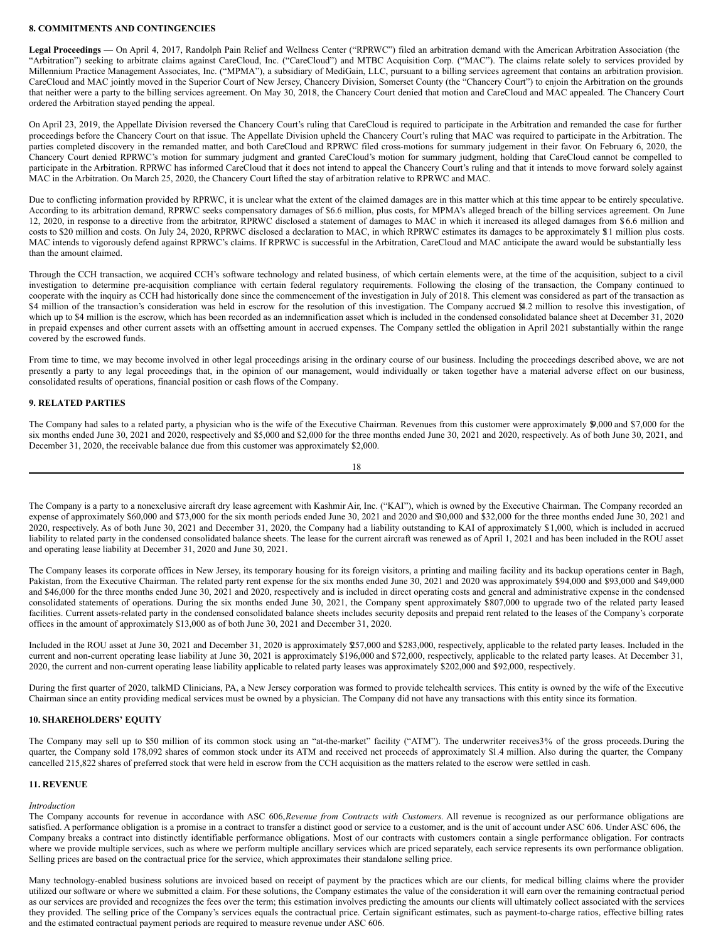## **8. COMMITMENTS AND CONTINGENCIES**

**Legal Proceedings** — On April 4, 2017, Randolph Pain Relief and Wellness Center ("RPRWC") filed an arbitration demand with the American Arbitration Association (the "Arbitration") seeking to arbitrate claims against CareCloud, Inc. ("CareCloud") and MTBC Acquisition Corp. ("MAC"). The claims relate solely to services provided by Millennium Practice Management Associates, Inc. ("MPMA"), a subsidiary of MediGain, LLC, pursuant to a billing services agreement that contains an arbitration provision. CareCloud and MAC jointly moved in the Superior Court of New Jersey, Chancery Division, Somerset County (the "Chancery Court") to enjoin the Arbitration on the grounds that neither were a party to the billing services agreement. On May 30, 2018, the Chancery Court denied that motion and CareCloud and MAC appealed. The Chancery Court ordered the Arbitration stayed pending the appeal.

On April 23, 2019, the Appellate Division reversed the Chancery Court's ruling that CareCloud is required to participate in the Arbitration and remanded the case for further proceedings before the Chancery Court on that issue. The Appellate Division upheld the Chancery Court's ruling that MAC was required to participate in the Arbitration. The parties completed discovery in the remanded matter, and both CareCloud and RPRWC filed cross-motions for summary judgement in their favor. On February 6, 2020, the Chancery Court denied RPRWC's motion for summary judgment and granted CareCloud's motion for summary judgment, holding that CareCloud cannot be compelled to participate in the Arbitration. RPRWC has informed CareCloud that it does not intend to appeal the Chancery Court's ruling and that it intends to move forward solely against MAC in the Arbitration. On March 25, 2020, the Chancery Court lifted the stay of arbitration relative to RPRWC and MAC.

Due to conflicting information provided by RPRWC, it is unclear what the extent of the claimed damages are in this matter which at this time appear to be entirely speculative. According to its arbitration demand, RPRWC seeks compensatory damages of \$6.6 million, plus costs, for MPMA's alleged breach of the billing services agreement. On June 12, 2020, in response to a directive from the arbitrator, RPRWC disclosed a statement of damages to MAC in which it increased its alleged damages from \$ 6.6 million and costs to \$20 million and costs. On July 24, 2020, RPRWC disclosed a declaration to MAC, in which RPRWC estimates its damages to be approximately \$1 million plus costs. MAC intends to vigorously defend against RPRWC's claims. If RPRWC is successful in the Arbitration, CareCloud and MAC anticipate the award would be substantially less than the amount claimed.

Through the CCH transaction, we acquired CCH's software technology and related business, of which certain elements were, at the time of the acquisition, subject to a civil investigation to determine pre-acquisition compliance with certain federal regulatory requirements. Following the closing of the transaction, the Company continued to cooperate with the inquiry as CCH had historically done since the commencement of the investigation in July of 2018. This element was considered as part of the transaction as \$4 million of the transaction's consideration was held in escrow for the resolution of this investigation. The Company accrued \$4.2 million to resolve this investigation, of which up to \$4 million is the escrow, which has been recorded as an indemnification asset which is included in the condensed consolidated balance sheet at December 31, 2020 in prepaid expenses and other current assets with an offsetting amount in accrued expenses. The Company settled the obligation in April 2021 substantially within the range covered by the escrowed funds.

From time to time, we may become involved in other legal proceedings arising in the ordinary course of our business. Including the proceedings described above, we are not presently a party to any legal proceedings that, in the opinion of our management, would individually or taken together have a material adverse effect on our business, consolidated results of operations, financial position or cash flows of the Company.

## **9. RELATED PARTIES**

The Company had sales to a related party, a physician who is the wife of the Executive Chairman. Revenues from this customer were approximately \$9,000 and \$7,000 for the six months ended June 30, 2021 and 2020, respectively and \$5,000 and \$2,000 for the three months ended June 30, 2021 and 2020, respectively. As of both June 30, 2021, and December 31, 2020, the receivable balance due from this customer was approximately \$2,000.

18

The Company is a party to a nonexclusive aircraft dry lease agreement with Kashmir Air, Inc. ("KAI"), which is owned by the Executive Chairman. The Company recorded an expense of approximately \$60,000 and \$73,000 for the six month periods ended June 30, 2021 and 2020 and \$30,000 and \$32,000 for the three months ended June 30, 2021 and 2020, respectively. As of both June 30, 2021 and December 31, 2020, the Company had a liability outstanding to KAI of approximately \$ 1,000, which is included in accrued liability to related party in the condensed consolidated balance sheets. The lease for the current aircraft was renewed as of April 1, 2021 and has been included in the ROU asset and operating lease liability at December 31, 2020 and June 30, 2021.

The Company leases its corporate offices in New Jersey, its temporary housing for its foreign visitors, a printing and mailing facility and its backup operations center in Bagh, Pakistan, from the Executive Chairman. The related party rent expense for the six months ended June 30, 2021 and 2020 was approximately \$94,000 and \$93,000 and \$49,000 and \$46,000 for the three months ended June 30, 2021 and 2020, respectively and is included in direct operating costs and general and administrative expense in the condensed consolidated statements of operations. During the six months ended June 30, 2021, the Company spent approximately \$807,000 to upgrade two of the related party leased facilities. Current assets-related party in the condensed consolidated balance sheets includes security deposits and prepaid rent related to the leases of the Company's corporate offices in the amount of approximately \$13,000 as of both June 30, 2021 and December 31, 2020.

Included in the ROU asset at June 30, 2021 and December 31, 2020 is approximately \$257,000 and \$283,000, respectively, applicable to the related party leases. Included in the current and non-current operating lease liability at June 30, 2021 is approximately \$196,000 and \$72,000, respectively, applicable to the related party leases. At December 31, 2020, the current and non-current operating lease liability applicable to related party leases was approximately \$202,000 and \$92,000, respectively.

During the first quarter of 2020, talkMD Clinicians, PA, a New Jersey corporation was formed to provide telehealth services. This entity is owned by the wife of the Executive Chairman since an entity providing medical services must be owned by a physician. The Company did not have any transactions with this entity since its formation.

## **10. SHAREHOLDERS' EQUITY**

The Company may sell up to \$50 million of its common stock using an "at-the-market" facility ("ATM"). The underwriter receives3% of the gross proceeds.During the quarter, the Company sold 178,092 shares of common stock under its ATM and received net proceeds of approximately \$1.4 million. Also during the quarter, the Company cancelled 215,822 shares of preferred stock that were held in escrow from the CCH acquisition as the matters related to the escrow were settled in cash.

#### **11. REVENUE**

#### *Introduction*

The Company accounts for revenue in accordance with ASC 606,*Revenue from Contracts with Customers*. All revenue is recognized as our performance obligations are satisfied. A performance obligation is a promise in a contract to transfer a distinct good or service to a customer, and is the unit of account under ASC 606. Under ASC 606, the Company breaks a contract into distinctly identifiable performance obligations. Most of our contracts with customers contain a single performance obligation. For contracts where we provide multiple services, such as where we perform multiple ancillary services which are priced separately, each service represents its own performance obligation. Selling prices are based on the contractual price for the service, which approximates their standalone selling price.

Many technology-enabled business solutions are invoiced based on receipt of payment by the practices which are our clients, for medical billing claims where the provider utilized our software or where we submitted a claim. For these solutions, the Company estimates the value of the consideration it will earn over the remaining contractual period as our services are provided and recognizes the fees over the term; this estimation involves predicting the amounts our clients will ultimately collect associated with the services they provided. The selling price of the Company's services equals the contractual price. Certain significant estimates, such as payment-to-charge ratios, effective billing rates and the estimated contractual payment periods are required to measure revenue under ASC 606.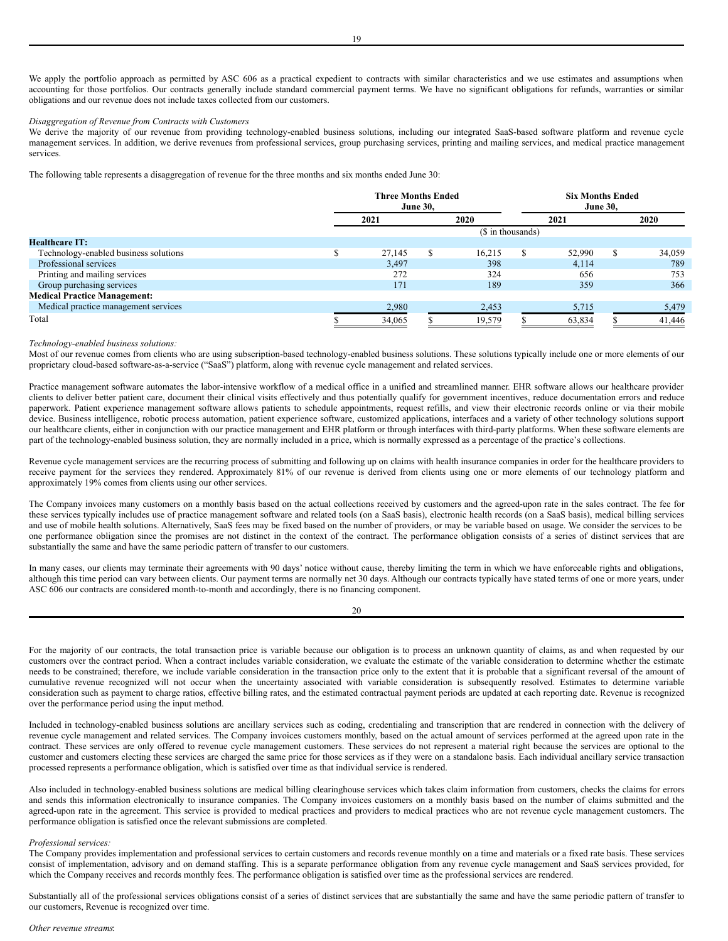We apply the portfolio approach as permitted by ASC 606 as a practical expedient to contracts with similar characteristics and we use estimates and assumptions when accounting for those portfolios. Our contracts generally include standard commercial payment terms. We have no significant obligations for refunds, warranties or similar obligations and our revenue does not include taxes collected from our customers.

#### *Disaggregation of Revenue from Contracts with Customers*

We derive the majority of our revenue from providing technology-enabled business solutions, including our integrated SaaS-based software platform and revenue cycle management services. In addition, we derive revenues from professional services, group purchasing services, printing and mailing services, and medical practice management services.

The following table represents a disaggregation of revenue for the three months and six months ended June 30:

|                                       | <b>Three Months Ended</b><br><b>June 30,</b> |  |                   |    | <b>Six Months Ended</b><br><b>June 30,</b> |   |        |  |
|---------------------------------------|----------------------------------------------|--|-------------------|----|--------------------------------------------|---|--------|--|
|                                       | 2021                                         |  | 2020              |    | 2021                                       |   | 2020   |  |
|                                       |                                              |  | (\$ in thousands) |    |                                            |   |        |  |
| <b>Healthcare IT:</b>                 |                                              |  |                   |    |                                            |   |        |  |
| Technology-enabled business solutions | 27,145                                       |  | 16.215            | \$ | 52,990                                     | S | 34,059 |  |
| Professional services                 | 3,497                                        |  | 398               |    | 4,114                                      |   | 789    |  |
| Printing and mailing services         | 272                                          |  | 324               |    | 656                                        |   | 753    |  |
| Group purchasing services             | 171                                          |  | 189               |    | 359                                        |   | 366    |  |
| <b>Medical Practice Management:</b>   |                                              |  |                   |    |                                            |   |        |  |
| Medical practice management services  | 2,980                                        |  | 2,453             |    | 5,715                                      |   | 5,479  |  |
| Total                                 | 34,065                                       |  | 19,579            |    | 63,834                                     |   | 41,446 |  |

#### *Technology-enabled business solutions:*

Most of our revenue comes from clients who are using subscription-based technology-enabled business solutions. These solutions typically include one or more elements of our proprietary cloud-based software-as-a-service ("SaaS") platform, along with revenue cycle management and related services.

Practice management software automates the labor-intensive workflow of a medical office in a unified and streamlined manner. EHR software allows our healthcare provider clients to deliver better patient care, document their clinical visits effectively and thus potentially qualify for government incentives, reduce documentation errors and reduce paperwork. Patient experience management software allows patients to schedule appointments, request refills, and view their electronic records online or via their mobile device. Business intelligence, robotic process automation, patient experience software, customized applications, interfaces and a variety of other technology solutions support our healthcare clients, either in conjunction with our practice management and EHR platform or through interfaces with third-party platforms. When these software elements are part of the technology-enabled business solution, they are normally included in a price, which is normally expressed as a percentage of the practice's collections.

Revenue cycle management services are the recurring process of submitting and following up on claims with health insurance companies in order for the healthcare providers to receive payment for the services they rendered. Approximately 81% of our revenue is derived from clients using one or more elements of our technology platform and approximately 19% comes from clients using our other services.

The Company invoices many customers on a monthly basis based on the actual collections received by customers and the agreed-upon rate in the sales contract. The fee for these services typically includes use of practice management software and related tools (on a SaaS basis), electronic health records (on a SaaS basis), medical billing services and use of mobile health solutions. Alternatively, SaaS fees may be fixed based on the number of providers, or may be variable based on usage. We consider the services to be one performance obligation since the promises are not distinct in the context of the contract. The performance obligation consists of a series of distinct services that are substantially the same and have the same periodic pattern of transfer to our customers.

In many cases, our clients may terminate their agreements with 90 days' notice without cause, thereby limiting the term in which we have enforceable rights and obligations, although this time period can vary between clients. Our payment terms are normally net 30 days. Although our contracts typically have stated terms of one or more years, under ASC 606 our contracts are considered month-to-month and accordingly, there is no financing component.

20

For the majority of our contracts, the total transaction price is variable because our obligation is to process an unknown quantity of claims, as and when requested by our customers over the contract period. When a contract includes variable consideration, we evaluate the estimate of the variable consideration to determine whether the estimate needs to be constrained; therefore, we include variable consideration in the transaction price only to the extent that it is probable that a significant reversal of the amount of cumulative revenue recognized will not occur when the uncertainty associated with variable consideration is subsequently resolved. Estimates to determine variable consideration such as payment to charge ratios, effective billing rates, and the estimated contractual payment periods are updated at each reporting date. Revenue is recognized over the performance period using the input method.

Included in technology-enabled business solutions are ancillary services such as coding, credentialing and transcription that are rendered in connection with the delivery of revenue cycle management and related services. The Company invoices customers monthly, based on the actual amount of services performed at the agreed upon rate in the contract. These services are only offered to revenue cycle management customers. These services do not represent a material right because the services are optional to the customer and customers electing these services are charged the same price for those services as if they were on a standalone basis. Each individual ancillary service transaction processed represents a performance obligation, which is satisfied over time as that individual service is rendered.

Also included in technology-enabled business solutions are medical billing clearinghouse services which takes claim information from customers, checks the claims for errors and sends this information electronically to insurance companies. The Company invoices customers on a monthly basis based on the number of claims submitted and the agreed-upon rate in the agreement. This service is provided to medical practices and providers to medical practices who are not revenue cycle management customers. The performance obligation is satisfied once the relevant submissions are completed.

#### *Professional services:*

The Company provides implementation and professional services to certain customers and records revenue monthly on a time and materials or a fixed rate basis. These services consist of implementation, advisory and on demand staffing. This is a separate performance obligation from any revenue cycle management and SaaS services provided, for which the Company receives and records monthly fees. The performance obligation is satisfied over time as the professional services are rendered.

Substantially all of the professional services obligations consist of a series of distinct services that are substantially the same and have the same periodic pattern of transfer to our customers, Revenue is recognized over time.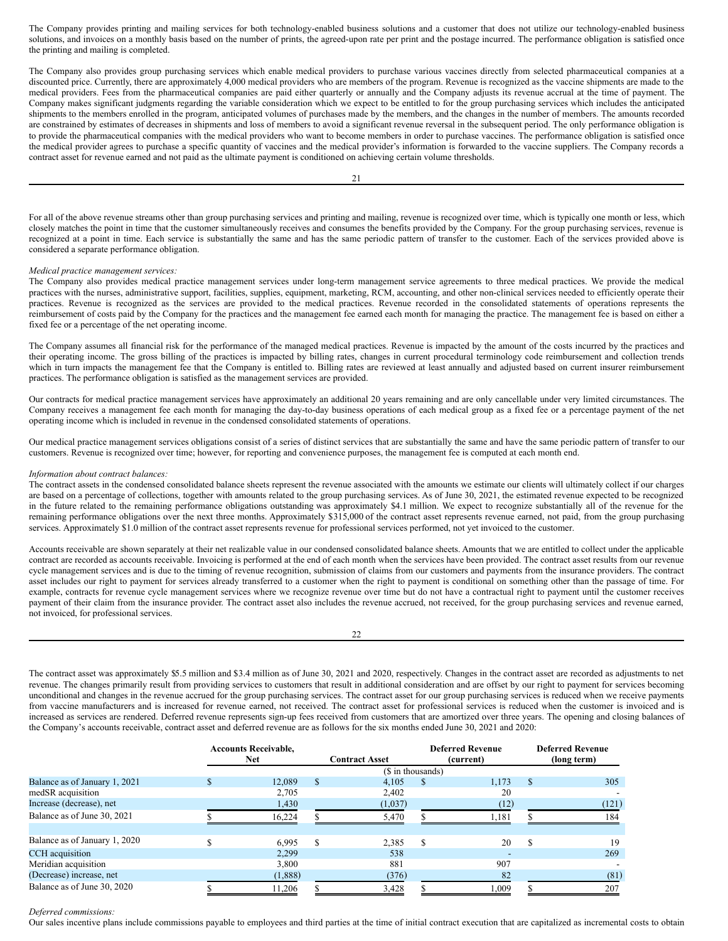The Company provides printing and mailing services for both technology-enabled business solutions and a customer that does not utilize our technology-enabled business solutions, and invoices on a monthly basis based on the number of prints, the agreed-upon rate per print and the postage incurred. The performance obligation is satisfied once the printing and mailing is completed.

The Company also provides group purchasing services which enable medical providers to purchase various vaccines directly from selected pharmaceutical companies at a discounted price. Currently, there are approximately 4,000 medical providers who are members of the program. Revenue is recognized as the vaccine shipments are made to the medical providers. Fees from the pharmaceutical companies are paid either quarterly or annually and the Company adjusts its revenue accrual at the time of payment. The Company makes significant judgments regarding the variable consideration which we expect to be entitled to for the group purchasing services which includes the anticipated shipments to the members enrolled in the program, anticipated volumes of purchases made by the members, and the changes in the number of members. The amounts recorded are constrained by estimates of decreases in shipments and loss of members to avoid a significant revenue reversal in the subsequent period. The only performance obligation is to provide the pharmaceutical companies with the medical providers who want to become members in order to purchase vaccines. The performance obligation is satisfied once the medical provider agrees to purchase a specific quantity of vaccines and the medical provider's information is forwarded to the vaccine suppliers. The Company records a contract asset for revenue earned and not paid as the ultimate payment is conditioned on achieving certain volume thresholds.

21

For all of the above revenue streams other than group purchasing services and printing and mailing, revenue is recognized over time, which is typically one month or less, which closely matches the point in time that the customer simultaneously receives and consumes the benefits provided by the Company. For the group purchasing services, revenue is recognized at a point in time. Each service is substantially the same and has the same periodic pattern of transfer to the customer. Each of the services provided above is considered a separate performance obligation.

#### *Medical practice management services:*

The Company also provides medical practice management services under long-term management service agreements to three medical practices. We provide the medical practices with the nurses, administrative support, facilities, supplies, equipment, marketing, RCM, accounting, and other non-clinical services needed to efficiently operate their practices. Revenue is recognized as the services are provided to the medical practices. Revenue recorded in the consolidated statements of operations represents the reimbursement of costs paid by the Company for the practices and the management fee earned each month for managing the practice. The management fee is based on either a fixed fee or a percentage of the net operating income.

The Company assumes all financial risk for the performance of the managed medical practices. Revenue is impacted by the amount of the costs incurred by the practices and their operating income. The gross billing of the practices is impacted by billing rates, changes in current procedural terminology code reimbursement and collection trends which in turn impacts the management fee that the Company is entitled to. Billing rates are reviewed at least annually and adjusted based on current insurer reimbursement practices. The performance obligation is satisfied as the management services are provided.

Our contracts for medical practice management services have approximately an additional 20 years remaining and are only cancellable under very limited circumstances. The Company receives a management fee each month for managing the day-to-day business operations of each medical group as a fixed fee or a percentage payment of the net operating income which is included in revenue in the condensed consolidated statements of operations.

Our medical practice management services obligations consist of a series of distinct services that are substantially the same and have the same periodic pattern of transfer to our customers. Revenue is recognized over time; however, for reporting and convenience purposes, the management fee is computed at each month end.

#### *Information about contract balances:*

The contract assets in the condensed consolidated balance sheets represent the revenue associated with the amounts we estimate our clients will ultimately collect if our charges are based on a percentage of collections, together with amounts related to the group purchasing services. As of June 30, 2021, the estimated revenue expected to be recognized in the future related to the remaining performance obligations outstanding was approximately \$4.1 million. We expect to recognize substantially all of the revenue for the remaining performance obligations over the next three months. Approximately \$315,000 of the contract asset represents revenue earned, not paid, from the group purchasing services. Approximately \$1.0 million of the contract asset represents revenue for professional services performed, not yet invoiced to the customer.

Accounts receivable are shown separately at their net realizable value in our condensed consolidated balance sheets. Amounts that we are entitled to collect under the applicable contract are recorded as accounts receivable. Invoicing is performed at the end of each month when the services have been provided. The contract asset results from our revenue cycle management services and is due to the timing of revenue recognition, submission of claims from our customers and payments from the insurance providers. The contract asset includes our right to payment for services already transferred to a customer when the right to payment is conditional on something other than the passage of time. For example, contracts for revenue cycle management services where we recognize revenue over time but do not have a contractual right to payment until the customer receives payment of their claim from the insurance provider. The contract asset also includes the revenue accrued, not received, for the group purchasing services and revenue earned, not invoiced, for professional services.

The contract asset was approximately \$5.5 million and \$3.4 million as of June 30, 2021 and 2020, respectively. Changes in the contract asset are recorded as adjustments to net revenue. The changes primarily result from providing services to customers that result in additional consideration and are offset by our right to payment for services becoming unconditional and changes in the revenue accrued for the group purchasing services. The contract asset for our group purchasing services is reduced when we receive payments from vaccine manufacturers and is increased for revenue earned, not received. The contract asset for professional services is reduced when the customer is invoiced and is increased as services are rendered. Deferred revenue represents sign-up fees received from customers that are amortized over three years. The opening and closing balances of the Company's accounts receivable, contract asset and deferred revenue are as follows for the six months ended June 30, 2021 and 2020:

|                               | <b>Accounts Receivable,</b> |         |     | <b>Deferred Revenue</b> | <b>Deferred Revenue</b> |                          |     |             |
|-------------------------------|-----------------------------|---------|-----|-------------------------|-------------------------|--------------------------|-----|-------------|
|                               |                             | Net     |     | <b>Contract Asset</b>   |                         | (current)                |     | (long term) |
|                               |                             |         |     |                         | (\$ in thousands)       |                          |     |             |
| Balance as of January 1, 2021 |                             | 12.089  | \$  | 4,105                   |                         | 1,173                    | \$. | 305         |
| medSR acquisition             |                             | 2,705   |     | 2,402                   |                         | 20                       |     |             |
| Increase (decrease), net      |                             | 1,430   |     | (1,037)                 |                         | (12)                     |     | (121)       |
| Balance as of June 30, 2021   |                             | 16,224  |     | 5,470                   |                         | l.181                    |     | 184         |
|                               |                             |         |     |                         |                         |                          |     |             |
| Balance as of January 1, 2020 |                             | 6.995   | \$. | 2,385                   | \$.                     | 20                       |     | 19          |
| CCH acquisition               |                             | 2,299   |     | 538                     |                         | $\overline{\phantom{a}}$ |     | 269         |
| Meridian acquisition          |                             | 3,800   |     | 881                     |                         | 907                      |     |             |
| (Decrease) increase, net      |                             | (1,888) |     | (376)                   |                         | 82                       |     | (81)        |
| Balance as of June 30, 2020   |                             | 11,206  |     | 3,428                   |                         | 1,009                    |     | 207         |

## *Deferred commissions:*

Our sales incentive plans include commissions payable to employees and third parties at the time of initial contract execution that are capitalized as incremental costs to obtain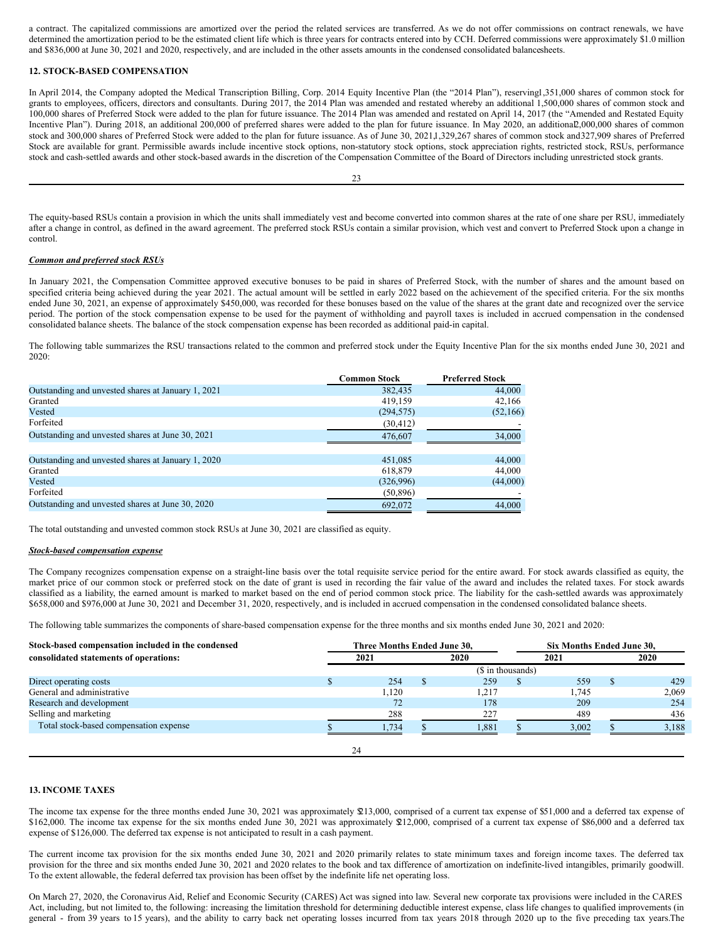a contract. The capitalized commissions are amortized over the period the related services are transferred. As we do not offer commissions on contract renewals, we have determined the amortization period to be the estimated client life which is three years for contracts entered into by CCH. Deferred commissions were approximately \$1.0 million and \$836,000 at June 30, 2021 and 2020, respectively, and are included in the other assets amounts in the condensed consolidated balancesheets.

## **12. STOCK-BASED COMPENSATION**

In April 2014, the Company adopted the Medical Transcription Billing, Corp. 2014 Equity Incentive Plan (the "2014 Plan"), reserving1,351,000 shares of common stock for grants to employees, officers, directors and consultants. During 2017, the 2014 Plan was amended and restated whereby an additional 1,500,000 shares of common stock and 100,000 shares of Preferred Stock were added to the plan for future issuance. The 2014 Plan was amended and restated on April 14, 2017 (the "Amended and Restated Equity Incentive Plan"). During 2018, an additional 200,000 of preferred shares were added to the plan for future issuance. In May 2020, an additional2,000,000 shares of common stock and 300,000 shares of Preferred Stock were added to the plan for future issuance. As of June 30, 2021,1,329,267 shares of common stock and327,909 shares of Preferred Stock are available for grant. Permissible awards include incentive stock options, non-statutory stock options, stock appreciation rights, restricted stock, RSUs, performance stock and cash-settled awards and other stock-based awards in the discretion of the Compensation Committee of the Board of Directors including unrestricted stock grants.

The equity-based RSUs contain a provision in which the units shall immediately vest and become converted into common shares at the rate of one share per RSU, immediately after a change in control, as defined in the award agreement. The preferred stock RSUs contain a similar provision, which vest and convert to Preferred Stock upon a change in control.

## *Common and preferred stock RSUs*

In January 2021, the Compensation Committee approved executive bonuses to be paid in shares of Preferred Stock, with the number of shares and the amount based on specified criteria being achieved during the year 2021. The actual amount will be settled in early 2022 based on the achievement of the specified criteria. For the six months ended June 30, 2021, an expense of approximately \$450,000, was recorded for these bonuses based on the value of the shares at the grant date and recognized over the service period. The portion of the stock compensation expense to be used for the payment of withholding and payroll taxes is included in accrued compensation in the condensed consolidated balance sheets. The balance of the stock compensation expense has been recorded as additional paid-in capital.

The following table summarizes the RSU transactions related to the common and preferred stock under the Equity Incentive Plan for the six months ended June 30, 2021 and 2020:

|                                                    | <b>Common Stock</b> | <b>Preferred Stock</b> |
|----------------------------------------------------|---------------------|------------------------|
| Outstanding and unvested shares at January 1, 2021 | 382,435             | 44,000                 |
| Granted                                            | 419.159             | 42,166                 |
| Vested                                             | (294, 575)          | (52,166)               |
| Forfeited                                          | (30, 412)           |                        |
| Outstanding and unvested shares at June 30, 2021   | 476,607             | 34,000                 |
| Outstanding and unvested shares at January 1, 2020 | 451,085             | 44,000                 |
| Granted                                            | 618.879             | 44,000                 |
| Vested                                             | (326,996)           | (44,000)               |
| Forfeited                                          | (50, 896)           |                        |
| Outstanding and unvested shares at June 30, 2020   | 692,072             | 44,000                 |

The total outstanding and unvested common stock RSUs at June 30, 2021 are classified as equity.

#### *Stock-based compensation expense*

The Company recognizes compensation expense on a straight-line basis over the total requisite service period for the entire award. For stock awards classified as equity, the market price of our common stock or preferred stock on the date of grant is used in recording the fair value of the award and includes the related taxes. For stock awards classified as a liability, the earned amount is marked to market based on the end of period common stock price. The liability for the cash-settled awards was approximately \$658,000 and \$976,000 at June 30, 2021 and December 31, 2020, respectively, and is included in accrued compensation in the condensed consolidated balance sheets.

The following table summarizes the components of share-based compensation expense for the three months and six months ended June 30, 2021 and 2020:

| Stock-based compensation included in the condensed | Three Months Ended June 30, |       |  |       |      | Six Months Ended June 30, |      |       |  |
|----------------------------------------------------|-----------------------------|-------|--|-------|------|---------------------------|------|-------|--|
| consolidated statements of operations:             | 2020<br>2021                |       |  |       | 2021 |                           | 2020 |       |  |
|                                                    | (\$ in thousands)           |       |  |       |      |                           |      |       |  |
| Direct operating costs                             |                             | 254   |  | 259   | S.   | 559                       | S    | 429   |  |
| General and administrative                         |                             | 1,120 |  | 1,217 |      | 1,745                     |      | 2,069 |  |
| Research and development                           |                             | 72    |  | 178   |      | 209                       |      | 254   |  |
| Selling and marketing                              |                             | 288   |  | 227   |      | 489                       |      | 436   |  |
| Total stock-based compensation expense             |                             | 1.734 |  | 1,881 |      | 3.002                     |      | 3.188 |  |
|                                                    |                             |       |  |       |      |                           |      |       |  |
|                                                    |                             | 24    |  |       |      |                           |      |       |  |

## **13. INCOME TAXES**

The income tax expense for the three months ended June 30, 2021 was approximately \$13,000, comprised of a current tax expense of \$51,000 and a deferred tax expense of \$162,000. The income tax expense for the six months ended June 30, 2021 was approximately \$212,000, comprised of a current tax expense of \$86,000 and a deferred tax expense of \$126,000. The deferred tax expense is not anticipated to result in a cash payment.

The current income tax provision for the six months ended June 30, 2021 and 2020 primarily relates to state minimum taxes and foreign income taxes. The deferred tax provision for the three and six months ended June 30, 2021 and 2020 relates to the book and tax difference of amortization on indefinite-lived intangibles, primarily goodwill. To the extent allowable, the federal deferred tax provision has been offset by the indefinite life net operating loss.

On March 27, 2020, the Coronavirus Aid, Relief and Economic Security (CARES) Act was signed into law. Several new corporate tax provisions were included in the CARES Act, including, but not limited to, the following: increasing the limitation threshold for determining deductible interest expense, class life changes to qualified improvements (in general - from 39 years to 15 years), and the ability to carry back net operating losses incurred from tax years 2018 through 2020 up to the five preceding tax years.The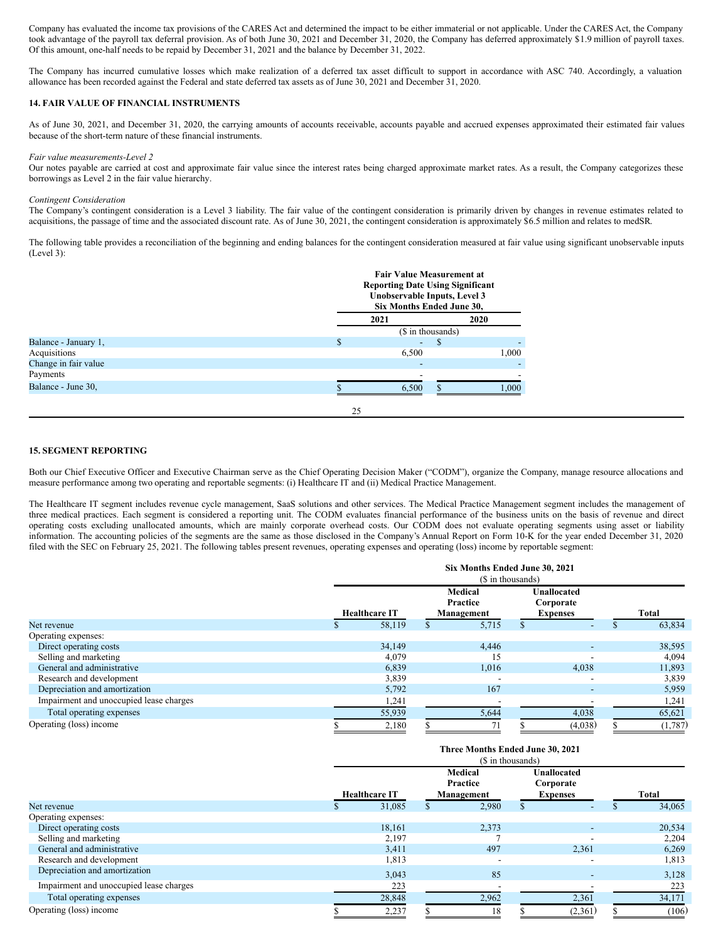Company has evaluated the income tax provisions of the CARES Act and determined the impact to be either immaterial or not applicable. Under the CARES Act, the Company took advantage of the payroll tax deferral provision. As of both June 30, 2021 and December 31, 2020, the Company has deferred approximately \$1.9 million of payroll taxes. Of this amount, one-half needs to be repaid by December 31, 2021 and the balance by December 31, 2022.

The Company has incurred cumulative losses which make realization of a deferred tax asset difficult to support in accordance with ASC 740. Accordingly, a valuation allowance has been recorded against the Federal and state deferred tax assets as of June 30, 2021 and December 31, 2020.

## **14. FAIR VALUE OF FINANCIAL INSTRUMENTS**

As of June 30, 2021, and December 31, 2020, the carrying amounts of accounts receivable, accounts payable and accrued expenses approximated their estimated fair values because of the short-term nature of these financial instruments.

#### *Fair value measurements-Level 2*

Our notes payable are carried at cost and approximate fair value since the interest rates being charged approximate market rates. As a result, the Company categorizes these borrowings as Level 2 in the fair value hierarchy.

#### *Contingent Consideration*

The Company's contingent consideration is a Level 3 liability. The fair value of the contingent consideration is primarily driven by changes in revenue estimates related to acquisitions, the passage of time and the associated discount rate. As of June 30, 2021, the contingent consideration is approximately \$6.5 million and relates to medSR.

The following table provides a reconciliation of the beginning and ending balances for the contingent consideration measured at fair value using significant unobservable inputs (Level 3):

|                      |    | <b>Fair Value Measurement at</b><br><b>Reporting Date Using Significant</b><br>Unobservable Inputs, Level 3<br>Six Months Ended June 30, |       |  |  |  |  |  |
|----------------------|----|------------------------------------------------------------------------------------------------------------------------------------------|-------|--|--|--|--|--|
|                      |    | 2021                                                                                                                                     | 2020  |  |  |  |  |  |
|                      |    | (\$ in thousands)                                                                                                                        |       |  |  |  |  |  |
| Balance - January 1, |    | -                                                                                                                                        |       |  |  |  |  |  |
| Acquisitions         |    | 6,500                                                                                                                                    | 1,000 |  |  |  |  |  |
| Change in fair value |    |                                                                                                                                          |       |  |  |  |  |  |
| Payments             |    |                                                                                                                                          |       |  |  |  |  |  |
| Balance - June 30,   |    | 6,500                                                                                                                                    | 1.000 |  |  |  |  |  |
|                      | 25 |                                                                                                                                          |       |  |  |  |  |  |

#### **15. SEGMENT REPORTING**

Both our Chief Executive Officer and Executive Chairman serve as the Chief Operating Decision Maker ("CODM"), organize the Company, manage resource allocations and measure performance among two operating and reportable segments: (i) Healthcare IT and (ii) Medical Practice Management.

The Healthcare IT segment includes revenue cycle management, SaaS solutions and other services. The Medical Practice Management segment includes the management of three medical practices. Each segment is considered a reporting unit. The CODM evaluates financial performance of the business units on the basis of revenue and direct operating costs excluding unallocated amounts, which are mainly corporate overhead costs. Our CODM does not evaluate operating segments using asset or liability information. The accounting policies of the segments are the same as those disclosed in the Company's Annual Report on Form 10-K for the year ended December 31, 2020 filed with the SEC on February 25, 2021. The following tables present revenues, operating expenses and operating (loss) income by reportable segment:

|                                         |  | Six Months Ended June 30, 2021 |  |                                          |  |                                                    |  |         |  |  |  |  |
|-----------------------------------------|--|--------------------------------|--|------------------------------------------|--|----------------------------------------------------|--|---------|--|--|--|--|
|                                         |  | (\$ in thousands)              |  |                                          |  |                                                    |  |         |  |  |  |  |
|                                         |  | <b>Healthcare IT</b>           |  | <b>Medical</b><br>Practice<br>Management |  | <b>Unallocated</b><br>Corporate<br><b>Expenses</b> |  | Total   |  |  |  |  |
| Net revenue                             |  | 58,119                         |  | 5,715                                    |  |                                                    |  | 63,834  |  |  |  |  |
| Operating expenses:                     |  |                                |  |                                          |  |                                                    |  |         |  |  |  |  |
| Direct operating costs                  |  | 34,149                         |  | 4,446                                    |  |                                                    |  | 38,595  |  |  |  |  |
| Selling and marketing                   |  | 4,079                          |  | 15                                       |  |                                                    |  | 4,094   |  |  |  |  |
| General and administrative              |  | 6,839                          |  | 1,016                                    |  | 4,038                                              |  | 11,893  |  |  |  |  |
| Research and development                |  | 3,839                          |  |                                          |  |                                                    |  | 3,839   |  |  |  |  |
| Depreciation and amortization           |  | 5,792                          |  | 167                                      |  | -                                                  |  | 5,959   |  |  |  |  |
| Impairment and unoccupied lease charges |  | 1,241                          |  |                                          |  |                                                    |  | 1,241   |  |  |  |  |
| Total operating expenses                |  | 55,939                         |  | 5,644                                    |  | 4,038                                              |  | 65,621  |  |  |  |  |
| Operating (loss) income                 |  | 2,180                          |  | 71                                       |  | (4,038)                                            |  | (1,787) |  |  |  |  |

|                                         | Three Months Ended June 30, 2021<br>(\$ in thousands) |                      |  |                                   |  |                                                    |  |              |  |  |
|-----------------------------------------|-------------------------------------------------------|----------------------|--|-----------------------------------|--|----------------------------------------------------|--|--------------|--|--|
|                                         |                                                       | <b>Healthcare IT</b> |  | Medical<br>Practice<br>Management |  | <b>Unallocated</b><br>Corporate<br><b>Expenses</b> |  | <b>Total</b> |  |  |
| Net revenue                             |                                                       | 31,085               |  | 2,980                             |  |                                                    |  | 34,065       |  |  |
| Operating expenses:                     |                                                       |                      |  |                                   |  |                                                    |  |              |  |  |
| Direct operating costs                  |                                                       | 18,161               |  | 2,373                             |  | -                                                  |  | 20,534       |  |  |
| Selling and marketing                   |                                                       | 2,197                |  |                                   |  |                                                    |  | 2,204        |  |  |
| General and administrative              |                                                       | 3,411                |  | 497                               |  | 2,361                                              |  | 6,269        |  |  |
| Research and development                |                                                       | 1,813                |  | $\overline{\phantom{a}}$          |  |                                                    |  | 1,813        |  |  |
| Depreciation and amortization           |                                                       | 3,043                |  | 85                                |  |                                                    |  | 3,128        |  |  |
| Impairment and unoccupied lease charges |                                                       | 223                  |  |                                   |  |                                                    |  | 223          |  |  |
| Total operating expenses                |                                                       | 28,848               |  | 2,962                             |  | 2,361                                              |  | 34,171       |  |  |
| Operating (loss) income                 |                                                       | 2,237                |  | 18                                |  | (2,361)                                            |  | (106)        |  |  |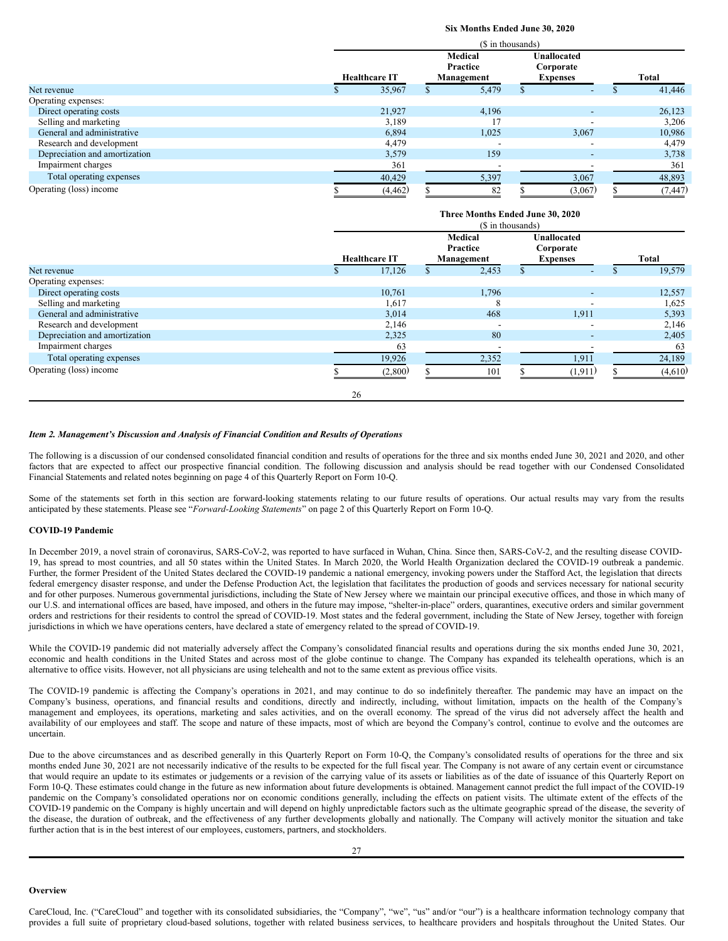## **Six Months Ended June 30, 2020**

|                               | (\$ in thousands) |                      |  |                                   |     |                                                    |  |          |  |  |
|-------------------------------|-------------------|----------------------|--|-----------------------------------|-----|----------------------------------------------------|--|----------|--|--|
|                               |                   | <b>Healthcare IT</b> |  | Medical<br>Practice<br>Management |     | <b>Unallocated</b><br>Corporate<br><b>Expenses</b> |  | Total    |  |  |
| Net revenue                   |                   | 35,967               |  | 5,479                             | Эħ. | $\sim$                                             |  | 41,446   |  |  |
| Operating expenses:           |                   |                      |  |                                   |     |                                                    |  |          |  |  |
| Direct operating costs        |                   | 21,927               |  | 4,196                             |     | $\overline{\phantom{0}}$                           |  | 26,123   |  |  |
| Selling and marketing         |                   | 3,189                |  |                                   |     |                                                    |  | 3,206    |  |  |
| General and administrative    |                   | 6,894                |  | 1,025                             |     | 3,067                                              |  | 10,986   |  |  |
| Research and development      |                   | 4,479                |  |                                   |     |                                                    |  | 4,479    |  |  |
| Depreciation and amortization |                   | 3,579                |  | 159                               |     | $\overline{\phantom{0}}$                           |  | 3,738    |  |  |
| Impairment charges            |                   | 361                  |  |                                   |     |                                                    |  | 361      |  |  |
| Total operating expenses      |                   | 40,429               |  | 5,397                             |     | 3,067                                              |  | 48,893   |  |  |
| Operating (loss) income       |                   | (4, 462)             |  | 82                                |     | (3,067)                                            |  | (7, 447) |  |  |

|                               | Three Months Ended June 30, 2020<br>(\$ in thousands) |  |                                   |    |                                                    |  |         |  |  |
|-------------------------------|-------------------------------------------------------|--|-----------------------------------|----|----------------------------------------------------|--|---------|--|--|
|                               | <b>Healthcare IT</b>                                  |  | Medical<br>Practice<br>Management |    | <b>Unallocated</b><br>Corporate<br><b>Expenses</b> |  | Total   |  |  |
| Net revenue                   | 17,126                                                |  | 2,453                             | \$ | $\overline{\phantom{a}}$                           |  | 19,579  |  |  |
| Operating expenses:           |                                                       |  |                                   |    |                                                    |  |         |  |  |
| Direct operating costs        | 10,761                                                |  | 1,796                             |    |                                                    |  | 12,557  |  |  |
| Selling and marketing         | 1,617                                                 |  | 8                                 |    |                                                    |  | 1,625   |  |  |
| General and administrative    | 3,014                                                 |  | 468                               |    | 1,911                                              |  | 5,393   |  |  |
| Research and development      | 2,146                                                 |  |                                   |    |                                                    |  | 2,146   |  |  |
| Depreciation and amortization | 2,325                                                 |  | 80                                |    |                                                    |  | 2,405   |  |  |
| Impairment charges            | 63                                                    |  |                                   |    |                                                    |  | 63      |  |  |
| Total operating expenses      | 19,926                                                |  | 2,352                             |    | 1,911                                              |  | 24,189  |  |  |
| Operating (loss) income       | (2,800)                                               |  | 101                               |    | (1, 911)                                           |  | (4,610) |  |  |
|                               | 26                                                    |  |                                   |    |                                                    |  |         |  |  |

#### *Item 2. Management's Discussion and Analysis of Financial Condition and Results of Operations*

The following is a discussion of our condensed consolidated financial condition and results of operations for the three and six months ended June 30, 2021 and 2020, and other factors that are expected to affect our prospective financial condition. The following discussion and analysis should be read together with our Condensed Consolidated Financial Statements and related notes beginning on page 4 of this Quarterly Report on Form 10-Q.

Some of the statements set forth in this section are forward-looking statements relating to our future results of operations. Our actual results may vary from the results anticipated by these statements. Please see "*Forward-Looking Statements*" on page 2 of this Quarterly Report on Form 10-Q.

## **COVID-19 Pandemic**

In December 2019, a novel strain of coronavirus, SARS-CoV-2, was reported to have surfaced in Wuhan, China. Since then, SARS-CoV-2, and the resulting disease COVID-19, has spread to most countries, and all 50 states within the United States. In March 2020, the World Health Organization declared the COVID-19 outbreak a pandemic. Further, the former President of the United States declared the COVID-19 pandemic a national emergency, invoking powers under the Stafford Act, the legislation that directs federal emergency disaster response, and under the Defense Production Act, the legislation that facilitates the production of goods and services necessary for national security and for other purposes. Numerous governmental jurisdictions, including the State of New Jersey where we maintain our principal executive offices, and those in which many of our U.S. and international offices are based, have imposed, and others in the future may impose, "shelter-in-place" orders, quarantines, executive orders and similar government orders and restrictions for their residents to control the spread of COVID-19. Most states and the federal government, including the State of New Jersey, together with foreign jurisdictions in which we have operations centers, have declared a state of emergency related to the spread of COVID-19.

While the COVID-19 pandemic did not materially adversely affect the Company's consolidated financial results and operations during the six months ended June 30, 2021, economic and health conditions in the United States and across most of the globe continue to change. The Company has expanded its telehealth operations, which is an alternative to office visits. However, not all physicians are using telehealth and not to the same extent as previous office visits.

The COVID-19 pandemic is affecting the Company's operations in 2021, and may continue to do so indefinitely thereafter. The pandemic may have an impact on the Company's business, operations, and financial results and conditions, directly and indirectly, including, without limitation, impacts on the health of the Company's management and employees, its operations, marketing and sales activities, and on the overall economy. The spread of the virus did not adversely affect the health and availability of our employees and staff. The scope and nature of these impacts, most of which are beyond the Company's control, continue to evolve and the outcomes are uncertain.

Due to the above circumstances and as described generally in this Quarterly Report on Form 10-Q, the Company's consolidated results of operations for the three and six months ended June 30, 2021 are not necessarily indicative of the results to be expected for the full fiscal year. The Company is not aware of any certain event or circumstance that would require an update to its estimates or judgements or a revision of the carrying value of its assets or liabilities as of the date of issuance of this Quarterly Report on Form 10-Q. These estimates could change in the future as new information about future developments is obtained. Management cannot predict the full impact of the COVID-19 pandemic on the Company's consolidated operations nor on economic conditions generally, including the effects on patient visits. The ultimate extent of the effects of the COVID-19 pandemic on the Company is highly uncertain and will depend on highly unpredictable factors such as the ultimate geographic spread of the disease, the severity of the disease, the duration of outbreak, and the effectiveness of any further developments globally and nationally. The Company will actively monitor the situation and take further action that is in the best interest of our employees, customers, partners, and stockholders.

#### **Overview**

CareCloud, Inc. ("CareCloud" and together with its consolidated subsidiaries, the "Company", "we", "us" and/or "our") is a healthcare information technology company that provides a full suite of proprietary cloud-based solutions, together with related business services, to healthcare providers and hospitals throughout the United States. Our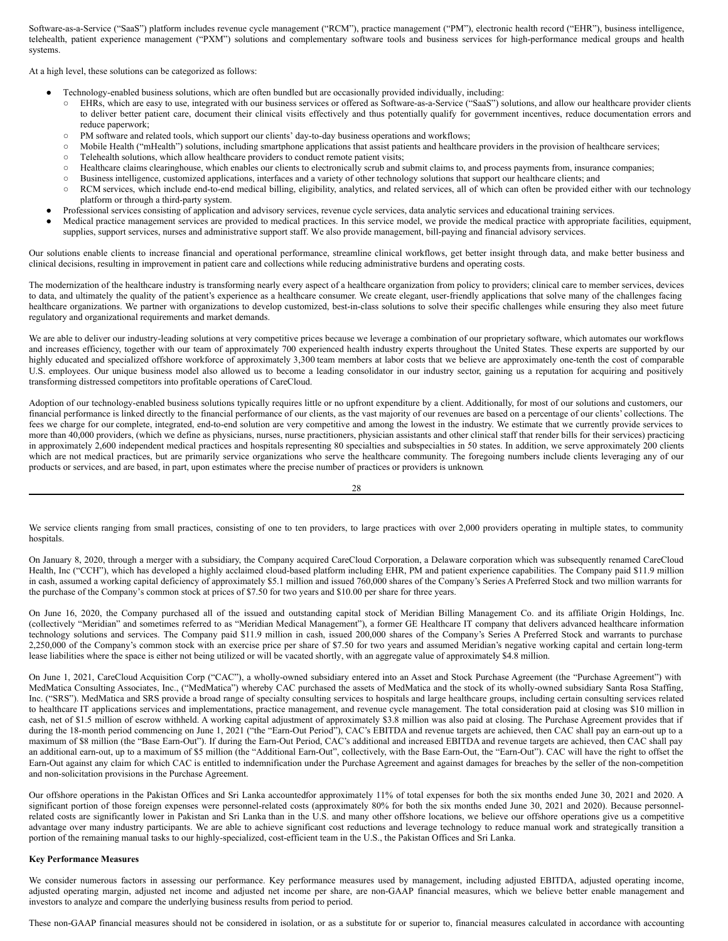Software-as-a-Service ("SaaS") platform includes revenue cycle management ("RCM"), practice management ("PM"), electronic health record ("EHR"), business intelligence, telehealth, patient experience management ("PXM") solutions and complementary software tools and business services for high-performance medical groups and health systems.

At a high level, these solutions can be categorized as follows:

- Technology-enabled business solutions, which are often bundled but are occasionally provided individually, including:
- EHRs, which are easy to use, integrated with our business services or offered as Software-as-a-Service ("SaaS") solutions, and allow our healthcare provider clients to deliver better patient care, document their clinical visits effectively and thus potentially qualify for government incentives, reduce documentation errors and reduce paperwork;
- PM software and related tools, which support our clients' day-to-day business operations and workflows;
- Mobile Health ("mHealth") solutions, including smartphone applications that assist patients and healthcare providers in the provision of healthcare services;
- Telehealth solutions, which allow healthcare providers to conduct remote patient visits;
- Healthcare claims clearinghouse, which enables our clients to electronically scrub and submit claims to, and process payments from, insurance companies;
- Business intelligence, customized applications, interfaces and a variety of other technology solutions that support our healthcare clients; and
- RCM services, which include end-to-end medical billing, eligibility, analytics, and related services, all of which can often be provided either with our technology platform or through a third-party system.
- Professional services consisting of application and advisory services, revenue cycle services, data analytic services and educational training services.
- Medical practice management services are provided to medical practices. In this service model, we provide the medical practice with appropriate facilities, equipment, supplies, support services, nurses and administrative support staff. We also provide management, bill-paying and financial advisory services.

Our solutions enable clients to increase financial and operational performance, streamline clinical workflows, get better insight through data, and make better business and clinical decisions, resulting in improvement in patient care and collections while reducing administrative burdens and operating costs.

The modernization of the healthcare industry is transforming nearly every aspect of a healthcare organization from policy to providers; clinical care to member services, devices to data, and ultimately the quality of the patient's experience as a healthcare consumer. We create elegant, user-friendly applications that solve many of the challenges facing healthcare organizations. We partner with organizations to develop customized, best-in-class solutions to solve their specific challenges while ensuring they also meet future regulatory and organizational requirements and market demands.

We are able to deliver our industry-leading solutions at very competitive prices because we leverage a combination of our proprietary software, which automates our workflows and increases efficiency, together with our team of approximately 700 experienced health industry experts throughout the United States. These experts are supported by our highly educated and specialized offshore workforce of approximately 3,300 team members at labor costs that we believe are approximately one-tenth the cost of comparable U.S. employees. Our unique business model also allowed us to become a leading consolidator in our industry sector, gaining us a reputation for acquiring and positively transforming distressed competitors into profitable operations of CareCloud.

Adoption of our technology-enabled business solutions typically requires little or no upfront expenditure by a client. Additionally, for most of our solutions and customers, our financial performance is linked directly to the financial performance of our clients, as the vast majority of our revenues are based on a percentage of our clients' collections. The fees we charge for our complete, integrated, end-to-end solution are very competitive and among the lowest in the industry. We estimate that we currently provide services to more than 40,000 providers, (which we define as physicians, nurses, nurse practitioners, physician assistants and other clinical staff that render bills for their services) practicing in approximately 2,600 independent medical practices and hospitals representing 80 specialties and subspecialties in 50 states. In addition, we serve approximately 200 clients which are not medical practices, but are primarily service organizations who serve the healthcare community. The foregoing numbers include clients leveraging any of our products or services, and are based, in part, upon estimates where the precise number of practices or providers is unknown.

#### 28

We service clients ranging from small practices, consisting of one to ten providers, to large practices with over 2,000 providers operating in multiple states, to community hospitals.

On January 8, 2020, through a merger with a subsidiary, the Company acquired CareCloud Corporation, a Delaware corporation which was subsequently renamed CareCloud Health, Inc ("CCH"), which has developed a highly acclaimed cloud-based platform including EHR, PM and patient experience capabilities. The Company paid \$11.9 million in cash, assumed a working capital deficiency of approximately \$5.1 million and issued 760,000 shares of the Company's Series A Preferred Stock and two million warrants for the purchase of the Company's common stock at prices of \$7.50 for two years and \$10.00 per share for three years.

On June 16, 2020, the Company purchased all of the issued and outstanding capital stock of Meridian Billing Management Co. and its affiliate Origin Holdings, Inc. (collectively "Meridian" and sometimes referred to as "Meridian Medical Management"), a former GE Healthcare IT company that delivers advanced healthcare information technology solutions and services. The Company paid \$11.9 million in cash, issued 200,000 shares of the Company's Series A Preferred Stock and warrants to purchase 2,250,000 of the Company's common stock with an exercise price per share of \$7.50 for two years and assumed Meridian's negative working capital and certain long-term lease liabilities where the space is either not being utilized or will be vacated shortly, with an aggregate value of approximately \$4.8 million.

On June 1, 2021, CareCloud Acquisition Corp ("CAC"), a wholly-owned subsidiary entered into an Asset and Stock Purchase Agreement (the "Purchase Agreement") with MedMatica Consulting Associates, Inc., ("MedMatica") whereby CAC purchased the assets of MedMatica and the stock of its wholly-owned subsidiary Santa Rosa Staffing, Inc. ("SRS"). MedMatica and SRS provide a broad range of specialty consulting services to hospitals and large healthcare groups, including certain consulting services related to healthcare IT applications services and implementations, practice management, and revenue cycle management. The total consideration paid at closing was \$10 million in cash, net of \$1.5 million of escrow withheld. A working capital adjustment of approximately \$3.8 million was also paid at closing. The Purchase Agreement provides that if during the 18-month period commencing on June 1, 2021 ("the "Earn-Out Period"), CAC's EBITDA and revenue targets are achieved, then CAC shall pay an earn-out up to a maximum of \$8 million (the "Base Earn-Out"). If during the Earn-Out Period, CAC's additional and increased EBITDA and revenue targets are achieved, then CAC shall pay an additional earn-out, up to a maximum of \$5 million (the "Additional Earn-Out", collectively, with the Base Earn-Out, the "Earn-Out"). CAC will have the right to offset the Earn-Out against any claim for which CAC is entitled to indemnification under the Purchase Agreement and against damages for breaches by the seller of the non-competition and non-solicitation provisions in the Purchase Agreement.

Our offshore operations in the Pakistan Offices and Sri Lanka accountedfor approximately 11% of total expenses for both the six months ended June 30, 2021 and 2020. A significant portion of those foreign expenses were personnel-related costs (approximately 80% for both the six months ended June 30, 2021 and 2020). Because personnelrelated costs are significantly lower in Pakistan and Sri Lanka than in the U.S. and many other offshore locations, we believe our offshore operations give us a competitive advantage over many industry participants. We are able to achieve significant cost reductions and leverage technology to reduce manual work and strategically transition a portion of the remaining manual tasks to our highly-specialized, cost-efficient team in the U.S., the Pakistan Offices and Sri Lanka.

## **Key Performance Measures**

We consider numerous factors in assessing our performance. Key performance measures used by management, including adjusted EBITDA, adjusted operating income, adjusted operating margin, adjusted net income and adjusted net income per share, are non-GAAP financial measures, which we believe better enable management and investors to analyze and compare the underlying business results from period to period.

These non-GAAP financial measures should not be considered in isolation, or as a substitute for or superior to, financial measures calculated in accordance with accounting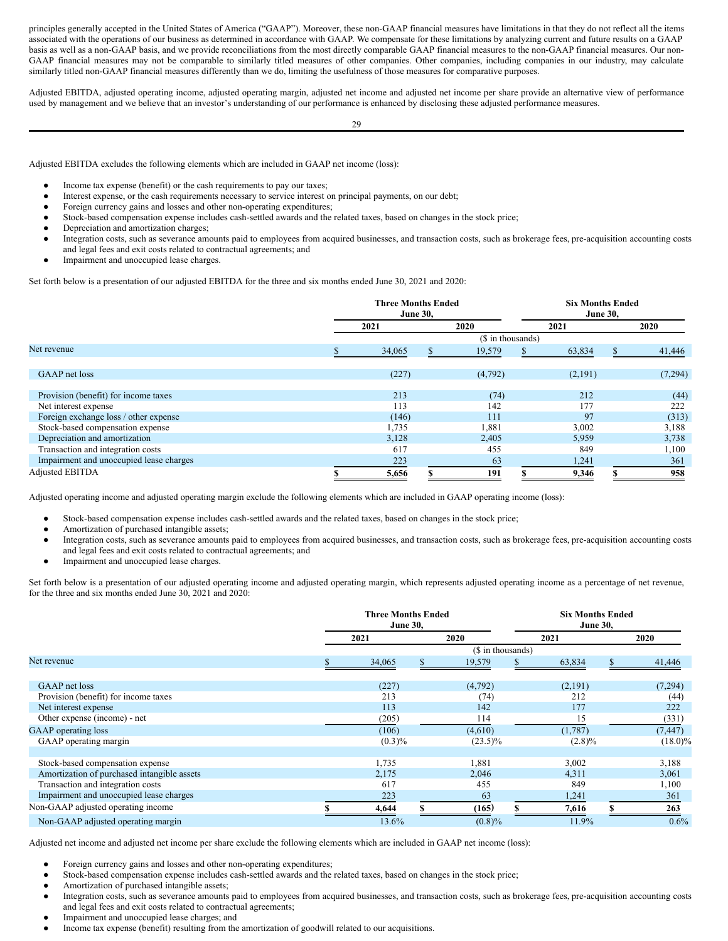principles generally accepted in the United States of America ("GAAP"). Moreover, these non-GAAP financial measures have limitations in that they do not reflect all the items associated with the operations of our business as determined in accordance with GAAP. We compensate for these limitations by analyzing current and future results on a GAAP basis as well as a non-GAAP basis, and we provide reconciliations from the most directly comparable GAAP financial measures to the non-GAAP financial measures. Our non-GAAP financial measures may not be comparable to similarly titled measures of other companies. Other companies, including companies in our industry, may calculate similarly titled non-GAAP financial measures differently than we do, limiting the usefulness of those measures for comparative purposes.

Adjusted EBITDA, adjusted operating income, adjusted operating margin, adjusted net income and adjusted net income per share provide an alternative view of performance used by management and we believe that an investor's understanding of our performance is enhanced by disclosing these adjusted performance measures.

Adjusted EBITDA excludes the following elements which are included in GAAP net income (loss):

- Income tax expense (benefit) or the cash requirements to pay our taxes;
- Interest expense, or the cash requirements necessary to service interest on principal payments, on our debt;
- Foreign currency gains and losses and other non-operating expenditures;
- Stock-based compensation expense includes cash-settled awards and the related taxes, based on changes in the stock price;
- Depreciation and amortization charges;
- Integration costs, such as severance amounts paid to employees from acquired businesses, and transaction costs, such as brokerage fees, pre-acquisition accounting costs and legal fees and exit costs related to contractual agreements; and
- Impairment and unoccupied lease charges.

Set forth below is a presentation of our adjusted EBITDA for the three and six months ended June 30, 2021 and 2020:

|                                         | <b>Three Months Ended</b><br><b>June 30,</b> |                   | <b>Six Months Ended</b><br><b>June 30,</b> |         |
|-----------------------------------------|----------------------------------------------|-------------------|--------------------------------------------|---------|
|                                         | 2021                                         | 2020              | 2021                                       | 2020    |
|                                         |                                              | (\$ in thousands) |                                            |         |
| Net revenue                             | 34,065                                       | 19,579            | 63,834                                     | 41,446  |
|                                         |                                              |                   |                                            |         |
| GAAP net loss                           | (227)                                        | (4,792)           | (2,191)                                    | (7,294) |
|                                         |                                              |                   |                                            |         |
| Provision (benefit) for income taxes    | 213                                          | (74)              | 212                                        | (44)    |
| Net interest expense                    | 113                                          | 142               | 177                                        | 222     |
| Foreign exchange loss / other expense   | (146)                                        | 111               | 97                                         | (313)   |
| Stock-based compensation expense        | 1,735                                        | 1,881             | 3,002                                      | 3,188   |
| Depreciation and amortization           | 3,128                                        | 2,405             | 5,959                                      | 3,738   |
| Transaction and integration costs       | 617                                          | 455               | 849                                        | 1,100   |
| Impairment and unoccupied lease charges | 223                                          | 63                | 1,241                                      | 361     |
| <b>Adjusted EBITDA</b>                  | 5,656                                        | 191               | 9,346                                      | 958     |

Adjusted operating income and adjusted operating margin exclude the following elements which are included in GAAP operating income (loss):

- Stock-based compensation expense includes cash-settled awards and the related taxes, based on changes in the stock price;
- Amortization of purchased intangible assets;
- Integration costs, such as severance amounts paid to employees from acquired businesses, and transaction costs, such as brokerage fees, pre-acquisition accounting costs and legal fees and exit costs related to contractual agreements; and
- Impairment and unoccupied lease charges.

Set forth below is a presentation of our adjusted operating income and adjusted operating margin, which represents adjusted operating income as a percentage of net revenue, for the three and six months ended June 30, 2021 and 2020:

|                                             | <b>Three Months Ended</b><br><b>June 30,</b> |                   | <b>Six Months Ended</b><br><b>June 30,</b> |            |
|---------------------------------------------|----------------------------------------------|-------------------|--------------------------------------------|------------|
|                                             | 2021                                         | 2020              | 2021                                       | 2020       |
|                                             |                                              | (\$ in thousands) |                                            |            |
| Net revenue                                 | 34,065                                       | 19,579            | 63,834                                     | 41,446     |
|                                             |                                              |                   |                                            |            |
| GAAP net loss                               | (227)                                        | (4,792)           | (2,191)                                    | (7,294)    |
| Provision (benefit) for income taxes        | 213                                          | (74)              | 212                                        | (44)       |
| Net interest expense                        | 113                                          | 142               | 177                                        | 222        |
| Other expense (income) - net                | (205)                                        | 114               | 15                                         | (331)      |
| <b>GAAP</b> operating loss                  | (106)                                        | (4,610)           | (1,787)                                    | (7, 447)   |
| GAAP operating margin                       | $(0.3)\%$                                    | $(23.5)\%$        | $(2.8)\%$                                  | $(18.0)\%$ |
| Stock-based compensation expense            | 1,735                                        | 1,881             | 3,002                                      | 3,188      |
| Amortization of purchased intangible assets | 2,175                                        | 2,046             | 4,311                                      | 3,061      |
| Transaction and integration costs           | 617                                          | 455               | 849                                        | 1,100      |
| Impairment and unoccupied lease charges     | 223                                          | 63                | 1,241                                      | 361        |
| Non-GAAP adjusted operating income          | 4,644                                        | (165)             | 7,616                                      | 263        |
| Non-GAAP adjusted operating margin          | 13.6%                                        | $(0.8)\%$         | 11.9%                                      | $0.6\%$    |

Adjusted net income and adjusted net income per share exclude the following elements which are included in GAAP net income (loss):

- Foreign currency gains and losses and other non-operating expenditures;
- Stock-based compensation expense includes cash-settled awards and the related taxes, based on changes in the stock price;
- Amortization of purchased intangible assets;
- Integration costs, such as severance amounts paid to employees from acquired businesses, and transaction costs, such as brokerage fees, pre-acquisition accounting costs and legal fees and exit costs related to contractual agreements;
- Impairment and unoccupied lease charges; and
- Income tax expense (benefit) resulting from the amortization of goodwill related to our acquisitions.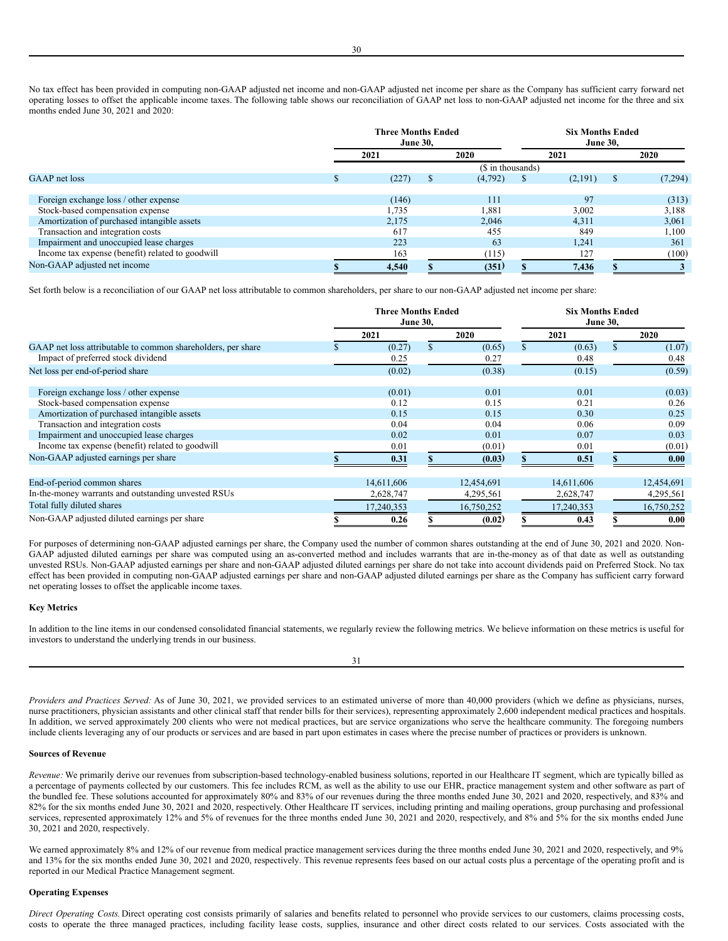No tax effect has been provided in computing non-GAAP adjusted net income and non-GAAP adjusted net income per share as the Company has sufficient carry forward net operating losses to offset the applicable income taxes. The following table shows our reconciliation of GAAP net loss to non-GAAP adjusted net income for the three and six months ended June 30, 2021 and 2020:

|                                                  | <b>Three Months Ended</b><br><b>June 30,</b> |                   | <b>Six Months Ended</b><br><b>June 30,</b> |   |         |
|--------------------------------------------------|----------------------------------------------|-------------------|--------------------------------------------|---|---------|
|                                                  | 2021                                         | 2020              | 2021                                       |   | 2020    |
|                                                  |                                              | (\$ in thousands) |                                            |   |         |
| GAAP net loss                                    | (227)                                        | \$<br>(4,792)     | \$<br>(2,191)                              | S | (7,294) |
|                                                  |                                              |                   |                                            |   |         |
| Foreign exchange loss / other expense            | (146)                                        | 111               | 97                                         |   | (313)   |
| Stock-based compensation expense                 | 1,735                                        | 1,881             | 3,002                                      |   | 3,188   |
| Amortization of purchased intangible assets      | 2.175                                        | 2.046             | 4.311                                      |   | 3,061   |
| Transaction and integration costs                | 617                                          | 455               | 849                                        |   | l,100   |
| Impairment and unoccupied lease charges          | 223                                          | 63                | 1,241                                      |   | 361     |
| Income tax expense (benefit) related to goodwill | 163                                          | (115)             | 127                                        |   | (100)   |
| Non-GAAP adjusted net income                     | 4,540                                        | (351)             | 7.436                                      |   |         |

Set forth below is a reconciliation of our GAAP net loss attributable to common shareholders, per share to our non-GAAP adjusted net income per share:

|                                                              | <b>Three Months Ended</b><br><b>June 30,</b> |              |   | <b>Six Months Ended</b><br><b>June 30,</b> |   |            |
|--------------------------------------------------------------|----------------------------------------------|--------------|---|--------------------------------------------|---|------------|
|                                                              | 2021                                         | 2020         |   | 2021                                       |   | 2020       |
| GAAP net loss attributable to common shareholders, per share | (0.27)                                       | \$<br>(0.65) | S | (0.63)                                     | S | (1.07)     |
| Impact of preferred stock dividend                           | 0.25                                         | 0.27         |   | 0.48                                       |   | 0.48       |
| Net loss per end-of-period share                             | (0.02)                                       | (0.38)       |   | (0.15)                                     |   | (0.59)     |
| Foreign exchange loss / other expense                        | (0.01)                                       | 0.01         |   | 0.01                                       |   | (0.03)     |
| Stock-based compensation expense                             | 0.12                                         | 0.15         |   | 0.21                                       |   | 0.26       |
| Amortization of purchased intangible assets                  | 0.15                                         | 0.15         |   | 0.30                                       |   | 0.25       |
| Transaction and integration costs                            | 0.04                                         | 0.04         |   | 0.06                                       |   | 0.09       |
| Impairment and unoccupied lease charges                      | 0.02                                         | 0.01         |   | 0.07                                       |   | 0.03       |
| Income tax expense (benefit) related to goodwill             | 0.01                                         | (0.01)       |   | 0.01                                       |   | (0.01)     |
| Non-GAAP adjusted earnings per share                         | 0.31                                         | (0.03)       |   | 0.51                                       |   | 0.00       |
| End-of-period common shares                                  | 14,611,606                                   | 12,454,691   |   | 14,611,606                                 |   | 12,454,691 |
| In-the-money warrants and outstanding unvested RSUs          | 2,628,747                                    | 4,295,561    |   | 2,628,747                                  |   | 4,295,561  |
| Total fully diluted shares                                   | 17,240,353                                   | 16,750,252   |   | 17,240,353                                 |   | 16,750,252 |
| Non-GAAP adjusted diluted earnings per share                 | 0.26                                         | (0.02)       |   | 0.43                                       |   | 0.00       |

For purposes of determining non-GAAP adjusted earnings per share, the Company used the number of common shares outstanding at the end of June 30, 2021 and 2020. Non-GAAP adjusted diluted earnings per share was computed using an as-converted method and includes warrants that are in-the-money as of that date as well as outstanding unvested RSUs. Non-GAAP adjusted earnings per share and non-GAAP adjusted diluted earnings per share do not take into account dividends paid on Preferred Stock. No tax effect has been provided in computing non-GAAP adjusted earnings per share and non-GAAP adjusted diluted earnings per share as the Company has sufficient carry forward net operating losses to offset the applicable income taxes.

## **Key Metrics**

In addition to the line items in our condensed consolidated financial statements, we regularly review the following metrics. We believe information on these metrics is useful for investors to understand the underlying trends in our business.

*Providers and Practices Served:* As of June 30, 2021, we provided services to an estimated universe of more than 40,000 providers (which we define as physicians, nurses, nurse practitioners, physician assistants and other clinical staff that render bills for their services), representing approximately 2,600 independent medical practices and hospitals. In addition, we served approximately 200 clients who were not medical practices, but are service organizations who serve the healthcare community. The foregoing numbers include clients leveraging any of our products or services and are based in part upon estimates in cases where the precise number of practices or providers is unknown.

#### **Sources of Revenue**

*Revenue:* We primarily derive our revenues from subscription-based technology-enabled business solutions, reported in our Healthcare IT segment, which are typically billed as a percentage of payments collected by our customers. This fee includes RCM, as well as the ability to use our EHR, practice management system and other software as part of the bundled fee. These solutions accounted for approximately 80% and 83% of our revenues during the three months ended June 30, 2021 and 2020, respectively, and 83% and 82% for the six months ended June 30, 2021 and 2020, respectively. Other Healthcare IT services, including printing and mailing operations, group purchasing and professional services, represented approximately 12% and 5% of revenues for the three months ended June 30, 2021 and 2020, respectively, and 8% and 5% for the six months ended June 30, 2021 and 2020, respectively.

We earned approximately 8% and 12% of our revenue from medical practice management services during the three months ended June 30, 2021 and 2020, respectively, and 9% and 13% for the six months ended June 30, 2021 and 2020, respectively. This revenue represents fees based on our actual costs plus a percentage of the operating profit and is reported in our Medical Practice Management segment.

#### **Operating Expenses**

*Direct Operating Costs.*Direct operating cost consists primarily of salaries and benefits related to personnel who provide services to our customers, claims processing costs, costs to operate the three managed practices, including facility lease costs, supplies, insurance and other direct costs related to our services. Costs associated with the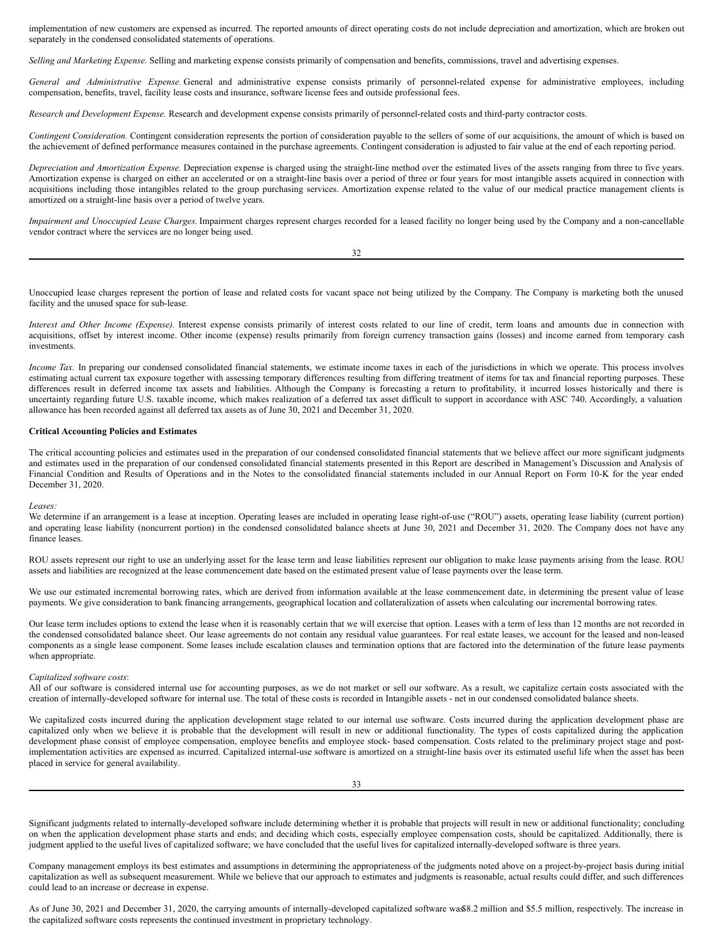implementation of new customers are expensed as incurred. The reported amounts of direct operating costs do not include depreciation and amortization, which are broken out separately in the condensed consolidated statements of operations.

*Selling and Marketing Expense.* Selling and marketing expense consists primarily of compensation and benefits, commissions, travel and advertising expenses.

*General and Administrative Expense.* General and administrative expense consists primarily of personnel-related expense for administrative employees, including compensation, benefits, travel, facility lease costs and insurance, software license fees and outside professional fees.

*Research and Development Expense.* Research and development expense consists primarily of personnel-related costs and third-party contractor costs.

*Contingent Consideration.* Contingent consideration represents the portion of consideration payable to the sellers of some of our acquisitions, the amount of which is based on the achievement of defined performance measures contained in the purchase agreements. Contingent consideration is adjusted to fair value at the end of each reporting period.

*Depreciation and Amortization Expense.* Depreciation expense is charged using the straight-line method over the estimated lives of the assets ranging from three to five years. Amortization expense is charged on either an accelerated or on a straight-line basis over a period of three or four years for most intangible assets acquired in connection with acquisitions including those intangibles related to the group purchasing services. Amortization expense related to the value of our medical practice management clients is amortized on a straight-line basis over a period of twelve years.

*Impairment and Unoccupied Lease Charges.* Impairment charges represent charges recorded for a leased facility no longer being used by the Company and a non-cancellable vendor contract where the services are no longer being used.

32

Unoccupied lease charges represent the portion of lease and related costs for vacant space not being utilized by the Company. The Company is marketing both the unused facility and the unused space for sub-lease.

*Interest and Other Income (Expense).* Interest expense consists primarily of interest costs related to our line of credit, term loans and amounts due in connection with acquisitions, offset by interest income. Other income (expense) results primarily from foreign currency transaction gains (losses) and income earned from temporary cash investments.

*Income Tax*. In preparing our condensed consolidated financial statements, we estimate income taxes in each of the jurisdictions in which we operate. This process involves estimating actual current tax exposure together with assessing temporary differences resulting from differing treatment of items for tax and financial reporting purposes. These differences result in deferred income tax assets and liabilities. Although the Company is forecasting a return to profitability, it incurred losses historically and there is uncertainty regarding future U.S. taxable income, which makes realization of a deferred tax asset difficult to support in accordance with ASC 740. Accordingly, a valuation allowance has been recorded against all deferred tax assets as of June 30, 2021 and December 31, 2020.

## **Critical Accounting Policies and Estimates**

The critical accounting policies and estimates used in the preparation of our condensed consolidated financial statements that we believe affect our more significant judgments and estimates used in the preparation of our condensed consolidated financial statements presented in this Report are described in Management's Discussion and Analysis of Financial Condition and Results of Operations and in the Notes to the consolidated financial statements included in our Annual Report on Form 10-K for the year ended December 31, 2020.

*Leases:*

We determine if an arrangement is a lease at inception. Operating leases are included in operating lease right-of-use ("ROU") assets, operating lease liability (current portion) and operating lease liability (noncurrent portion) in the condensed consolidated balance sheets at June 30, 2021 and December 31, 2020. The Company does not have any finance leases.

ROU assets represent our right to use an underlying asset for the lease term and lease liabilities represent our obligation to make lease payments arising from the lease. ROU assets and liabilities are recognized at the lease commencement date based on the estimated present value of lease payments over the lease term.

We use our estimated incremental borrowing rates, which are derived from information available at the lease commencement date, in determining the present value of lease payments. We give consideration to bank financing arrangements, geographical location and collateralization of assets when calculating our incremental borrowing rates.

Our lease term includes options to extend the lease when it is reasonably certain that we will exercise that option. Leases with a term of less than 12 months are not recorded in the condensed consolidated balance sheet. Our lease agreements do not contain any residual value guarantees. For real estate leases, we account for the leased and non-leased components as a single lease component. Some leases include escalation clauses and termination options that are factored into the determination of the future lease payments when appropriate.

## *Capitalized software costs*:

All of our software is considered internal use for accounting purposes, as we do not market or sell our software. As a result, we capitalize certain costs associated with the creation of internally-developed software for internal use. The total of these costs is recorded in Intangible assets - net in our condensed consolidated balance sheets.

We capitalized costs incurred during the application development stage related to our internal use software. Costs incurred during the application development phase are capitalized only when we believe it is probable that the development will result in new or additional functionality. The types of costs capitalized during the application development phase consist of employee compensation, employee benefits and employee stock- based compensation. Costs related to the preliminary project stage and postimplementation activities are expensed as incurred. Capitalized internal-use software is amortized on a straight-line basis over its estimated useful life when the asset has been placed in service for general availability.

Significant judgments related to internally-developed software include determining whether it is probable that projects will result in new or additional functionality; concluding on when the application development phase starts and ends; and deciding which costs, especially employee compensation costs, should be capitalized. Additionally, there is judgment applied to the useful lives of capitalized software; we have concluded that the useful lives for capitalized internally-developed software is three years.

Company management employs its best estimates and assumptions in determining the appropriateness of the judgments noted above on a project-by-project basis during initial capitalization as well as subsequent measurement. While we believe that our approach to estimates and judgments is reasonable, actual results could differ, and such differences could lead to an increase or decrease in expense.

As of June 30, 2021 and December 31, 2020, the carrying amounts of internally-developed capitalized software was\$8.2 million and \$5.5 million, respectively. The increase in the capitalized software costs represents the continued investment in proprietary technology.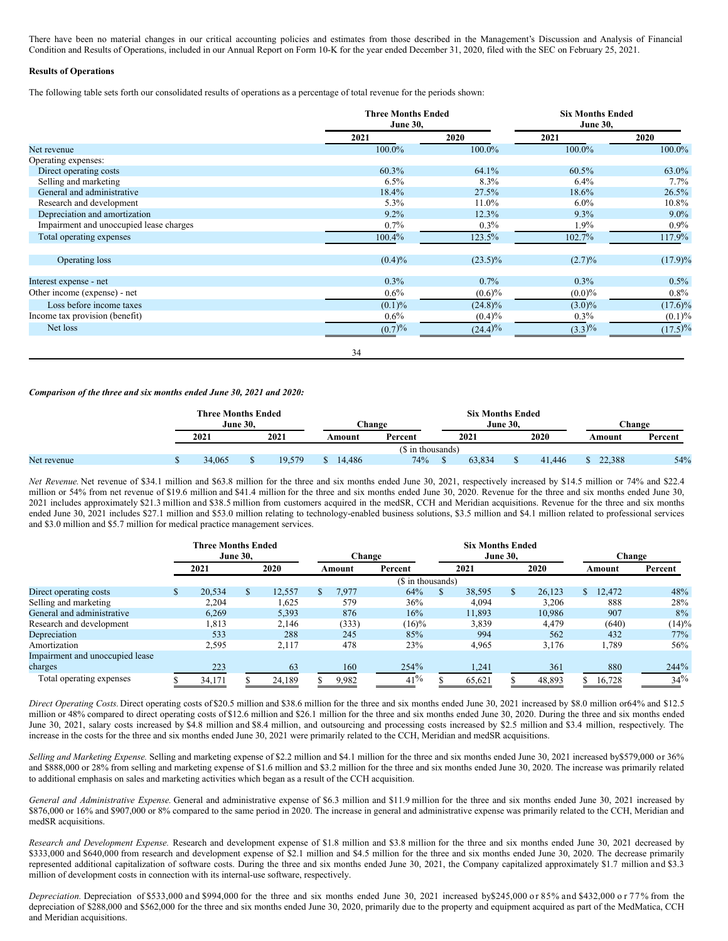There have been no material changes in our critical accounting policies and estimates from those described in the Management's Discussion and Analysis of Financial Condition and Results of Operations, included in our Annual Report on Form 10-K for the year ended December 31, 2020, filed with the SEC on February 25, 2021.

## **Results of Operations**

The following table sets forth our consolidated results of operations as a percentage of total revenue for the periods shown:

|                                         | <b>Three Months Ended</b><br><b>June 30,</b> |            | <b>Six Months Ended</b><br><b>June 30,</b> |            |  |  |
|-----------------------------------------|----------------------------------------------|------------|--------------------------------------------|------------|--|--|
|                                         | 2021                                         | 2020       | 2021                                       | 2020       |  |  |
| Net revenue                             | 100.0%                                       | 100.0%     | 100.0%                                     | 100.0%     |  |  |
| Operating expenses:                     |                                              |            |                                            |            |  |  |
| Direct operating costs                  | 60.3%                                        | 64.1%      | 60.5%                                      | 63.0%      |  |  |
| Selling and marketing                   | $6.5\%$                                      | 8.3%       | 6.4%                                       | $7.7\%$    |  |  |
| General and administrative              | 18.4%                                        | 27.5%      | 18.6%                                      | 26.5%      |  |  |
| Research and development                | $5.3\%$                                      | 11.0%      | $6.0\%$                                    | 10.8%      |  |  |
| Depreciation and amortization           | $9.2\%$                                      | 12.3%      | $9.3\%$                                    | $9.0\%$    |  |  |
| Impairment and unoccupied lease charges | $0.7\%$                                      | $0.3\%$    | $1.9\%$                                    | $0.9\%$    |  |  |
| Total operating expenses                | $100.4\%$                                    | 123.5%     | 102.7%                                     | 117.9%     |  |  |
| Operating loss                          | $(0.4)\%$                                    | $(23.5)\%$ | $(2.7)\%$                                  | $(17.9)\%$ |  |  |
| Interest expense - net                  | $0.3\%$                                      | 0.7%       | $0.3\%$                                    | $0.5\%$    |  |  |
| Other income (expense) - net            | $0.6\%$                                      | $(0.6)\%$  | $(0.0)\%$                                  | $0.8\%$    |  |  |
| Loss before income taxes                | (0.1)%                                       | $(24.8)\%$ | $(3.0)\%$                                  | $(17.6)\%$ |  |  |
| Income tax provision (benefit)          | $0.6\%$                                      | $(0.4)\%$  | $0.3\%$                                    | (0.1)%     |  |  |
| Net loss                                | (0.7)%                                       | $(24.4)\%$ | $(3.3)\%$                                  | $(17.5)\%$ |  |  |
|                                         | 34                                           |            |                                            |            |  |  |

## *Comparison of the three and six months ended June 30, 2021 and 2020:*

|             | <b>Three Months Ended</b> |                 |        |  |        |         |                   |      | <b>Six Months Ended</b> |                 |        |  |        |         |
|-------------|---------------------------|-----------------|--------|--|--------|---------|-------------------|------|-------------------------|-----------------|--------|--|--------|---------|
|             |                           | <b>June 30.</b> |        |  | Change |         |                   |      |                         | <b>June 30.</b> |        |  | Change |         |
|             | 2021                      | 2021            |        |  | Amount | Percent |                   | 2021 |                         |                 | 2020   |  | Amount | Percent |
|             |                           |                 |        |  |        |         | (\$ in thousands) |      |                         |                 |        |  |        |         |
| Net revenue | 34.065                    |                 | 19.579 |  | 14.486 |         | 74%               |      | 63.834                  |                 | 41,446 |  | 22.388 | 54%     |

*Net Revenue.* Net revenue of \$34.1 million and \$63.8 million for the three and six months ended June 30, 2021, respectively increased by \$14.5 million or 74% and \$22.4 million or 54% from net revenue of \$19.6 million and \$41.4 million for the three and six months ended June 30, 2020. Revenue for the three and six months ended June 30, 2021 includes approximately \$21.3 million and \$38.5 million from customers acquired in the medSR, CCH and Meridian acquisitions. Revenue for the three and six months ended June 30, 2021 includes \$27.1 million and \$53.0 million relating to technology-enabled business solutions, \$3.5 million and \$4.1 million related to professional services and \$3.0 million and \$5.7 million for medical practice management services.

|                                 |    | <b>Three Months Ended</b> | <b>June 30,</b> |        | Change |                   |        | <b>Six Months Ended</b> | <b>June 30,</b> |        |    | Change |       |        |         |
|---------------------------------|----|---------------------------|-----------------|--------|--------|-------------------|--------|-------------------------|-----------------|--------|----|--------|-------|--------|---------|
|                                 |    | 2020<br>2021              |                 |        |        |                   | Amount | Percent                 | 2021<br>2020    |        |    |        |       | Amount | Percent |
|                                 |    |                           |                 |        |        | (\$ in thousands) |        |                         |                 |        |    |        |       |        |         |
| Direct operating costs          | \$ | 20.534                    | S               | 12,557 | 7.977  | 64%               | \$     | 38,595                  | \$              | 26,123 | S. | 12,472 | 48%   |        |         |
| Selling and marketing           |    | 2,204                     |                 | 1,625  | 579    | 36%               |        | 4,094                   |                 | 3,206  |    | 888    | 28%   |        |         |
| General and administrative      |    | 6,269                     |                 | 5,393  | 876    | 16%               |        | 11,893                  |                 | 10,986 |    | 907    | $8\%$ |        |         |
| Research and development        |    | .813                      |                 | 2,146  | (333)  | $(16)\%$          |        | 3,839                   |                 | 4,479  |    | (640)  | (14)% |        |         |
| Depreciation                    |    | 533                       |                 | 288    | 245    | 85%               |        | 994                     |                 | 562    |    | 432    | 77%   |        |         |
| Amortization                    |    | 2,595                     |                 | 2,117  | 478    | 23%               |        | 4,965                   |                 | 3,176  |    | 1,789  | 56%   |        |         |
| Impairment and unoccupied lease |    |                           |                 |        |        |                   |        |                         |                 |        |    |        |       |        |         |
| charges                         |    | 223                       |                 | 63     | 160    | 254%              |        | 1,241                   |                 | 361    |    | 880    | 244%  |        |         |
| Total operating expenses        |    | 34,171                    |                 | 24,189 | 9,982  | $41\%$            |        | 65,621                  |                 | 48,893 |    | 16,728 | 34%   |        |         |

*Direct Operating Costs.* Direct operating costs of \$20.5 million and \$38.6 million for the three and six months ended June 30, 2021 increased by \$8.0 million or64% and \$12.5 million or 48% compared to direct operating costs of \$12.6 million and \$26.1 million for the three and six months ended June 30, 2020. During the three and six months ended June 30, 2021, salary costs increased by \$4.8 million and \$8.4 million, and outsourcing and processing costs increased by \$2.5 million and \$3.4 million, respectively. The increase in the costs for the three and six months ended June 30, 2021 were primarily related to the CCH, Meridian and medSR acquisitions.

*Selling and Marketing Expense.* Selling and marketing expense of \$2.2 million and \$4.1 million for the three and six months ended June 30, 2021 increased by\$579,000 or 36% and \$888,000 or 28% from selling and marketing expense of \$1.6 million and \$3.2 million for the three and six months ended June 30, 2020. The increase was primarily related to additional emphasis on sales and marketing activities which began as a result of the CCH acquisition.

*General and Administrative Expense.* General and administrative expense of \$6.3 million and \$11.9 million for the three and six months ended June 30, 2021 increased by \$876,000 or 16% and \$907,000 or 8% compared to the same period in 2020. The increase in general and administrative expense was primarily related to the CCH, Meridian and medSR acquisitions.

*Research and Development Expense.* Research and development expense of \$1.8 million and \$3.8 million for the three and six months ended June 30, 2021 decreased by \$333,000 and \$640,000 from research and development expense of \$2.1 million and \$4.5 million for the three and six months ended June 30, 2020. The decrease primarily represented additional capitalization of software costs. During the three and six months ended June 30, 2021, the Company capitalized approximately \$1.7 million and \$3.3 million of development costs in connection with its internal-use software, respectively.

*Depreciation.* Depreciation of \$533,000 and \$994,000 for the three and six months ended June 30, 2021 increased by\$245,000 o r 85% and \$432,000 o r 77% from the depreciation of \$288,000 and \$562,000 for the three and six months ended June 30, 2020, primarily due to the property and equipment acquired as part of the MedMatica, CCH and Meridian acquisitions.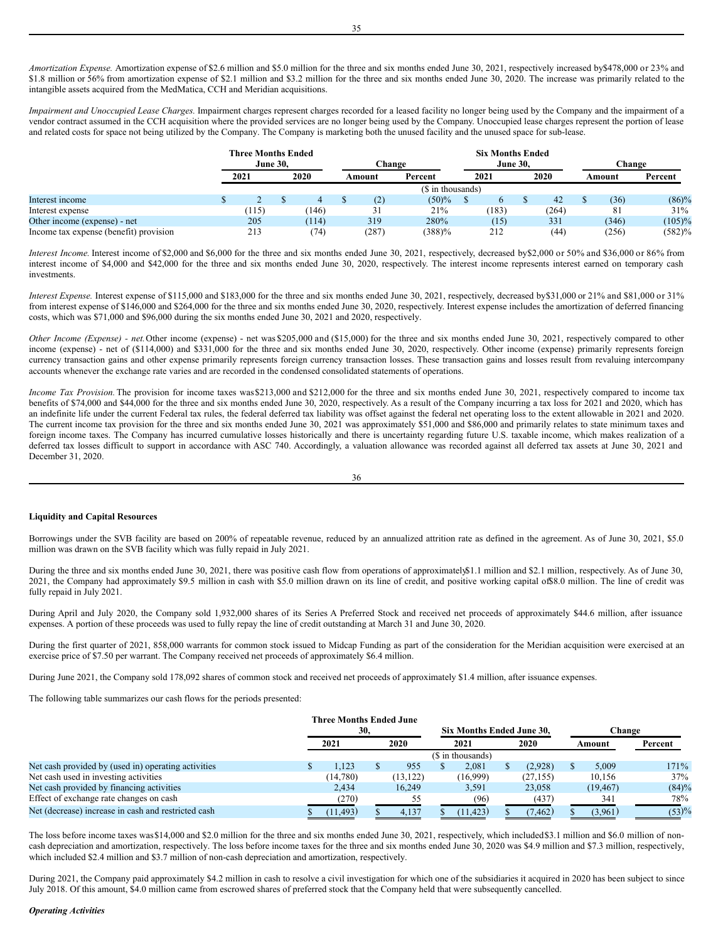*Amortization Expense.* Amortization expense of \$2.6 million and \$5.0 million for the three and six months ended June 30, 2021, respectively increased by\$478,000 or 23% and \$1.8 million or 56% from amortization expense of \$2.1 million and \$3.2 million for the three and six months ended June 30, 2020. The increase was primarily related to the intangible assets acquired from the MedMatica, CCH and Meridian acquisitions.

*Impairment and Unoccupied Lease Charges.* Impairment charges represent charges recorded for a leased facility no longer being used by the Company and the impairment of a vendor contract assumed in the CCH acquisition where the provided services are no longer being used by the Company. Unoccupied lease charges represent the portion of lease and related costs for space not being utilized by the Company. The Company is marketing both the unused facility and the unused space for sub-lease.

|                                        | <b>Three Months Ended</b><br><b>June 30.</b> |       | Change |                   |  | <b>Six Months Ended</b><br><b>June 30.</b><br><b>Change</b> |  |       |  |        |           |
|----------------------------------------|----------------------------------------------|-------|--------|-------------------|--|-------------------------------------------------------------|--|-------|--|--------|-----------|
|                                        | 2021                                         | 2020  | Amount | Percent           |  | 2021                                                        |  | 2020  |  | Amount | Percent   |
|                                        |                                              |       |        | (\$ in thousands) |  |                                                             |  |       |  |        |           |
| Interest income                        |                                              |       | (2)    | (50)%             |  |                                                             |  | 42    |  | (36)   | $(86)\%$  |
| Interest expense                       | (115)                                        | (146) |        | 21%               |  | (183)                                                       |  | (264) |  | 81     | 31%       |
| Other income (expense) - net           | 205                                          | (114) | 319    | 280%              |  | (15)                                                        |  | 331   |  | (346)  | $(105)\%$ |
| Income tax expense (benefit) provision | 213                                          | 74    | (287)  | (388)%            |  | 212                                                         |  | (44)  |  | (256)  | (582)%    |

*Interest Income.* Interest income of \$2,000 and \$6,000 for the three and six months ended June 30, 2021, respectively, decreased by\$2,000 or 50% and \$36,000 or 86% from interest income of \$4,000 and \$42,000 for the three and six months ended June 30, 2020, respectively. The interest income represents interest earned on temporary cash investments.

*Interest Expense.* Interest expense of \$115,000 and \$183,000 for the three and six months ended June 30, 2021, respectively, decreased by\$31,000 or 21% and \$81,000 or 31% from interest expense of \$146,000 and \$264,000 for the three and six months ended June 30, 2020, respectively. Interest expense includes the amortization of deferred financing costs, which was \$71,000 and \$96,000 during the six months ended June 30, 2021 and 2020, respectively.

*Other Income* (Expense) - net. Other income (expense) - net was \$205,000 and (\$15,000) for the three and six months ended June 30, 2021, respectively compared to other income (expense) - net of (\$114,000) and \$331,000 for the three and six months ended June 30, 2020, respectively. Other income (expense) primarily represents foreign currency transaction gains and other expense primarily represents foreign currency transaction losses. These transaction gains and losses result from revaluing intercompany accounts whenever the exchange rate varies and are recorded in the condensed consolidated statements of operations.

*Income Tax Provision*. The provision for income taxes was\$213,000 and \$212,000 for the three and six months ended June 30, 2021, respectively compared to income tax benefits of \$74,000 and \$44,000 for the three and six months ended June 30, 2020, respectively. As a result of the Company incurring a tax loss for 2021 and 2020, which has an indefinite life under the current Federal tax rules, the federal deferred tax liability was offset against the federal net operating loss to the extent allowable in 2021 and 2020. The current income tax provision for the three and six months ended June 30, 2021 was approximately \$51,000 and \$86,000 and primarily relates to state minimum taxes and foreign income taxes. The Company has incurred cumulative losses historically and there is uncertainty regarding future U.S. taxable income, which makes realization of a deferred tax losses difficult to support in accordance with ASC 740. Accordingly, a valuation allowance was recorded against all deferred tax assets at June 30, 2021 and December 31, 2020.

36

## **Liquidity and Capital Resources**

Borrowings under the SVB facility are based on 200% of repeatable revenue, reduced by an annualized attrition rate as defined in the agreement. As of June 30, 2021, \$5.0 million was drawn on the SVB facility which was fully repaid in July 2021.

During the three and six months ended June 30, 2021, there was positive cash flow from operations of approximately\$1.1 million and \$2.1 million, respectively. As of June 30, 2021, the Company had approximately \$9.5 million in cash with \$5.0 million drawn on its line of credit, and positive working capital of\$8.0 million. The line of credit was fully repaid in July 2021.

During April and July 2020, the Company sold 1,932,000 shares of its Series A Preferred Stock and received net proceeds of approximately \$44.6 million, after issuance expenses. A portion of these proceeds was used to fully repay the line of credit outstanding at March 31 and June 30, 2020.

During the first quarter of 2021, 858,000 warrants for common stock issued to Midcap Funding as part of the consideration for the Meridian acquisition were exercised at an exercise price of \$7.50 per warrant. The Company received net proceeds of approximately \$6.4 million.

During June 2021, the Company sold 178,092 shares of common stock and received net proceeds of approximately \$1.4 million, after issuance expenses.

The following table summarizes our cash flows for the periods presented:

|                                                     | <b>Three Months Ended June</b> |           |                           |           |           |          |
|-----------------------------------------------------|--------------------------------|-----------|---------------------------|-----------|-----------|----------|
|                                                     | 30,                            |           | Six Months Ended June 30. |           | Change    |          |
|                                                     | 2021                           | 2020      | 2021                      | 2020      | Amount    | Percent  |
|                                                     |                                |           | (\$ in thousands)         |           |           |          |
| Net cash provided by (used in) operating activities | 1.123                          | 955       | 2.081                     | (2,928)   | 5.009     | 171%     |
| Net cash used in investing activities               | (14, 780)                      | (13, 122) | (16,999)                  | (27, 155) | 10.156    | 37%      |
| Net cash provided by financing activities           | 2,434                          | 16.249    | 3,591                     | 23,058    | (19, 467) | $(84)\%$ |
| Effect of exchange rate changes on cash             | (270)                          | 55        | (96)                      | (437)     | 341       | 78%      |
| Net (decrease) increase in cash and restricted cash | (11, 493)                      | 4,137     | (11, 423)                 | (7, 462)  | (3,961)   | (53)%    |

The loss before income taxes was\$14,000 and \$2.0 million for the three and six months ended June 30, 2021, respectively, which included\$3.1 million and \$6.0 million of noncash depreciation and amortization, respectively. The loss before income taxes for the three and six months ended June 30, 2020 was \$4.9 million and \$7.3 million, respectively, which included \$2.4 million and \$3.7 million of non-cash depreciation and amortization, respectively.

During 2021, the Company paid approximately \$4.2 million in cash to resolve a civil investigation for which one of the subsidiaries it acquired in 2020 has been subject to since July 2018. Of this amount, \$4.0 million came from escrowed shares of preferred stock that the Company held that were subsequently cancelled.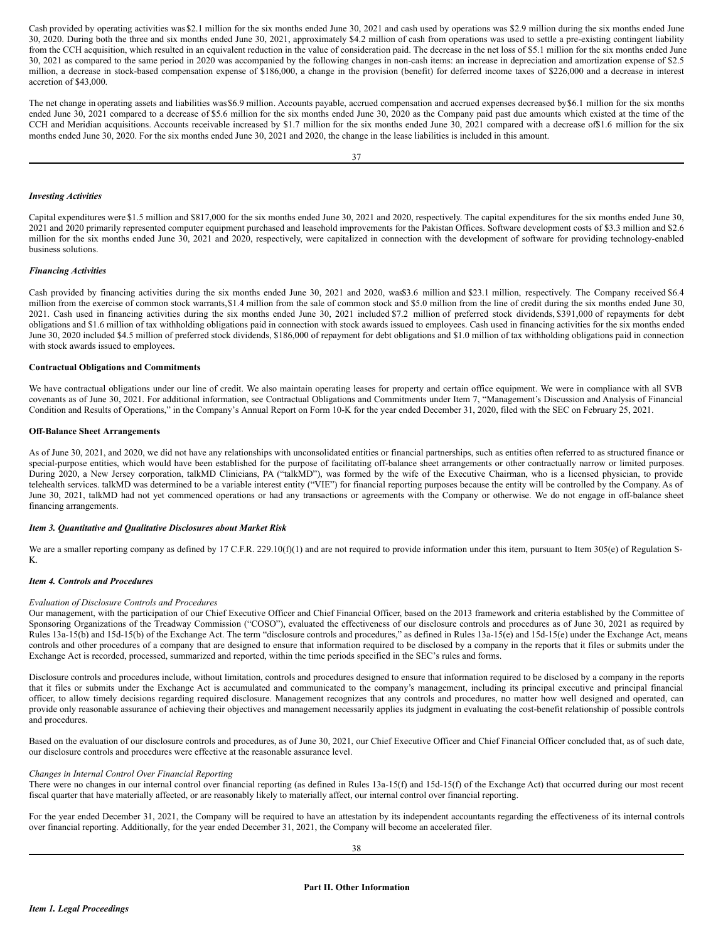Cash provided by operating activities was \$2.1 million for the six months ended June 30, 2021 and cash used by operations was \$2.9 million during the six months ended June 30, 2020. During both the three and six months ended June 30, 2021, approximately \$4.2 million of cash from operations was used to settle a pre-existing contingent liability from the CCH acquisition, which resulted in an equivalent reduction in the value of consideration paid. The decrease in the net loss of \$5.1 million for the six months ended June 30, 2021 as compared to the same period in 2020 was accompanied by the following changes in non-cash items: an increase in depreciation and amortization expense of \$2.5 million, a decrease in stock-based compensation expense of \$186,000, a change in the provision (benefit) for deferred income taxes of \$226,000 and a decrease in interest accretion of \$43,000.

The net change in operating assets and liabilities was\$6.9 million. Accounts payable, accrued compensation and accrued expenses decreased by\$6.1 million for the six months ended June 30, 2021 compared to a decrease of \$5.6 million for the six months ended June 30, 2020 as the Company paid past due amounts which existed at the time of the CCH and Meridian acquisitions. Accounts receivable increased by \$1.7 million for the six months ended June 30, 2021 compared with a decrease of\$1.6 million for the six months ended June 30, 2020. For the six months ended June 30, 2021 and 2020, the change in the lease liabilities is included in this amount.

## *Investing Activities*

Capital expenditures were \$1.5 million and \$817,000 for the six months ended June 30, 2021 and 2020, respectively. The capital expenditures for the six months ended June 30, 2021 and 2020 primarily represented computer equipment purchased and leasehold improvements for the Pakistan Offices. Software development costs of \$3.3 million and \$2.6 million for the six months ended June 30, 2021 and 2020, respectively, were capitalized in connection with the development of software for providing technology-enabled business solutions.

#### *Financing Activities*

Cash provided by financing activities during the six months ended June 30, 2021 and 2020, was\$3.6 million and \$23.1 million, respectively. The Company received \$6.4 million from the exercise of common stock warrants, \$1.4 million from the sale of common stock and \$5.0 million from the line of credit during the six months ended June 30, 2021. Cash used in financing activities during the six months ended June 30, 2021 included \$7.2 million of preferred stock dividends, \$391,000 of repayments for debt obligations and \$1.6 million of tax withholding obligations paid in connection with stock awards issued to employees. Cash used in financing activities for the six months ended June 30, 2020 included \$4.5 million of preferred stock dividends, \$186,000 of repayment for debt obligations and \$1.0 million of tax withholding obligations paid in connection with stock awards issued to employees.

#### **Contractual Obligations and Commitments**

We have contractual obligations under our line of credit. We also maintain operating leases for property and certain office equipment. We were in compliance with all SVB covenants as of June 30, 2021. For additional information, see Contractual Obligations and Commitments under Item 7, "Management's Discussion and Analysis of Financial Condition and Results of Operations," in the Company's Annual Report on Form 10-K for the year ended December 31, 2020, filed with the SEC on February 25, 2021.

#### **Off-Balance Sheet Arrangements**

As of June 30, 2021, and 2020, we did not have any relationships with unconsolidated entities or financial partnerships, such as entities often referred to as structured finance or special-purpose entities, which would have been established for the purpose of facilitating off-balance sheet arrangements or other contractually narrow or limited purposes. During 2020, a New Jersey corporation, talkMD Clinicians, PA ("talkMD"), was formed by the wife of the Executive Chairman, who is a licensed physician, to provide telehealth services. talkMD was determined to be a variable interest entity ("VIE") for financial reporting purposes because the entity will be controlled by the Company. As of June 30, 2021, talkMD had not yet commenced operations or had any transactions or agreements with the Company or otherwise. We do not engage in off-balance sheet financing arrangements.

## *Item 3. Quantitative and Qualitative Disclosures about Market Risk*

We are a smaller reporting company as defined by 17 C.F.R. 229.10(f)(1) and are not required to provide information under this item, pursuant to Item 305(e) of Regulation S-K.

#### *Item 4. Controls and Procedures*

#### *Evaluation of Disclosure Controls and Procedures*

Our management, with the participation of our Chief Executive Officer and Chief Financial Officer, based on the 2013 framework and criteria established by the Committee of Sponsoring Organizations of the Treadway Commission ("COSO"), evaluated the effectiveness of our disclosure controls and procedures as of June 30, 2021 as required by Rules 13a-15(b) and 15d-15(b) of the Exchange Act. The term "disclosure controls and procedures," as defined in Rules 13a-15(e) and 15d-15(e) under the Exchange Act, means controls and other procedures of a company that are designed to ensure that information required to be disclosed by a company in the reports that it files or submits under the Exchange Act is recorded, processed, summarized and reported, within the time periods specified in the SEC's rules and forms.

Disclosure controls and procedures include, without limitation, controls and procedures designed to ensure that information required to be disclosed by a company in the reports that it files or submits under the Exchange Act is accumulated and communicated to the company's management, including its principal executive and principal financial officer, to allow timely decisions regarding required disclosure. Management recognizes that any controls and procedures, no matter how well designed and operated, can provide only reasonable assurance of achieving their objectives and management necessarily applies its judgment in evaluating the cost-benefit relationship of possible controls and procedures.

Based on the evaluation of our disclosure controls and procedures, as of June 30, 2021, our Chief Executive Officer and Chief Financial Officer concluded that, as of such date, our disclosure controls and procedures were effective at the reasonable assurance level.

#### *Changes in Internal Control Over Financial Reporting*

There were no changes in our internal control over financial reporting (as defined in Rules 13a-15(f) and 15d-15(f) of the Exchange Act) that occurred during our most recent fiscal quarter that have materially affected, or are reasonably likely to materially affect, our internal control over financial reporting.

For the year ended December 31, 2021, the Company will be required to have an attestation by its independent accountants regarding the effectiveness of its internal controls over financial reporting. Additionally, for the year ended December 31, 2021, the Company will become an accelerated filer.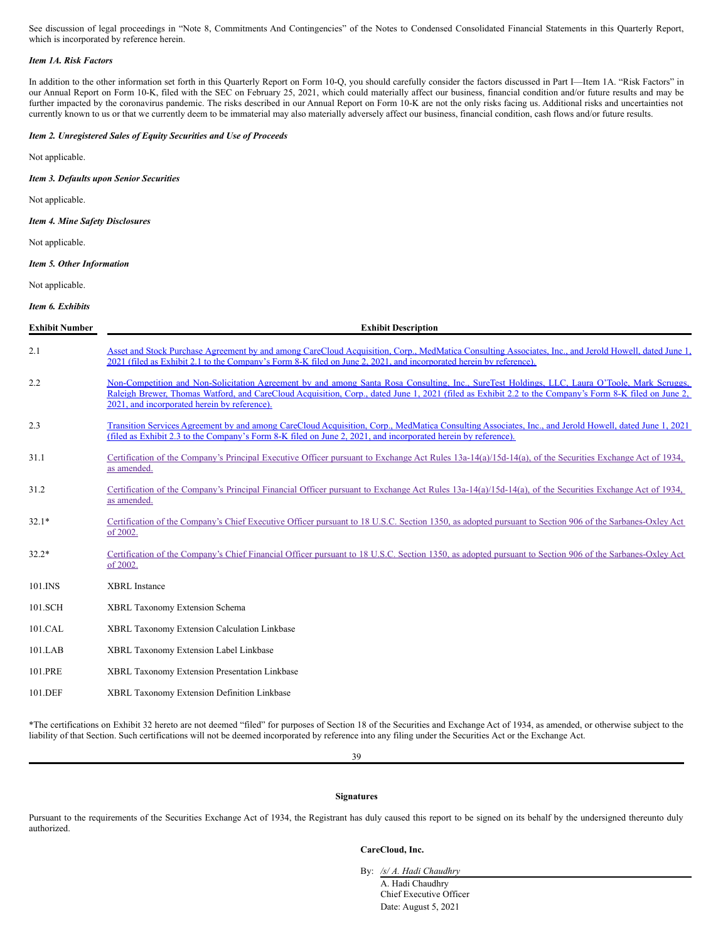See discussion of legal proceedings in "Note 8, Commitments And Contingencies" of the Notes to Condensed Consolidated Financial Statements in this Quarterly Report, which is incorporated by reference herein.

#### *Item 1A. Risk Factors*

In addition to the other information set forth in this Quarterly Report on Form 10-Q, you should carefully consider the factors discussed in Part I—Item 1A. "Risk Factors" in our Annual Report on Form 10-K, filed with the SEC on February 25, 2021, which could materially affect our business, financial condition and/or future results and may be further impacted by the coronavirus pandemic. The risks described in our Annual Report on Form 10-K are not the only risks facing us. Additional risks and uncertainties not currently known to us or that we currently deem to be immaterial may also materially adversely affect our business, financial condition, cash flows and/or future results.

### *Item 2. Unregistered Sales of Equity Securities and Use of Proceeds*

Not applicable.

## *Item 3. Defaults upon Senior Securities*

Not applicable.

*Item 4. Mine Safety Disclosures*

Not applicable.

#### *Item 5. Other Information*

Not applicable.

## *Item 6. Exhibits*

| <b>Exhibit Number</b> | <b>Exhibit Description</b>                                                                                                                                                                                                                                                                                                                             |
|-----------------------|--------------------------------------------------------------------------------------------------------------------------------------------------------------------------------------------------------------------------------------------------------------------------------------------------------------------------------------------------------|
| 2.1                   | Asset and Stock Purchase Agreement by and among CareCloud Acquisition, Corp., MedMatica Consulting Associates, Inc., and Jerold Howell, dated June 1,<br>2021 (filed as Exhibit 2.1 to the Company's Form 8-K filed on June 2, 2021, and incorporated herein by reference).                                                                            |
| 2.2                   | Non-Competition and Non-Solicitation Agreement by and among Santa Rosa Consulting, Inc., SureTest Holdings, LLC, Laura O'Toole, Mark Scruggs,<br>Raleigh Brewer, Thomas Watford, and CareCloud Acquisition, Corp., dated June 1, 2021 (filed as Exhibit 2.2 to the Company's Form 8-K filed on June 2,<br>2021, and incorporated herein by reference). |
| 2.3                   | Transition Services Agreement by and among CareCloud Acquisition, Corp., MedMatica Consulting Associates, Inc., and Jerold Howell, dated June 1, 2021<br>(filed as Exhibit 2.3 to the Company's Form 8-K filed on June 2, 2021, and incorporated herein by reference).                                                                                 |
| 31.1                  | Certification of the Company's Principal Executive Officer pursuant to Exchange Act Rules 13a-14(a)/15d-14(a), of the Securities Exchange Act of 1934,<br>as amended.                                                                                                                                                                                  |
| 31.2                  | Certification of the Company's Principal Financial Officer pursuant to Exchange Act Rules 13a-14(a)/15d-14(a), of the Securities Exchange Act of 1934,<br>as amended.                                                                                                                                                                                  |
| $32.1*$               | Certification of the Company's Chief Executive Officer pursuant to 18 U.S.C. Section 1350, as adopted pursuant to Section 906 of the Sarbanes-Oxley Act<br>of 2002.                                                                                                                                                                                    |
| $32.2*$               | Certification of the Company's Chief Financial Officer pursuant to 18 U.S.C. Section 1350, as adopted pursuant to Section 906 of the Sarbanes-Oxley Act<br>of 2002.                                                                                                                                                                                    |
| 101.INS               | <b>XBRL</b> Instance                                                                                                                                                                                                                                                                                                                                   |
| 101.SCH               | XBRL Taxonomy Extension Schema                                                                                                                                                                                                                                                                                                                         |
| 101.CAL               | XBRL Taxonomy Extension Calculation Linkbase                                                                                                                                                                                                                                                                                                           |
| 101.LAB               | XBRL Taxonomy Extension Label Linkbase                                                                                                                                                                                                                                                                                                                 |
| 101.PRE               | XBRL Taxonomy Extension Presentation Linkbase                                                                                                                                                                                                                                                                                                          |
| 101.DEF               | XBRL Taxonomy Extension Definition Linkbase                                                                                                                                                                                                                                                                                                            |

\*The certifications on Exhibit 32 hereto are not deemed "filed" for purposes of Section 18 of the Securities and Exchange Act of 1934, as amended, or otherwise subject to the liability of that Section. Such certifications will not be deemed incorporated by reference into any filing under the Securities Act or the Exchange Act.

39

## **Signatures**

Pursuant to the requirements of the Securities Exchange Act of 1934, the Registrant has duly caused this report to be signed on its behalf by the undersigned thereunto duly authorized.

## **CareCloud, Inc.**

By: */s/ A. Hadi Chaudhry*

A. Hadi Chaudhry Chief Executive Officer Date: August 5, 2021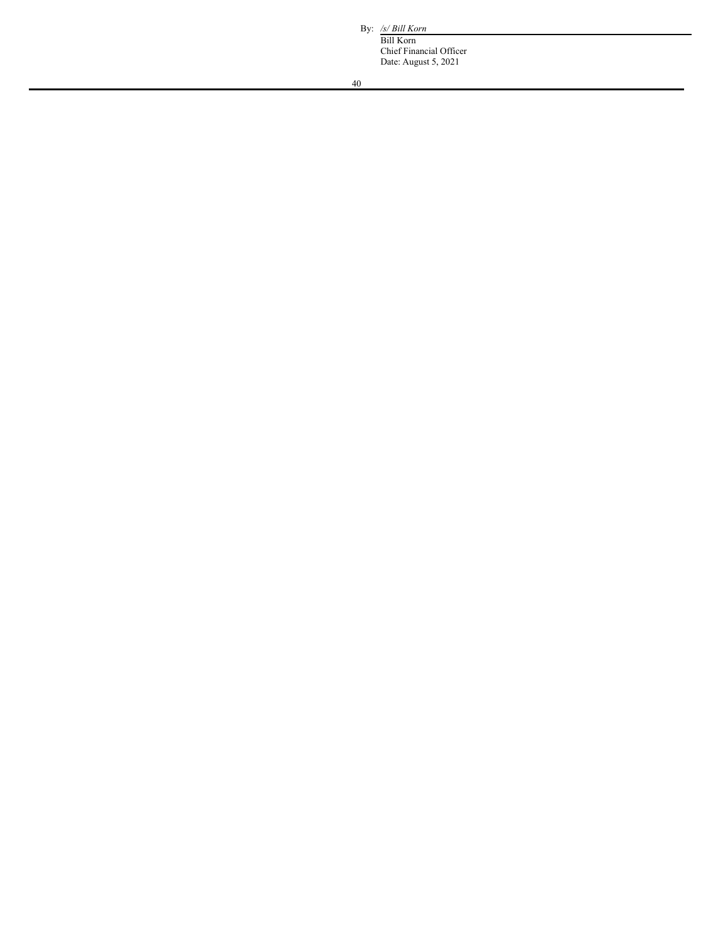By: */s/ Bill Korn*

Bill Korn Chief Financial Officer Date: August 5, 2021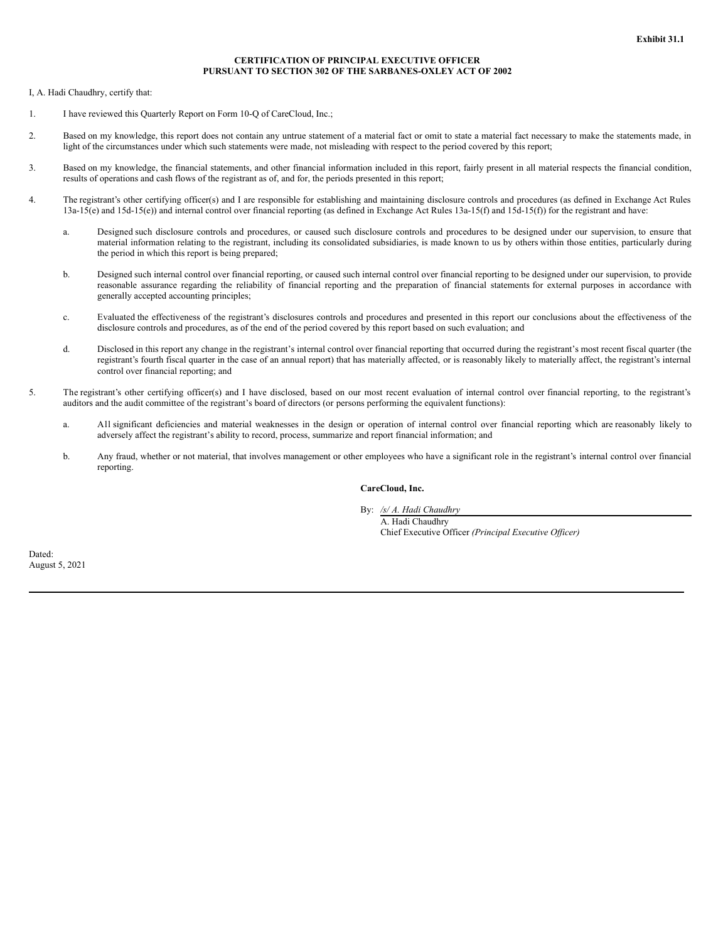## **CERTIFICATION OF PRINCIPAL EXECUTIVE OFFICER PURSUANT TO SECTION 302 OF THE SARBANES-OXLEY ACT OF 2002**

<span id="page-26-0"></span>I, A. Hadi Chaudhry, certify that:

- 1. I have reviewed this Quarterly Report on Form 10-Q of CareCloud, Inc.;
- 2. Based on my knowledge, this report does not contain any untrue statement of a material fact or omit to state a material fact necessary to make the statements made, in light of the circumstances under which such statements were made, not misleading with respect to the period covered by this report;
- 3. Based on my knowledge, the financial statements, and other financial information included in this report, fairly present in all material respects the financial condition, results of operations and cash flows of the registrant as of, and for, the periods presented in this report;
- 4. The registrant's other certifying officer(s) and I are responsible for establishing and maintaining disclosure controls and procedures (as defined in Exchange Act Rules 13a-15(e) and 15d-15(e)) and internal control over financial reporting (as defined in Exchange Act Rules 13a-15(f) and 15d-15(f)) for the registrant and have:
	- a. Designed such disclosure controls and procedures, or caused such disclosure controls and procedures to be designed under our supervision, to ensure that material information relating to the registrant, including its consolidated subsidiaries, is made known to us by others within those entities, particularly during the period in which this report is being prepared;
	- b. Designed such internal control over financial reporting, or caused such internal control over financial reporting to be designed under our supervision, to provide reasonable assurance regarding the reliability of financial reporting and the preparation of financial statements for external purposes in accordance with generally accepted accounting principles;
	- c. Evaluated the effectiveness of the registrant's disclosures controls and procedures and presented in this report our conclusions about the effectiveness of the disclosure controls and procedures, as of the end of the period covered by this report based on such evaluation; and
	- d. Disclosed in this report any change in the registrant's internal control over financial reporting that occurred during the registrant's most recent fiscal quarter (the registrant's fourth fiscal quarter in the case of an annual report) that has materially affected, or is reasonably likely to materially affect, the registrant's internal control over financial reporting; and
- 5. The registrant's other certifying officer(s) and I have disclosed, based on our most recent evaluation of internal control over financial reporting, to the registrant's auditors and the audit committee of the registrant's board of directors (or persons performing the equivalent functions):
	- a. All significant deficiencies and material weaknesses in the design or operation of internal control over financial reporting which are reasonably likely to adversely affect the registrant's ability to record, process, summarize and report financial information; and
	- b. Any fraud, whether or not material, that involves management or other employees who have a significant role in the registrant's internal control over financial reporting.

**CareCloud, Inc.**

By: */s/ A. Hadi Chaudhry*

A. Hadi Chaudhry Chief Executive Officer *(Principal Executive Of icer)*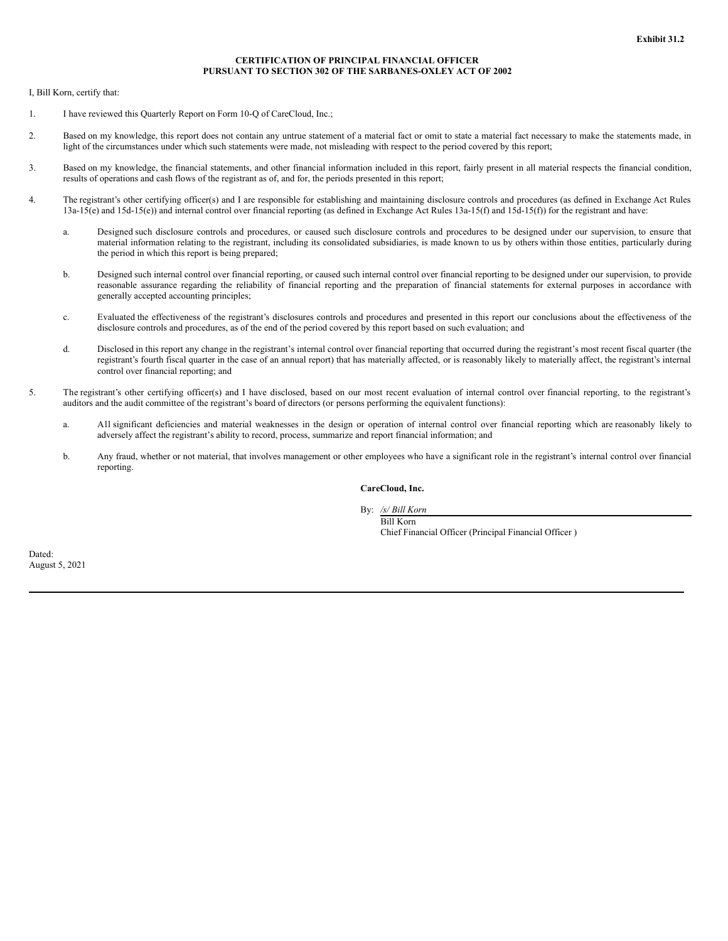## **CERTIFICATION OF PRINCIPAL FINANCIAL OFFICER PURSUANT TO SECTION 302 OF THE SARBANES-OXLEY ACT OF 2002**

<span id="page-27-0"></span>I, Bill Korn, certify that:

- 1. I have reviewed this Quarterly Report on Form 10-Q of CareCloud, Inc.;
- 2. Based on my knowledge, this report does not contain any untrue statement of a material fact or omit to state a material fact necessary to make the statements made, in light of the circumstances under which such statements were made, not misleading with respect to the period covered by this report;
- 3. Based on my knowledge, the financial statements, and other financial information included in this report, fairly present in all material respects the financial condition, results of operations and cash flows of the registrant as of, and for, the periods presented in this report;
- 4. The registrant's other certifying officer(s) and I are responsible for establishing and maintaining disclosure controls and procedures (as defined in Exchange Act Rules 13a-15(e) and 15d-15(e)) and internal control over financial reporting (as defined in Exchange Act Rules 13a-15(f) and 15d-15(f)) for the registrant and have:
	- a. Designed such disclosure controls and procedures, or caused such disclosure controls and procedures to be designed under our supervision, to ensure that material information relating to the registrant, including its consolidated subsidiaries, is made known to us by others within those entities, particularly during the period in which this report is being prepared;
	- b. Designed such internal control over financial reporting, or caused such internal control over financial reporting to be designed under our supervision, to provide reasonable assurance regarding the reliability of financial reporting and the preparation of financial statements for external purposes in accordance with generally accepted accounting principles;
	- c. Evaluated the effectiveness of the registrant's disclosures controls and procedures and presented in this report our conclusions about the effectiveness of the disclosure controls and procedures, as of the end of the period covered by this report based on such evaluation; and
	- d. Disclosed in this report any change in the registrant's internal control over financial reporting that occurred during the registrant's most recent fiscal quarter (the registrant's fourth fiscal quarter in the case of an annual report) that has materially affected, or is reasonably likely to materially affect, the registrant's internal control over financial reporting; and
- 5. The registrant's other certifying officer(s) and I have disclosed, based on our most recent evaluation of internal control over financial reporting, to the registrant's auditors and the audit committee of the registrant's board of directors (or persons performing the equivalent functions):
	- a. All significant deficiencies and material weaknesses in the design or operation of internal control over financial reporting which are reasonably likely to adversely affect the registrant's ability to record, process, summarize and report financial information; and
	- b. Any fraud, whether or not material, that involves management or other employees who have a significant role in the registrant's internal control over financial reporting.

**CareCloud, Inc.**

By: */s/ Bill Korn* Bill Korn

Chief Financial Officer (Principal Financial Officer )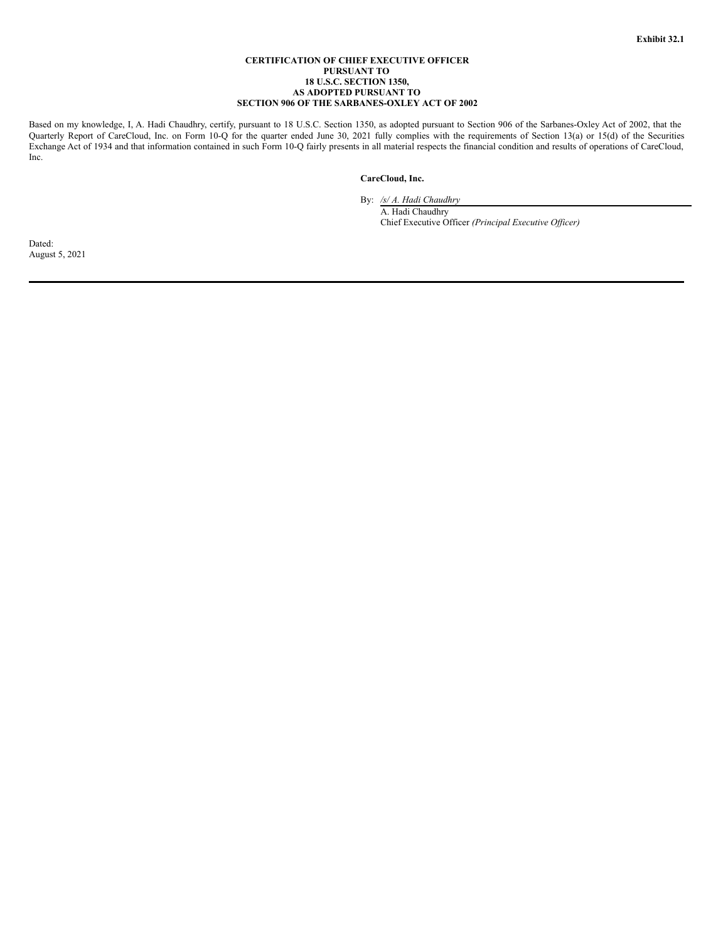## **CERTIFICATION OF CHIEF EXECUTIVE OFFICER PURSUANT TO 18 U.S.C. SECTION 1350, AS ADOPTED PURSUANT TO SECTION 906 OF THE SARBANES-OXLEY ACT OF 2002**

<span id="page-28-0"></span>Based on my knowledge, I, A. Hadi Chaudhry, certify, pursuant to 18 U.S.C. Section 1350, as adopted pursuant to Section 906 of the Sarbanes-Oxley Act of 2002, that the Quarterly Report of CareCloud, Inc. on Form 10-Q for the quarter ended June 30, 2021 fully complies with the requirements of Section 13(a) or 15(d) of the Securities Exchange Act of 1934 and that information contained in such Form 10-Q fairly presents in all material respects the financial condition and results of operations of CareCloud, Inc.

**CareCloud, Inc.**

By: */s/ A. Hadi Chaudhry*

A. Hadi Chaudhry Chief Executive Officer *(Principal Executive Of icer)*